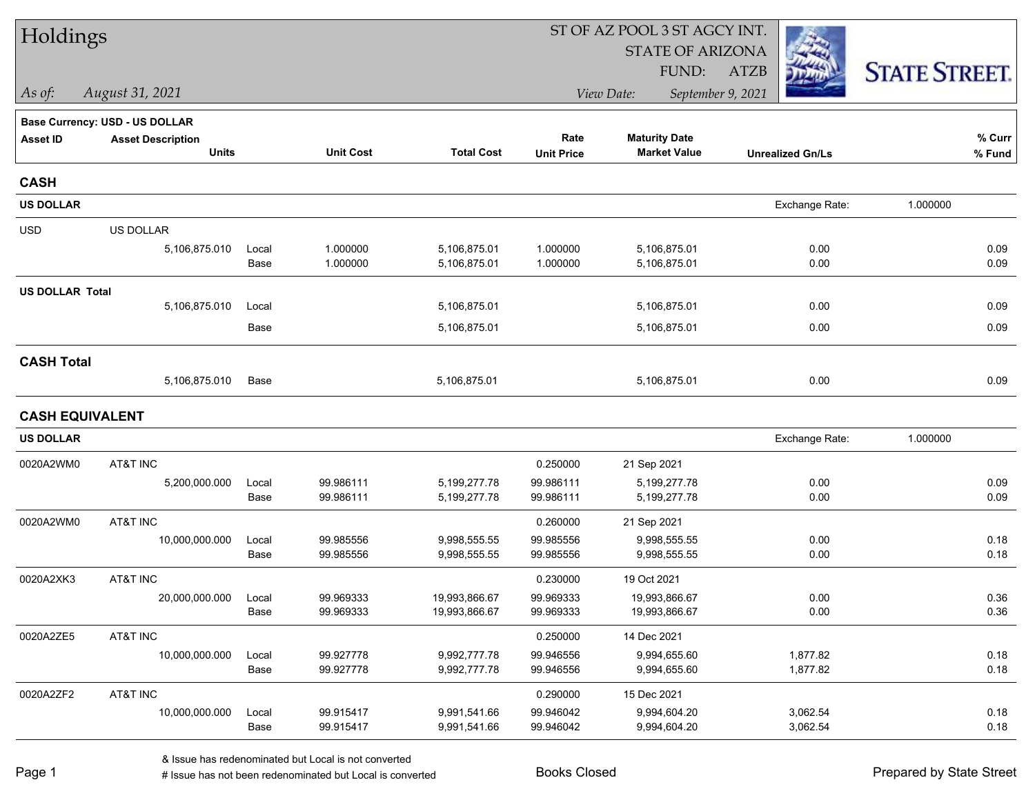| Holdings               |                                       |       |                  |                   |                   |                         |                         |                      |
|------------------------|---------------------------------------|-------|------------------|-------------------|-------------------|-------------------------|-------------------------|----------------------|
|                        |                                       |       |                  |                   |                   | <b>STATE OF ARIZONA</b> |                         |                      |
|                        |                                       |       |                  |                   |                   | FUND:                   | <b>ATZB</b>             | <b>STATE STREET.</b> |
| As of:                 | August 31, 2021                       |       |                  |                   |                   | View Date:              | September 9, 2021       |                      |
|                        | <b>Base Currency: USD - US DOLLAR</b> |       |                  |                   |                   |                         |                         |                      |
| <b>Asset ID</b>        | <b>Asset Description</b>              |       |                  |                   | Rate              | <b>Maturity Date</b>    |                         | % Curr               |
|                        | <b>Units</b>                          |       | <b>Unit Cost</b> | <b>Total Cost</b> | <b>Unit Price</b> | <b>Market Value</b>     | <b>Unrealized Gn/Ls</b> | % Fund               |
| <b>CASH</b>            |                                       |       |                  |                   |                   |                         |                         |                      |
| <b>US DOLLAR</b>       |                                       |       |                  |                   |                   |                         | Exchange Rate:          | 1.000000             |
| <b>USD</b>             | US DOLLAR                             |       |                  |                   |                   |                         |                         |                      |
|                        | 5,106,875.010                         | Local | 1.000000         | 5,106,875.01      | 1.000000          | 5,106,875.01            | 0.00                    | 0.09                 |
|                        |                                       | Base  | 1.000000         | 5,106,875.01      | 1.000000          | 5,106,875.01            | 0.00                    | 0.09                 |
| <b>US DOLLAR Total</b> |                                       |       |                  |                   |                   |                         |                         |                      |
|                        | 5,106,875.010                         | Local |                  | 5,106,875.01      |                   | 5,106,875.01            | 0.00                    | 0.09                 |
|                        |                                       | Base  |                  | 5,106,875.01      |                   | 5,106,875.01            | 0.00                    | 0.09                 |
| <b>CASH Total</b>      |                                       |       |                  |                   |                   |                         |                         |                      |
|                        | 5,106,875.010                         | Base  |                  | 5,106,875.01      |                   | 5,106,875.01            | 0.00                    | 0.09                 |
| <b>CASH EQUIVALENT</b> |                                       |       |                  |                   |                   |                         |                         |                      |
| <b>US DOLLAR</b>       |                                       |       |                  |                   |                   |                         | Exchange Rate:          | 1.000000             |
| 0020A2WM0              | AT&T INC                              |       |                  |                   | 0.250000          | 21 Sep 2021             |                         |                      |
|                        | 5,200,000.000                         | Local | 99.986111        | 5,199,277.78      | 99.986111         | 5,199,277.78            | 0.00                    | 0.09                 |
|                        |                                       | Base  | 99.986111        | 5,199,277.78      | 99.986111         | 5,199,277.78            | 0.00                    | 0.09                 |
| 0020A2WM0              | AT&T INC                              |       |                  |                   | 0.260000          | 21 Sep 2021             |                         |                      |
|                        | 10,000,000.000                        | Local | 99.985556        | 9,998,555.55      | 99.985556         | 9,998,555.55            | 0.00                    | 0.18                 |
|                        |                                       | Base  | 99.985556        | 9,998,555.55      | 99.985556         | 9,998,555.55            | 0.00                    | 0.18                 |
| 0020A2XK3              | AT&T INC                              |       |                  |                   | 0.230000          | 19 Oct 2021             |                         |                      |
|                        | 20,000,000.000                        | Local | 99.969333        | 19,993,866.67     | 99.969333         | 19,993,866.67           | 0.00                    | 0.36                 |
|                        |                                       | Base  | 99.969333        | 19,993,866.67     | 99.969333         | 19,993,866.67           | 0.00                    | 0.36                 |
| 0020A2ZE5              | AT&T INC                              |       |                  |                   | 0.250000          | 14 Dec 2021             |                         |                      |
|                        | 10,000,000.000                        | Local | 99.927778        | 9,992,777.78      | 99.946556         | 9,994,655.60            | 1,877.82                | 0.18                 |
|                        |                                       | Base  | 99.927778        | 9,992,777.78      | 99.946556         | 9,994,655.60            | 1,877.82                | 0.18                 |
| 0020A2ZF2              | AT&T INC                              |       |                  |                   | 0.290000          | 15 Dec 2021             |                         |                      |
|                        | 10,000,000.000                        | Local | 99.915417        | 9,991,541.66      | 99.946042         | 9,994,604.20            | 3,062.54                | 0.18                 |
|                        |                                       | Base  | 99.915417        | 9,991,541.66      | 99.946042         | 9,994,604.20            | 3,062.54                | 0.18                 |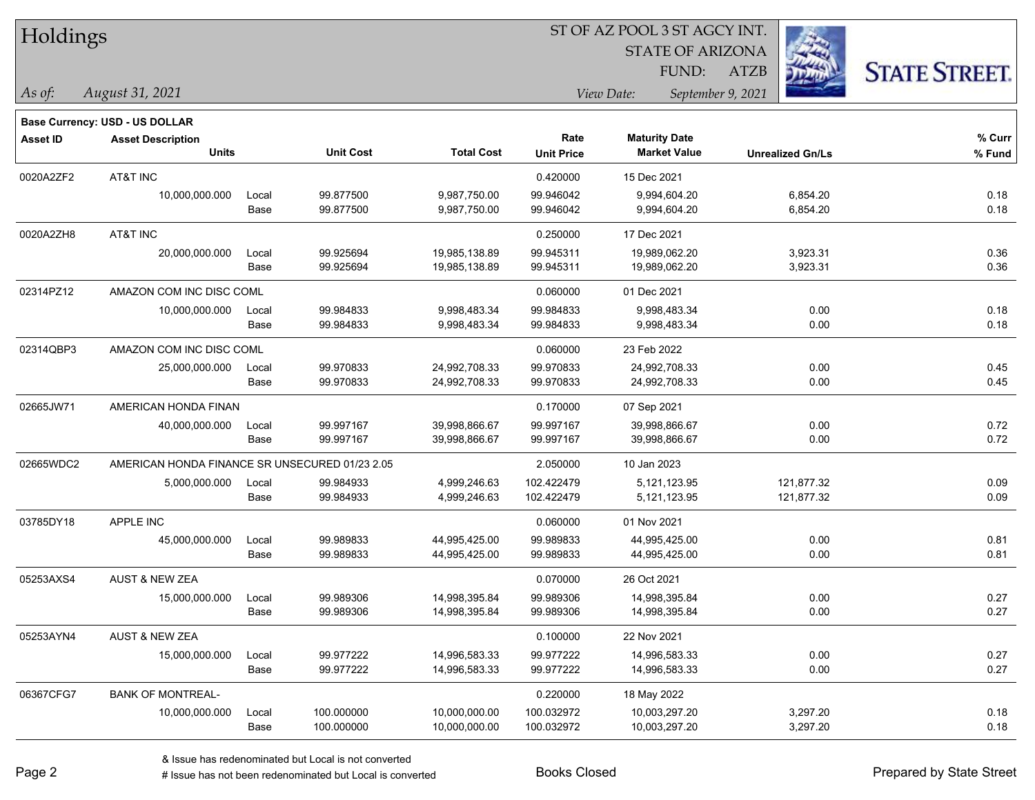| Holdings |
|----------|
|----------|

STATE OF ARIZONA FUND:

ATZB



*August 31, 2021 As of: View Date: September 9, 2021*

|                 | <b>Base Currency: USD - US DOLLAR</b>          |       |                  |                   |                   |                      |                         |        |
|-----------------|------------------------------------------------|-------|------------------|-------------------|-------------------|----------------------|-------------------------|--------|
| <b>Asset ID</b> | <b>Asset Description</b>                       |       |                  |                   | Rate              | <b>Maturity Date</b> |                         | % Curr |
|                 | <b>Units</b>                                   |       | <b>Unit Cost</b> | <b>Total Cost</b> | <b>Unit Price</b> | <b>Market Value</b>  | <b>Unrealized Gn/Ls</b> | % Fund |
| 0020A2ZF2       | AT&T INC                                       |       |                  |                   | 0.420000          | 15 Dec 2021          |                         |        |
|                 | 10,000,000.000                                 | Local | 99.877500        | 9,987,750.00      | 99.946042         | 9,994,604.20         | 6,854.20                | 0.18   |
|                 |                                                | Base  | 99.877500        | 9,987,750.00      | 99.946042         | 9,994,604.20         | 6,854.20                | 0.18   |
| 0020A2ZH8       | AT&T INC                                       |       |                  |                   | 0.250000          | 17 Dec 2021          |                         |        |
|                 | 20,000,000.000                                 | Local | 99.925694        | 19,985,138.89     | 99.945311         | 19,989,062.20        | 3,923.31                | 0.36   |
|                 |                                                | Base  | 99.925694        | 19,985,138.89     | 99.945311         | 19,989,062.20        | 3,923.31                | 0.36   |
| 02314PZ12       | AMAZON COM INC DISC COML                       |       |                  |                   | 0.060000          | 01 Dec 2021          |                         |        |
|                 | 10,000,000.000                                 | Local | 99.984833        | 9,998,483.34      | 99.984833         | 9,998,483.34         | 0.00                    | 0.18   |
|                 |                                                | Base  | 99.984833        | 9,998,483.34      | 99.984833         | 9,998,483.34         | 0.00                    | 0.18   |
| 02314QBP3       | AMAZON COM INC DISC COML                       |       |                  |                   | 0.060000          | 23 Feb 2022          |                         |        |
|                 | 25,000,000.000                                 | Local | 99.970833        | 24,992,708.33     | 99.970833         | 24,992,708.33        | 0.00                    | 0.45   |
|                 |                                                | Base  | 99.970833        | 24,992,708.33     | 99.970833         | 24,992,708.33        | 0.00                    | 0.45   |
| 02665JW71       | AMERICAN HONDA FINAN                           |       |                  |                   | 0.170000          | 07 Sep 2021          |                         |        |
|                 | 40,000,000.000                                 | Local | 99.997167        | 39,998,866.67     | 99.997167         | 39,998,866.67        | 0.00                    | 0.72   |
|                 |                                                | Base  | 99.997167        | 39,998,866.67     | 99.997167         | 39,998,866.67        | 0.00                    | 0.72   |
| 02665WDC2       | AMERICAN HONDA FINANCE SR UNSECURED 01/23 2.05 |       |                  |                   | 2.050000          | 10 Jan 2023          |                         |        |
|                 | 5,000,000.000                                  | Local | 99.984933        | 4,999,246.63      | 102.422479        | 5,121,123.95         | 121,877.32              | 0.09   |
|                 |                                                | Base  | 99.984933        | 4,999,246.63      | 102.422479        | 5,121,123.95         | 121,877.32              | 0.09   |
| 03785DY18       | <b>APPLE INC</b>                               |       |                  |                   | 0.060000          | 01 Nov 2021          |                         |        |
|                 | 45,000,000.000                                 | Local | 99.989833        | 44,995,425.00     | 99.989833         | 44,995,425.00        | 0.00                    | 0.81   |
|                 |                                                | Base  | 99.989833        | 44,995,425.00     | 99.989833         | 44,995,425.00        | 0.00                    | 0.81   |
| 05253AXS4       | <b>AUST &amp; NEW ZEA</b>                      |       |                  |                   | 0.070000          | 26 Oct 2021          |                         |        |
|                 | 15,000,000.000                                 | Local | 99.989306        | 14,998,395.84     | 99.989306         | 14,998,395.84        | 0.00                    | 0.27   |
|                 |                                                | Base  | 99.989306        | 14,998,395.84     | 99.989306         | 14,998,395.84        | 0.00                    | 0.27   |
| 05253AYN4       | <b>AUST &amp; NEW ZEA</b>                      |       |                  |                   | 0.100000          | 22 Nov 2021          |                         |        |
|                 | 15,000,000.000                                 | Local | 99.977222        | 14,996,583.33     | 99.977222         | 14,996,583.33        | 0.00                    | 0.27   |
|                 |                                                | Base  | 99.977222        | 14,996,583.33     | 99.977222         | 14,996,583.33        | 0.00                    | 0.27   |
| 06367CFG7       | <b>BANK OF MONTREAL-</b>                       |       |                  |                   | 0.220000          | 18 May 2022          |                         |        |
|                 | 10,000,000.000                                 | Local | 100.000000       | 10,000,000.00     | 100.032972        | 10,003,297.20        | 3,297.20                | 0.18   |
|                 |                                                | Base  | 100.000000       | 10,000,000.00     | 100.032972        | 10,003,297.20        | 3,297.20                | 0.18   |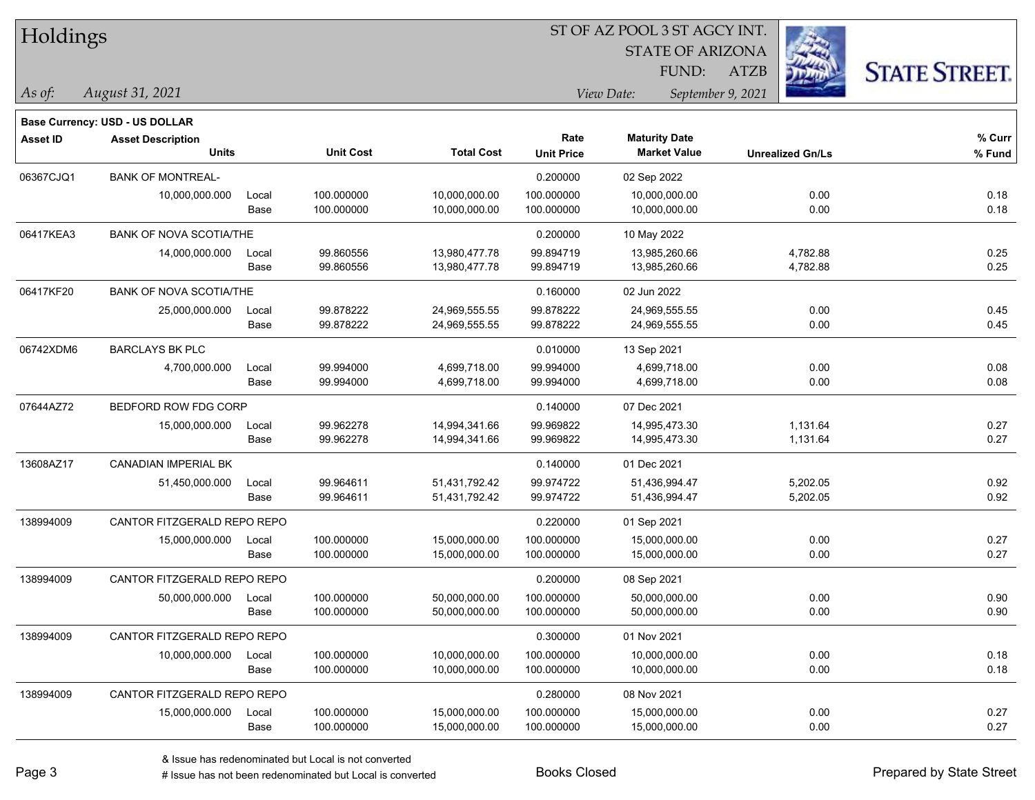| Holdings |
|----------|
|          |

STATE OF ARIZONA

ATZB



**Base Currency: USD - US DOLLAR**

| <b>Asset ID</b> | <b>Asset Description</b>       |       |                  |                   | Rate              | <b>Maturity Date</b> |                         | % Curr |
|-----------------|--------------------------------|-------|------------------|-------------------|-------------------|----------------------|-------------------------|--------|
|                 | <b>Units</b>                   |       | <b>Unit Cost</b> | <b>Total Cost</b> | <b>Unit Price</b> | <b>Market Value</b>  | <b>Unrealized Gn/Ls</b> | % Fund |
| 06367CJQ1       | <b>BANK OF MONTREAL-</b>       |       |                  |                   | 0.200000          | 02 Sep 2022          |                         |        |
|                 | 10,000,000.000                 | Local | 100.000000       | 10,000,000.00     | 100.000000        | 10,000,000.00        | 0.00                    | 0.18   |
|                 |                                | Base  | 100.000000       | 10,000,000.00     | 100.000000        | 10,000,000.00        | 0.00                    | 0.18   |
| 06417KEA3       | <b>BANK OF NOVA SCOTIA/THE</b> |       |                  |                   | 0.200000          | 10 May 2022          |                         |        |
|                 | 14,000,000.000                 | Local | 99.860556        | 13,980,477.78     | 99.894719         | 13,985,260.66        | 4,782.88                | 0.25   |
|                 |                                | Base  | 99.860556        | 13,980,477.78     | 99.894719         | 13,985,260.66        | 4,782.88                | 0.25   |
| 06417KF20       | <b>BANK OF NOVA SCOTIA/THE</b> |       |                  |                   | 0.160000          | 02 Jun 2022          |                         |        |
|                 | 25,000,000.000                 | Local | 99.878222        | 24,969,555.55     | 99.878222         | 24,969,555.55        | 0.00                    | 0.45   |
|                 |                                | Base  | 99.878222        | 24,969,555.55     | 99.878222         | 24,969,555.55        | 0.00                    | 0.45   |
| 06742XDM6       | <b>BARCLAYS BK PLC</b>         |       |                  |                   | 0.010000          | 13 Sep 2021          |                         |        |
|                 | 4,700,000.000                  | Local | 99.994000        | 4,699,718.00      | 99.994000         | 4,699,718.00         | 0.00                    | 0.08   |
|                 |                                | Base  | 99.994000        | 4,699,718.00      | 99.994000         | 4,699,718.00         | 0.00                    | 0.08   |
| 07644AZ72       | BEDFORD ROW FDG CORP           |       |                  |                   | 0.140000          | 07 Dec 2021          |                         |        |
|                 | 15,000,000.000                 | Local | 99.962278        | 14,994,341.66     | 99.969822         | 14,995,473.30        | 1,131.64                | 0.27   |
|                 |                                | Base  | 99.962278        | 14,994,341.66     | 99.969822         | 14,995,473.30        | 1,131.64                | 0.27   |
| 13608AZ17       | <b>CANADIAN IMPERIAL BK</b>    |       |                  |                   | 0.140000          | 01 Dec 2021          |                         |        |
|                 | 51,450,000.000                 | Local | 99.964611        | 51,431,792.42     | 99.974722         | 51,436,994.47        | 5,202.05                | 0.92   |
|                 |                                | Base  | 99.964611        | 51,431,792.42     | 99.974722         | 51,436,994.47        | 5,202.05                | 0.92   |
| 138994009       | CANTOR FITZGERALD REPO REPO    |       |                  |                   | 0.220000          | 01 Sep 2021          |                         |        |
|                 | 15,000,000.000                 | Local | 100.000000       | 15,000,000.00     | 100.000000        | 15,000,000.00        | 0.00                    | 0.27   |
|                 |                                | Base  | 100.000000       | 15,000,000.00     | 100.000000        | 15,000,000.00        | 0.00                    | 0.27   |
| 138994009       | CANTOR FITZGERALD REPO REPO    |       |                  |                   | 0.200000          | 08 Sep 2021          |                         |        |
|                 | 50,000,000.000                 | Local | 100.000000       | 50,000,000.00     | 100.000000        | 50,000,000.00        | 0.00                    | 0.90   |
|                 |                                | Base  | 100.000000       | 50,000,000.00     | 100.000000        | 50,000,000.00        | 0.00                    | 0.90   |
| 138994009       | CANTOR FITZGERALD REPO REPO    |       |                  |                   | 0.300000          | 01 Nov 2021          |                         |        |
|                 | 10,000,000.000                 | Local | 100.000000       | 10,000,000.00     | 100.000000        | 10,000,000.00        | 0.00                    | 0.18   |
|                 |                                | Base  | 100.000000       | 10,000,000.00     | 100.000000        | 10,000,000.00        | 0.00                    | 0.18   |
| 138994009       | CANTOR FITZGERALD REPO REPO    |       |                  |                   | 0.280000          | 08 Nov 2021          |                         |        |
|                 | 15,000,000.000                 | Local | 100.000000       | 15,000,000.00     | 100.000000        | 15,000,000.00        | 0.00                    | 0.27   |
|                 |                                | Base  | 100.000000       | 15,000,000.00     | 100.000000        | 15,000,000.00        | 0.00                    | 0.27   |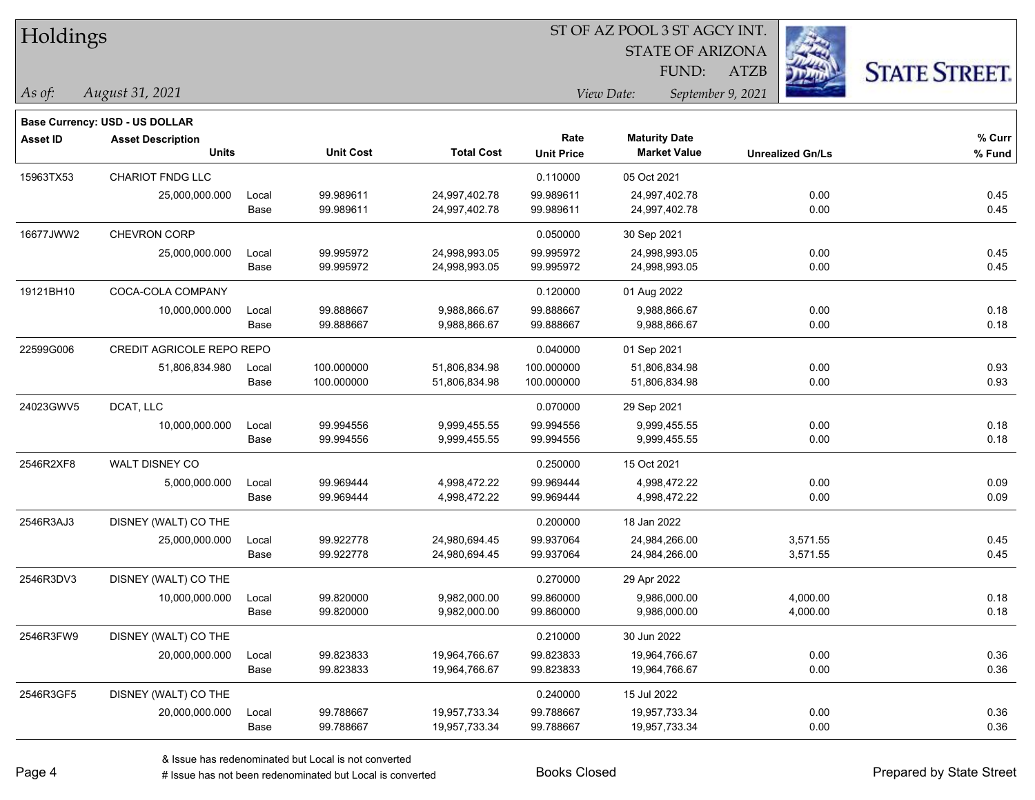| Holdings |  |
|----------|--|
|----------|--|

STATE OF ARIZONA

ATZB



**Base Currency: USD - US DOLLAR**

| <b>Asset ID</b> | <b>Asset Description</b>  |       |                  |                   | Rate              | <b>Maturity Date</b> |                         | % Curr |
|-----------------|---------------------------|-------|------------------|-------------------|-------------------|----------------------|-------------------------|--------|
|                 | <b>Units</b>              |       | <b>Unit Cost</b> | <b>Total Cost</b> | <b>Unit Price</b> | <b>Market Value</b>  | <b>Unrealized Gn/Ls</b> | % Fund |
| 15963TX53       | <b>CHARIOT FNDG LLC</b>   |       |                  |                   | 0.110000          | 05 Oct 2021          |                         |        |
|                 | 25,000,000.000            | Local | 99.989611        | 24,997,402.78     | 99.989611         | 24,997,402.78        | 0.00                    | 0.45   |
|                 |                           | Base  | 99.989611        | 24,997,402.78     | 99.989611         | 24,997,402.78        | 0.00                    | 0.45   |
| 16677JWW2       | CHEVRON CORP              |       |                  |                   | 0.050000          | 30 Sep 2021          |                         |        |
|                 | 25,000,000.000            | Local | 99.995972        | 24,998,993.05     | 99.995972         | 24,998,993.05        | 0.00                    | 0.45   |
|                 |                           | Base  | 99.995972        | 24,998,993.05     | 99.995972         | 24,998,993.05        | 0.00                    | 0.45   |
| 19121BH10       | COCA-COLA COMPANY         |       |                  |                   | 0.120000          | 01 Aug 2022          |                         |        |
|                 | 10,000,000.000            | Local | 99.888667        | 9,988,866.67      | 99.888667         | 9,988,866.67         | 0.00                    | 0.18   |
|                 |                           | Base  | 99.888667        | 9,988,866.67      | 99.888667         | 9,988,866.67         | 0.00                    | 0.18   |
| 22599G006       | CREDIT AGRICOLE REPO REPO |       |                  |                   | 0.040000          | 01 Sep 2021          |                         |        |
|                 | 51,806,834.980            | Local | 100.000000       | 51,806,834.98     | 100.000000        | 51,806,834.98        | 0.00                    | 0.93   |
|                 |                           | Base  | 100.000000       | 51,806,834.98     | 100.000000        | 51,806,834.98        | 0.00                    | 0.93   |
| 24023GWV5       | DCAT, LLC                 |       |                  |                   | 0.070000          | 29 Sep 2021          |                         |        |
|                 | 10,000,000.000            | Local | 99.994556        | 9,999,455.55      | 99.994556         | 9,999,455.55         | 0.00                    | 0.18   |
|                 |                           | Base  | 99.994556        | 9,999,455.55      | 99.994556         | 9,999,455.55         | 0.00                    | 0.18   |
| 2546R2XF8       | <b>WALT DISNEY CO</b>     |       |                  |                   | 0.250000          | 15 Oct 2021          |                         |        |
|                 | 5,000,000.000             | Local | 99.969444        | 4,998,472.22      | 99.969444         | 4,998,472.22         | 0.00                    | 0.09   |
|                 |                           | Base  | 99.969444        | 4,998,472.22      | 99.969444         | 4,998,472.22         | 0.00                    | 0.09   |
| 2546R3AJ3       | DISNEY (WALT) CO THE      |       |                  |                   | 0.200000          | 18 Jan 2022          |                         |        |
|                 | 25,000,000.000            | Local | 99.922778        | 24,980,694.45     | 99.937064         | 24,984,266.00        | 3,571.55                | 0.45   |
|                 |                           | Base  | 99.922778        | 24,980,694.45     | 99.937064         | 24,984,266.00        | 3,571.55                | 0.45   |
| 2546R3DV3       | DISNEY (WALT) CO THE      |       |                  |                   | 0.270000          | 29 Apr 2022          |                         |        |
|                 | 10,000,000.000            | Local | 99.820000        | 9,982,000.00      | 99.860000         | 9,986,000.00         | 4,000.00                | 0.18   |
|                 |                           | Base  | 99.820000        | 9,982,000.00      | 99.860000         | 9,986,000.00         | 4,000.00                | 0.18   |
| 2546R3FW9       | DISNEY (WALT) CO THE      |       |                  |                   | 0.210000          | 30 Jun 2022          |                         |        |
|                 | 20,000,000.000            | Local | 99.823833        | 19,964,766.67     | 99.823833         | 19,964,766.67        | 0.00                    | 0.36   |
|                 |                           | Base  | 99.823833        | 19,964,766.67     | 99.823833         | 19,964,766.67        | 0.00                    | 0.36   |
| 2546R3GF5       | DISNEY (WALT) CO THE      |       |                  |                   | 0.240000          | 15 Jul 2022          |                         |        |
|                 | 20,000,000.000            | Local | 99.788667        | 19,957,733.34     | 99.788667         | 19,957,733.34        | 0.00                    | 0.36   |
|                 |                           | Base  | 99.788667        | 19,957,733.34     | 99.788667         | 19,957,733.34        | 0.00                    | 0.36   |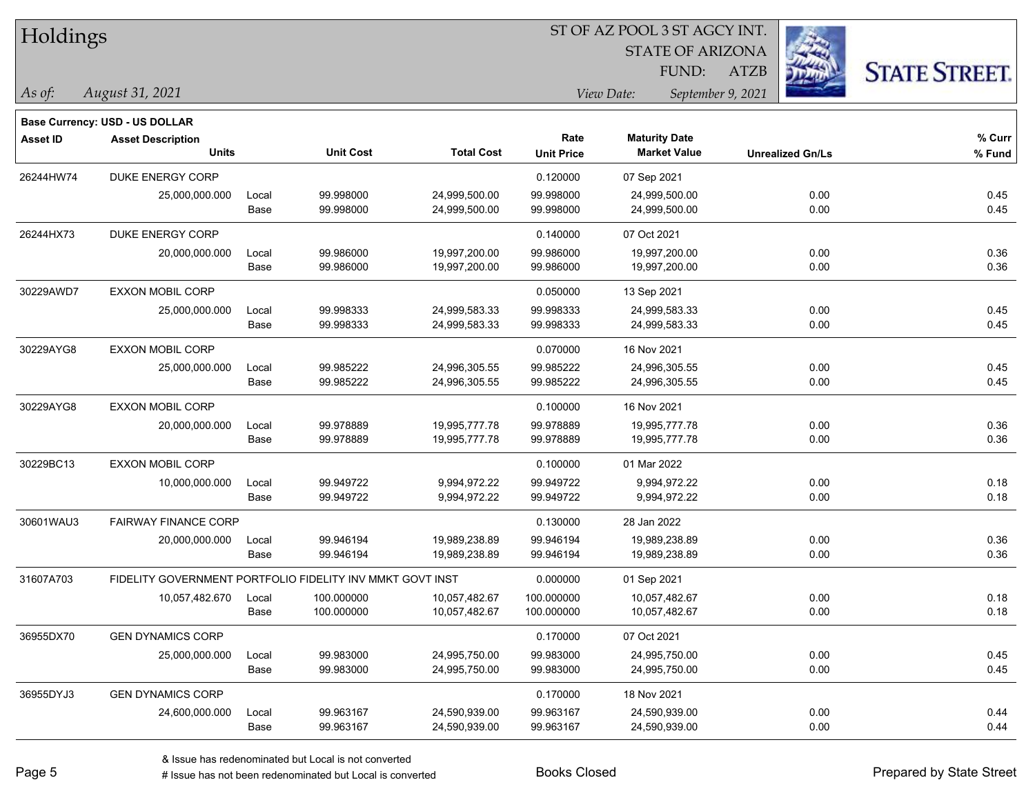|  | <b>Holdings</b> |
|--|-----------------|
|  |                 |

**Base Currency: USD - US DOLLAR**

#### ST OF AZ POOL 3 ST AGCY INT.

STATE OF ARIZONA

ATZB



| <b>Asset Description</b> |       |                                             |                  | Rate                                                                           | <b>Maturity Date</b> |                     | % Curr                  |
|--------------------------|-------|---------------------------------------------|------------------|--------------------------------------------------------------------------------|----------------------|---------------------|-------------------------|
|                          |       |                                             |                  |                                                                                |                      |                     | % Fund                  |
| DUKE ENERGY CORP         |       |                                             |                  | 0.120000                                                                       | 07 Sep 2021          |                     |                         |
| 25,000,000.000           | Local | 99.998000                                   | 24,999,500.00    | 99.998000                                                                      | 24,999,500.00        | 0.00                | 0.45                    |
|                          | Base  | 99.998000                                   | 24,999,500.00    | 99.998000                                                                      | 24,999,500.00        | 0.00                | 0.45                    |
| <b>DUKE ENERGY CORP</b>  |       |                                             |                  | 0.140000                                                                       | 07 Oct 2021          |                     |                         |
| 20,000,000.000           | Local | 99.986000                                   | 19,997,200.00    | 99.986000                                                                      | 19,997,200.00        | 0.00                | 0.36                    |
|                          | Base  | 99.986000                                   | 19,997,200.00    | 99.986000                                                                      | 19,997,200.00        | 0.00                | 0.36                    |
| <b>EXXON MOBIL CORP</b>  |       |                                             |                  | 0.050000                                                                       | 13 Sep 2021          |                     |                         |
| 25,000,000.000           | Local | 99.998333                                   | 24,999,583.33    | 99.998333                                                                      | 24,999,583.33        | 0.00                | 0.45                    |
|                          | Base  | 99.998333                                   | 24,999,583.33    | 99.998333                                                                      | 24,999,583.33        | 0.00                | 0.45                    |
| <b>EXXON MOBIL CORP</b>  |       |                                             |                  | 0.070000                                                                       | 16 Nov 2021          |                     |                         |
| 25,000,000.000           | Local | 99.985222                                   | 24,996,305.55    | 99.985222                                                                      | 24,996,305.55        | 0.00                | 0.45                    |
|                          | Base  | 99.985222                                   | 24,996,305.55    | 99.985222                                                                      | 24,996,305.55        | 0.00                | 0.45                    |
| EXXON MOBIL CORP         |       |                                             |                  | 0.100000                                                                       | 16 Nov 2021          |                     |                         |
| 20,000,000.000           | Local | 99.978889                                   | 19,995,777.78    | 99.978889                                                                      | 19,995,777.78        | 0.00                | 0.36                    |
|                          | Base  | 99.978889                                   | 19,995,777.78    | 99.978889                                                                      | 19,995,777.78        | 0.00                | 0.36                    |
| <b>EXXON MOBIL CORP</b>  |       |                                             |                  | 0.100000                                                                       | 01 Mar 2022          |                     |                         |
| 10,000,000.000           | Local | 99.949722                                   | 9,994,972.22     | 99.949722                                                                      | 9,994,972.22         | 0.00                | 0.18                    |
|                          | Base  | 99.949722                                   | 9,994,972.22     | 99.949722                                                                      | 9,994,972.22         | 0.00                | 0.18                    |
|                          |       |                                             |                  | 0.130000                                                                       | 28 Jan 2022          |                     |                         |
| 20,000,000.000           | Local | 99.946194                                   | 19,989,238.89    | 99.946194                                                                      | 19,989,238.89        | 0.00                | 0.36                    |
|                          | Base  | 99.946194                                   | 19,989,238.89    | 99.946194                                                                      | 19,989,238.89        | 0.00                | 0.36                    |
|                          |       |                                             |                  | 0.000000                                                                       | 01 Sep 2021          |                     |                         |
| 10,057,482.670           | Local | 100.000000                                  | 10,057,482.67    | 100.000000                                                                     | 10,057,482.67        | 0.00                | 0.18                    |
|                          | Base  | 100.000000                                  | 10,057,482.67    | 100.000000                                                                     | 10,057,482.67        | 0.00                | 0.18                    |
| <b>GEN DYNAMICS CORP</b> |       |                                             |                  | 0.170000                                                                       | 07 Oct 2021          |                     |                         |
| 25,000,000.000           | Local | 99.983000                                   | 24,995,750.00    | 99.983000                                                                      | 24,995,750.00        | 0.00                | 0.45                    |
|                          | Base  | 99.983000                                   | 24,995,750.00    | 99.983000                                                                      | 24,995,750.00        | 0.00                | 0.45                    |
| <b>GEN DYNAMICS CORP</b> |       |                                             |                  | 0.170000                                                                       | 18 Nov 2021          |                     |                         |
| 24,600,000.000           | Local | 99.963167                                   | 24,590,939.00    | 99.963167                                                                      | 24,590,939.00        | 0.00                | 0.44                    |
|                          | Base  | 99.963167                                   | 24,590,939.00    | 99.963167                                                                      | 24,590,939.00        | 0.00                | 0.44                    |
|                          |       | <b>Units</b><br><b>FAIRWAY FINANCE CORP</b> | <b>Unit Cost</b> | <b>Total Cost</b><br>FIDELITY GOVERNMENT PORTFOLIO FIDELITY INV MMKT GOVT INST | <b>Unit Price</b>    | <b>Market Value</b> | <b>Unrealized Gn/Ls</b> |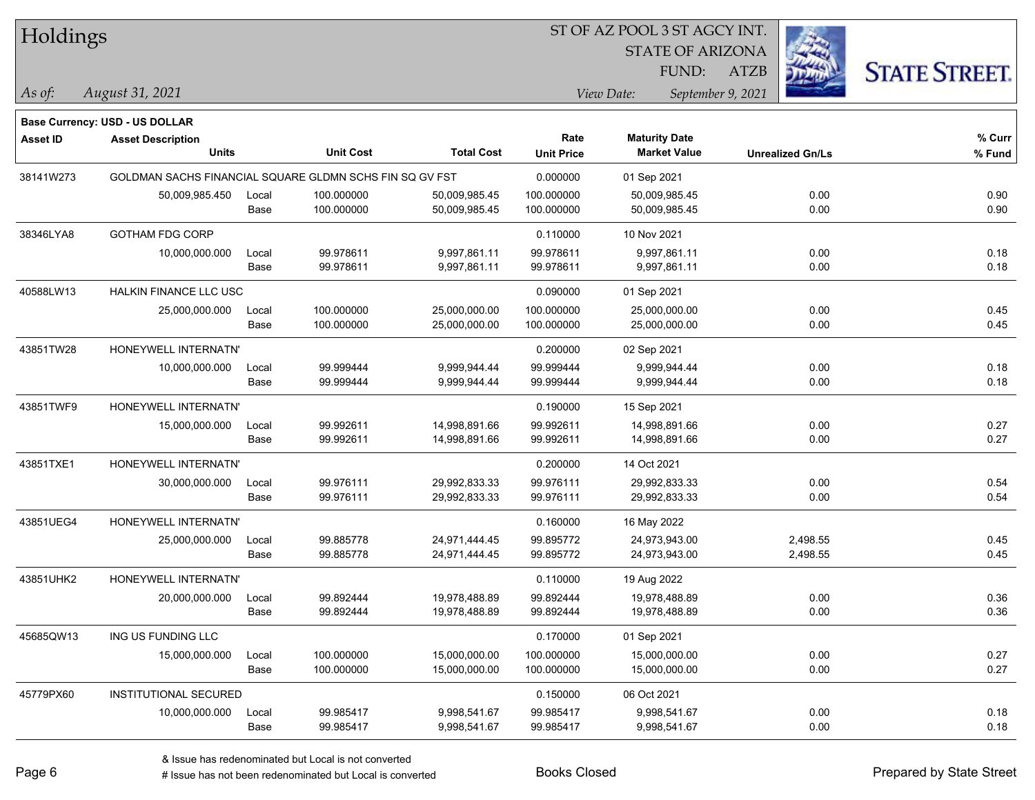Holdings

#### ST OF AZ POOL 3 ST AGCY INT.

STATE OF ARIZONA

ATZB



**Base Currency: USD - US DOLLAR**

*August 31, 2021 As of: View Date: September 9, 2021* FUND:

| <b>Asset ID</b> | <b>Asset Description</b>      |                                                         |                  |                   | Rate              | <b>Maturity Date</b> |                         | % Curr |
|-----------------|-------------------------------|---------------------------------------------------------|------------------|-------------------|-------------------|----------------------|-------------------------|--------|
|                 | <b>Units</b>                  |                                                         | <b>Unit Cost</b> | <b>Total Cost</b> | <b>Unit Price</b> | <b>Market Value</b>  | <b>Unrealized Gn/Ls</b> | % Fund |
| 38141W273       |                               | GOLDMAN SACHS FINANCIAL SQUARE GLDMN SCHS FIN SQ GV FST |                  |                   | 0.000000          | 01 Sep 2021          |                         |        |
|                 | 50,009,985.450                | Local                                                   | 100.000000       | 50,009,985.45     | 100.000000        | 50,009,985.45        | 0.00                    | 0.90   |
|                 |                               | Base                                                    | 100.000000       | 50,009,985.45     | 100.000000        | 50,009,985.45        | 0.00                    | 0.90   |
| 38346LYA8       | <b>GOTHAM FDG CORP</b>        |                                                         |                  |                   | 0.110000          | 10 Nov 2021          |                         |        |
|                 | 10,000,000.000                | Local                                                   | 99.978611        | 9,997,861.11      | 99.978611         | 9,997,861.11         | 0.00                    | 0.18   |
|                 |                               | Base                                                    | 99.978611        | 9,997,861.11      | 99.978611         | 9,997,861.11         | 0.00                    | 0.18   |
| 40588LW13       | <b>HALKIN FINANCE LLC USC</b> |                                                         |                  |                   | 0.090000          | 01 Sep 2021          |                         |        |
|                 | 25,000,000.000                | Local                                                   | 100.000000       | 25,000,000.00     | 100.000000        | 25,000,000.00        | 0.00                    | 0.45   |
|                 |                               | Base                                                    | 100.000000       | 25,000,000.00     | 100.000000        | 25,000,000.00        | 0.00                    | 0.45   |
| 43851TW28       | HONEYWELL INTERNATN'          |                                                         |                  |                   | 0.200000          | 02 Sep 2021          |                         |        |
|                 | 10,000,000.000                | Local                                                   | 99.999444        | 9,999,944.44      | 99.999444         | 9,999,944.44         | 0.00                    | 0.18   |
|                 |                               | Base                                                    | 99.999444        | 9,999,944.44      | 99.999444         | 9,999,944.44         | 0.00                    | 0.18   |
| 43851TWF9       | HONEYWELL INTERNATN'          |                                                         |                  |                   | 0.190000          | 15 Sep 2021          |                         |        |
|                 | 15,000,000.000                | Local                                                   | 99.992611        | 14,998,891.66     | 99.992611         | 14,998,891.66        | 0.00                    | 0.27   |
|                 |                               | Base                                                    | 99.992611        | 14,998,891.66     | 99.992611         | 14,998,891.66        | 0.00                    | 0.27   |
| 43851TXE1       | HONEYWELL INTERNATN'          |                                                         |                  |                   | 0.200000          | 14 Oct 2021          |                         |        |
|                 | 30,000,000.000                | Local                                                   | 99.976111        | 29,992,833.33     | 99.976111         | 29,992,833.33        | 0.00                    | 0.54   |
|                 |                               | Base                                                    | 99.976111        | 29,992,833.33     | 99.976111         | 29,992,833.33        | 0.00                    | 0.54   |
| 43851UEG4       | HONEYWELL INTERNATN'          |                                                         |                  |                   | 0.160000          | 16 May 2022          |                         |        |
|                 | 25,000,000.000                | Local                                                   | 99.885778        | 24,971,444.45     | 99.895772         | 24,973,943.00        | 2,498.55                | 0.45   |
|                 |                               | Base                                                    | 99.885778        | 24,971,444.45     | 99.895772         | 24,973,943.00        | 2,498.55                | 0.45   |
| 43851UHK2       | HONEYWELL INTERNATN'          |                                                         |                  |                   | 0.110000          | 19 Aug 2022          |                         |        |
|                 | 20,000,000.000                | Local                                                   | 99.892444        | 19,978,488.89     | 99.892444         | 19,978,488.89        | 0.00                    | 0.36   |
|                 |                               | Base                                                    | 99.892444        | 19,978,488.89     | 99.892444         | 19,978,488.89        | 0.00                    | 0.36   |
| 45685QW13       | ING US FUNDING LLC            |                                                         |                  |                   | 0.170000          | 01 Sep 2021          |                         |        |
|                 | 15,000,000.000                | Local                                                   | 100.000000       | 15,000,000.00     | 100.000000        | 15,000,000.00        | 0.00                    | 0.27   |
|                 |                               | Base                                                    | 100.000000       | 15,000,000.00     | 100.000000        | 15,000,000.00        | 0.00                    | 0.27   |
| 45779PX60       | <b>INSTITUTIONAL SECURED</b>  |                                                         |                  |                   | 0.150000          | 06 Oct 2021          |                         |        |
|                 | 10,000,000.000                | Local                                                   | 99.985417        | 9,998,541.67      | 99.985417         | 9,998,541.67         | 0.00                    | 0.18   |
|                 |                               | Base                                                    | 99.985417        | 9,998,541.67      | 99.985417         | 9,998,541.67         | 0.00                    | 0.18   |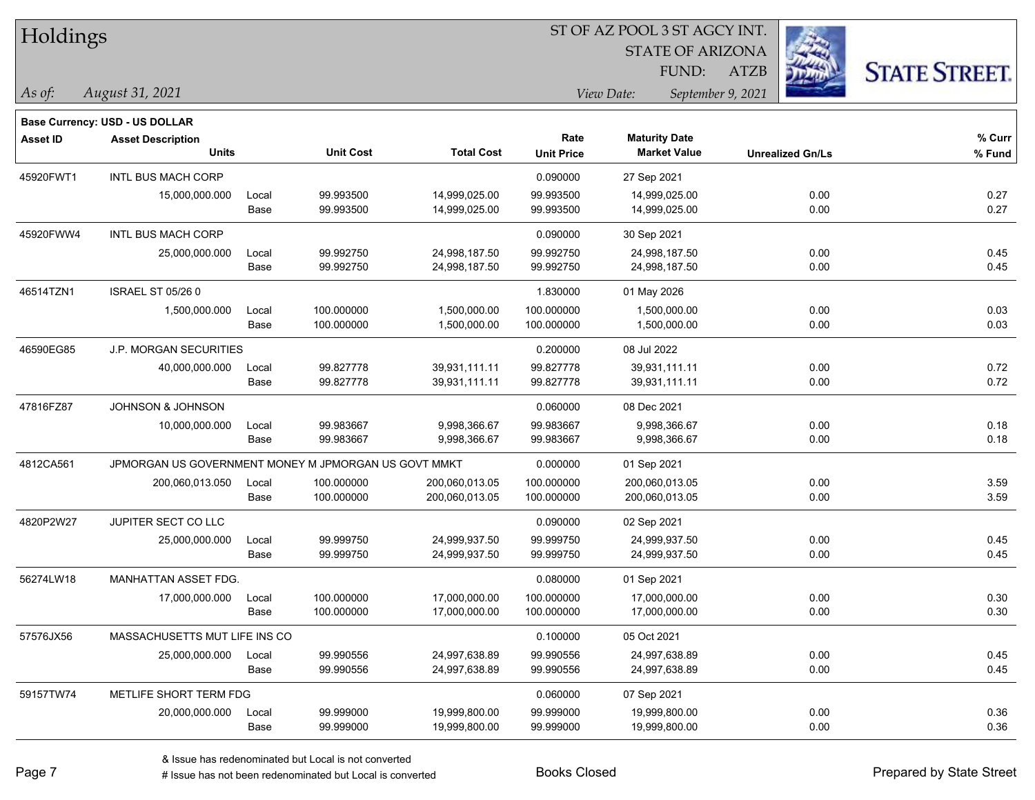| Holdings |  |  |
|----------|--|--|
|          |  |  |

STATE OF ARIZONA FUND:

ATZB



*As of: View Date: September 9, 2021*

| As of: | August 31, 2021 |
|--------|-----------------|
|        |                 |

|                 | Base Currency: USD - US DOLLAR                       |               |                          |                                  |                           |                                             |                         |                  |
|-----------------|------------------------------------------------------|---------------|--------------------------|----------------------------------|---------------------------|---------------------------------------------|-------------------------|------------------|
| <b>Asset ID</b> | <b>Asset Description</b><br><b>Units</b>             |               | <b>Unit Cost</b>         | <b>Total Cost</b>                | Rate<br><b>Unit Price</b> | <b>Maturity Date</b><br><b>Market Value</b> | <b>Unrealized Gn/Ls</b> | % Curr<br>% Fund |
| 45920FWT1       | <b>INTL BUS MACH CORP</b>                            |               |                          |                                  | 0.090000                  | 27 Sep 2021                                 |                         |                  |
|                 | 15,000,000.000                                       | Local<br>Base | 99.993500<br>99.993500   | 14,999,025.00<br>14,999,025.00   | 99.993500<br>99.993500    | 14,999,025.00<br>14,999,025.00              | 0.00<br>0.00            | 0.27<br>0.27     |
| 45920FWW4       | INTL BUS MACH CORP                                   |               |                          |                                  | 0.090000                  | 30 Sep 2021                                 |                         |                  |
|                 | 25,000,000.000                                       | Local<br>Base | 99.992750<br>99.992750   | 24,998,187.50<br>24,998,187.50   | 99.992750<br>99.992750    | 24,998,187.50<br>24,998,187.50              | 0.00<br>0.00            | 0.45<br>0.45     |
| 46514TZN1       | <b>ISRAEL ST 05/26 0</b>                             |               |                          |                                  | 1.830000                  | 01 May 2026                                 |                         |                  |
|                 | 1,500,000.000                                        | Local<br>Base | 100.000000<br>100.000000 | 1,500,000.00<br>1,500,000.00     | 100.000000<br>100.000000  | 1,500,000.00<br>1,500,000.00                | 0.00<br>0.00            | 0.03<br>0.03     |
| 46590EG85       | <b>J.P. MORGAN SECURITIES</b>                        |               |                          |                                  | 0.200000                  | 08 Jul 2022                                 |                         |                  |
|                 | 40,000,000.000                                       | Local<br>Base | 99.827778<br>99.827778   | 39,931,111.11<br>39,931,111.11   | 99.827778<br>99.827778    | 39,931,111.11<br>39,931,111.11              | 0.00<br>0.00            | 0.72<br>0.72     |
| 47816FZ87       | JOHNSON & JOHNSON                                    |               |                          |                                  | 0.060000                  | 08 Dec 2021                                 |                         |                  |
|                 | 10,000,000.000                                       | Local<br>Base | 99.983667<br>99.983667   | 9,998,366.67<br>9,998,366.67     | 99.983667<br>99.983667    | 9,998,366.67<br>9,998,366.67                | 0.00<br>0.00            | 0.18<br>0.18     |
| 4812CA561       | JPMORGAN US GOVERNMENT MONEY M JPMORGAN US GOVT MMKT |               |                          |                                  | 0.000000                  | 01 Sep 2021                                 |                         |                  |
|                 | 200,060,013.050                                      | Local<br>Base | 100.000000<br>100.000000 | 200,060,013.05<br>200,060,013.05 | 100.000000<br>100.000000  | 200,060,013.05<br>200,060,013.05            | 0.00<br>0.00            | 3.59<br>3.59     |
| 4820P2W27       | <b>JUPITER SECT CO LLC</b>                           |               |                          |                                  | 0.090000                  | 02 Sep 2021                                 |                         |                  |
|                 | 25,000,000.000                                       | Local<br>Base | 99.999750<br>99.999750   | 24,999,937.50<br>24,999,937.50   | 99.999750<br>99.999750    | 24,999,937.50<br>24,999,937.50              | 0.00<br>0.00            | 0.45<br>0.45     |
| 56274LW18       | MANHATTAN ASSET FDG.                                 |               |                          |                                  | 0.080000                  | 01 Sep 2021                                 |                         |                  |
|                 | 17,000,000.000                                       | Local<br>Base | 100.000000<br>100.000000 | 17,000,000.00<br>17,000,000.00   | 100.000000<br>100.000000  | 17,000,000.00<br>17,000,000.00              | 0.00<br>0.00            | 0.30<br>0.30     |
| 57576JX56       | MASSACHUSETTS MUT LIFE INS CO                        |               |                          |                                  | 0.100000                  | 05 Oct 2021                                 |                         |                  |
|                 | 25,000,000.000                                       | Local<br>Base | 99.990556<br>99.990556   | 24,997,638.89<br>24,997,638.89   | 99.990556<br>99.990556    | 24,997,638.89<br>24,997,638.89              | 0.00<br>0.00            | 0.45<br>0.45     |
| 59157TW74       | METLIFE SHORT TERM FDG                               |               |                          |                                  | 0.060000                  | 07 Sep 2021                                 |                         |                  |
|                 | 20,000,000.000                                       | Local<br>Base | 99.999000<br>99.999000   | 19,999,800.00<br>19,999,800.00   | 99.999000<br>99.999000    | 19,999,800.00<br>19,999,800.00              | 0.00<br>0.00            | 0.36<br>0.36     |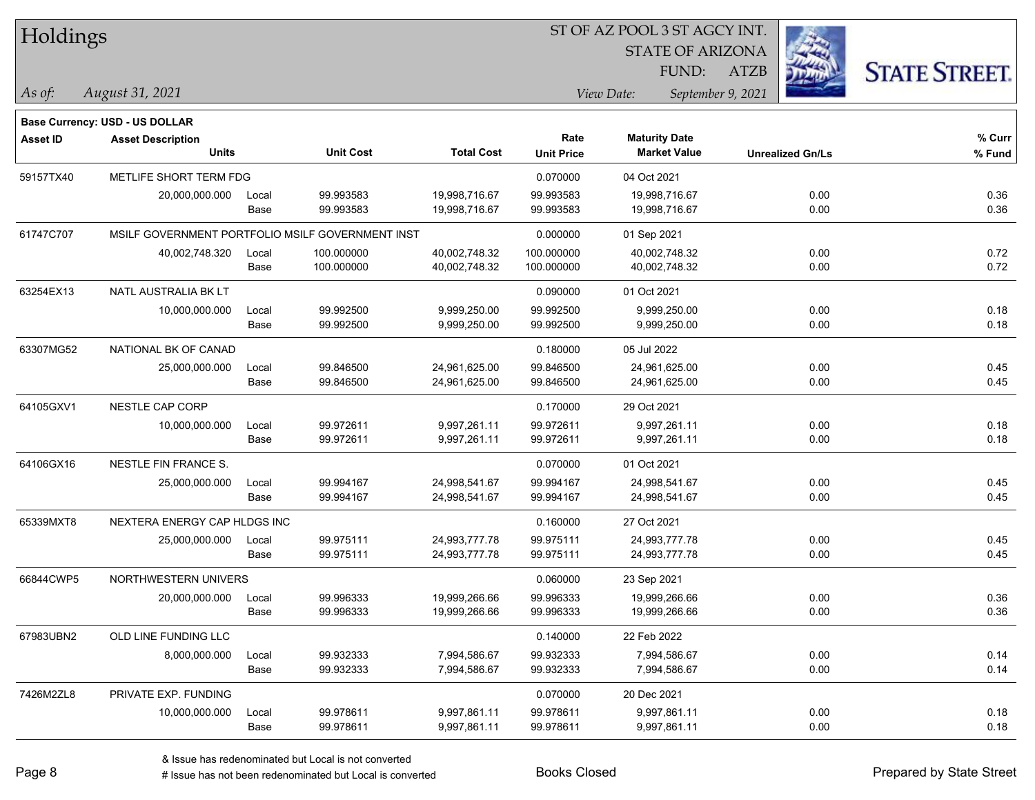| Holdings        |                                                  |       |                  |                   |                   | ST OF AZ POOL 3 ST AGCY INT.<br><b>STATE OF ARIZONA</b> |                   |                         |                      |
|-----------------|--------------------------------------------------|-------|------------------|-------------------|-------------------|---------------------------------------------------------|-------------------|-------------------------|----------------------|
|                 |                                                  |       |                  |                   |                   | FUND:                                                   | <b>ATZB</b>       |                         |                      |
| As of:          | August 31, 2021                                  |       |                  |                   |                   | View Date:                                              | September 9, 2021 |                         | <b>STATE STREET.</b> |
|                 |                                                  |       |                  |                   |                   |                                                         |                   |                         |                      |
|                 | Base Currency: USD - US DOLLAR                   |       |                  |                   | Rate              | <b>Maturity Date</b>                                    |                   |                         | % Curr               |
| <b>Asset ID</b> | <b>Asset Description</b><br><b>Units</b>         |       | <b>Unit Cost</b> | <b>Total Cost</b> | <b>Unit Price</b> | <b>Market Value</b>                                     |                   | <b>Unrealized Gn/Ls</b> | % Fund               |
| 59157TX40       | METLIFE SHORT TERM FDG                           |       |                  |                   | 0.070000          | 04 Oct 2021                                             |                   |                         |                      |
|                 | 20,000,000.000                                   | Local | 99.993583        | 19,998,716.67     | 99.993583         | 19,998,716.67                                           |                   | 0.00                    | 0.36                 |
|                 |                                                  | Base  | 99.993583        | 19,998,716.67     | 99.993583         | 19,998,716.67                                           |                   | 0.00                    | 0.36                 |
| 61747C707       | MSILF GOVERNMENT PORTFOLIO MSILF GOVERNMENT INST |       |                  |                   | 0.000000          | 01 Sep 2021                                             |                   |                         |                      |
|                 | 40,002,748.320                                   | Local | 100.000000       | 40,002,748.32     | 100.000000        | 40,002,748.32                                           |                   | 0.00                    | 0.72                 |
|                 |                                                  | Base  | 100.000000       | 40,002,748.32     | 100.000000        | 40,002,748.32                                           |                   | 0.00                    | 0.72                 |
| 63254EX13       | NATL AUSTRALIA BK LT                             |       |                  |                   | 0.090000          | 01 Oct 2021                                             |                   |                         |                      |
|                 | 10,000,000.000                                   | Local | 99.992500        | 9,999,250.00      | 99.992500         | 9,999,250.00                                            |                   | 0.00                    | 0.18                 |
|                 |                                                  | Base  | 99.992500        | 9,999,250.00      | 99.992500         | 9,999,250.00                                            |                   | 0.00                    | 0.18                 |
| 63307MG52       | NATIONAL BK OF CANAD                             |       |                  |                   | 0.180000          | 05 Jul 2022                                             |                   |                         |                      |
|                 | 25,000,000.000                                   | Local | 99.846500        | 24,961,625.00     | 99.846500         | 24,961,625.00                                           |                   | 0.00                    | 0.45                 |
|                 |                                                  | Base  | 99.846500        | 24,961,625.00     | 99.846500         | 24,961,625.00                                           |                   | 0.00                    | 0.45                 |
| 64105GXV1       | NESTLE CAP CORP                                  |       |                  |                   | 0.170000          | 29 Oct 2021                                             |                   |                         |                      |
|                 | 10,000,000.000                                   | Local | 99.972611        | 9,997,261.11      | 99.972611         | 9,997,261.11                                            |                   | 0.00                    | 0.18                 |
|                 |                                                  | Base  | 99.972611        | 9,997,261.11      | 99.972611         | 9,997,261.11                                            |                   | 0.00                    | 0.18                 |
| 64106GX16       | NESTLE FIN FRANCE S.                             |       |                  |                   | 0.070000          | 01 Oct 2021                                             |                   |                         |                      |
|                 | 25,000,000.000                                   | Local | 99.994167        | 24,998,541.67     | 99.994167         | 24,998,541.67                                           |                   | 0.00                    | 0.45                 |
|                 |                                                  | Base  | 99.994167        | 24,998,541.67     | 99.994167         | 24,998,541.67                                           |                   | 0.00                    | 0.45                 |
| 65339MXT8       | NEXTERA ENERGY CAP HLDGS INC                     |       |                  |                   | 0.160000          | 27 Oct 2021                                             |                   |                         |                      |
|                 | 25,000,000.000                                   | Local | 99.975111        | 24,993,777.78     | 99.975111         | 24,993,777.78                                           |                   | 0.00                    | 0.45                 |
|                 |                                                  | Base  | 99.975111        | 24,993,777.78     | 99.975111         | 24,993,777.78                                           |                   | 0.00                    | 0.45                 |
| 66844CWP5       | NORTHWESTERN UNIVERS                             |       |                  |                   | 0.060000          | 23 Sep 2021                                             |                   |                         |                      |
|                 | 20,000,000.000                                   | Local | 99.996333        | 19,999,266.66     | 99.996333         | 19,999,266.66                                           |                   | 0.00                    | 0.36                 |
|                 |                                                  | Base  | 99.996333        | 19,999,266.66     | 99.996333         | 19,999,266.66                                           |                   | 0.00                    | 0.36                 |
| 67983UBN2       | OLD LINE FUNDING LLC                             |       |                  |                   | 0.140000          | 22 Feb 2022                                             |                   |                         |                      |
|                 | 8,000,000.000                                    | Local | 99.932333        | 7,994,586.67      | 99.932333         | 7,994,586.67                                            |                   | 0.00                    | 0.14                 |
|                 |                                                  | Base  | 99.932333        | 7,994,586.67      | 99.932333         | 7,994,586.67                                            |                   | 0.00                    | 0.14                 |
| 7426M2ZL8       | PRIVATE EXP. FUNDING                             |       |                  |                   | 0.070000          | 20 Dec 2021                                             |                   |                         |                      |
|                 | 10,000,000.000                                   | Local | 99.978611        | 9,997,861.11      | 99.978611         | 9,997,861.11                                            |                   | 0.00                    | 0.18                 |
|                 |                                                  | Base  | 99.978611        | 9,997,861.11      | 99.978611         | 9,997,861.11                                            |                   | 0.00                    | 0.18                 |

 $\overline{\phantom{0}}$ 

 $\overline{\phantom{a}}$ 

 $\overline{\phantom{0}}$ 

 $\overline{\phantom{0}}$ 

 $\overline{\phantom{0}}$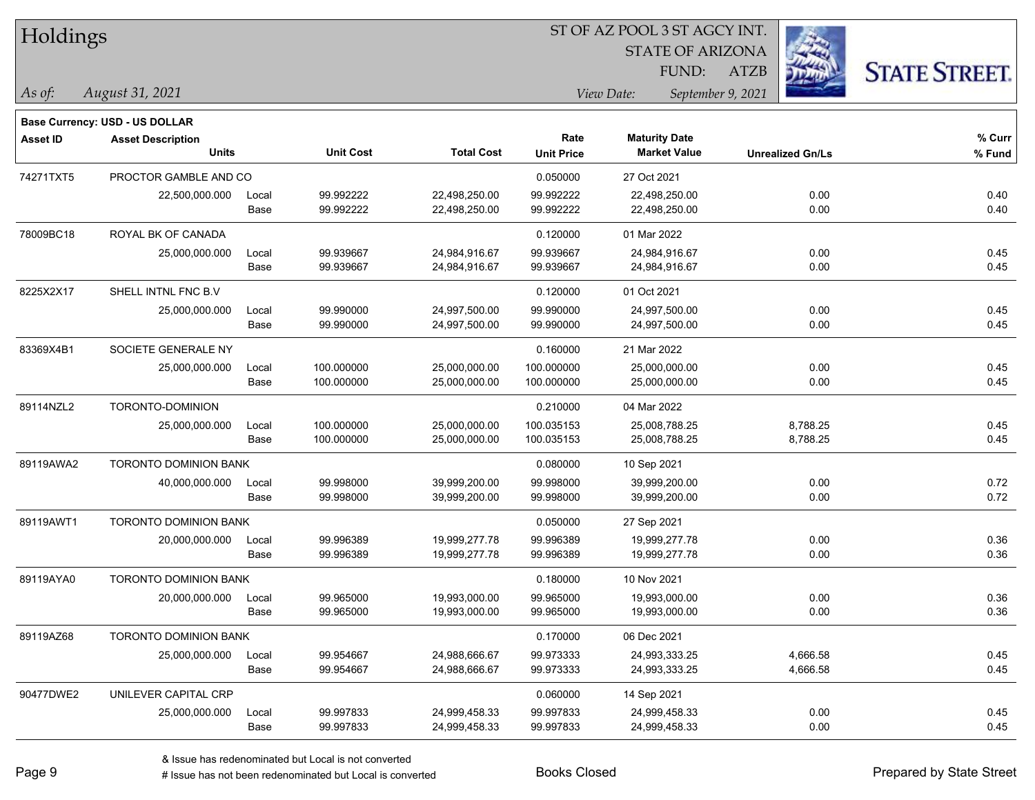|  | <b>Holdings</b> |
|--|-----------------|
|  |                 |

STATE OF ARIZONA

ATZB



**Base Currency: USD - US DOLLAR**

| <b>Asset ID</b> | <b>Asset Description</b>     |       |                  |                   | Rate              | <b>Maturity Date</b> |                         | % Curr |  |
|-----------------|------------------------------|-------|------------------|-------------------|-------------------|----------------------|-------------------------|--------|--|
|                 | <b>Units</b>                 |       | <b>Unit Cost</b> | <b>Total Cost</b> | <b>Unit Price</b> | <b>Market Value</b>  | <b>Unrealized Gn/Ls</b> | % Fund |  |
| 74271TXT5       | PROCTOR GAMBLE AND CO        |       |                  |                   | 0.050000          | 27 Oct 2021          |                         |        |  |
|                 | 22,500,000.000               | Local | 99.992222        | 22,498,250.00     | 99.992222         | 22,498,250.00        | 0.00                    | 0.40   |  |
|                 |                              | Base  | 99.992222        | 22,498,250.00     | 99.992222         | 22,498,250.00        | 0.00                    | 0.40   |  |
| 78009BC18       | ROYAL BK OF CANADA           |       |                  |                   | 0.120000          | 01 Mar 2022          |                         |        |  |
|                 | 25,000,000.000               | Local | 99.939667        | 24,984,916.67     | 99.939667         | 24,984,916.67        | 0.00                    | 0.45   |  |
|                 |                              | Base  | 99.939667        | 24,984,916.67     | 99.939667         | 24,984,916.67        | 0.00                    | 0.45   |  |
| 8225X2X17       | SHELL INTNL FNC B.V.         |       |                  |                   | 0.120000          | 01 Oct 2021          |                         |        |  |
|                 | 25,000,000.000               | Local | 99.990000        | 24,997,500.00     | 99.990000         | 24,997,500.00        | 0.00                    | 0.45   |  |
|                 |                              | Base  | 99.990000        | 24,997,500.00     | 99.990000         | 24,997,500.00        | 0.00                    | 0.45   |  |
| 83369X4B1       | SOCIETE GENERALE NY          |       |                  |                   | 0.160000          | 21 Mar 2022          |                         |        |  |
|                 | 25,000,000.000               | Local | 100.000000       | 25,000,000.00     | 100.000000        | 25,000,000.00        | 0.00                    | 0.45   |  |
|                 |                              | Base  | 100.000000       | 25,000,000.00     | 100.000000        | 25,000,000.00        | 0.00                    | 0.45   |  |
| 89114NZL2       | TORONTO-DOMINION             |       |                  |                   | 0.210000          | 04 Mar 2022          |                         |        |  |
|                 | 25,000,000.000               | Local | 100.000000       | 25,000,000.00     | 100.035153        | 25,008,788.25        | 8,788.25                | 0.45   |  |
|                 |                              | Base  | 100.000000       | 25,000,000.00     | 100.035153        | 25,008,788.25        | 8,788.25                | 0.45   |  |
| 89119AWA2       | TORONTO DOMINION BANK        |       |                  |                   | 0.080000          | 10 Sep 2021          |                         |        |  |
|                 | 40,000,000.000               | Local | 99.998000        | 39,999,200.00     | 99.998000         | 39,999,200.00        | 0.00                    | 0.72   |  |
|                 |                              | Base  | 99.998000        | 39,999,200.00     | 99.998000         | 39,999,200.00        | 0.00                    | 0.72   |  |
| 89119AWT1       | TORONTO DOMINION BANK        |       |                  |                   | 0.050000          | 27 Sep 2021          |                         |        |  |
|                 | 20,000,000.000               | Local | 99.996389        | 19,999,277.78     | 99.996389         | 19,999,277.78        | 0.00                    | 0.36   |  |
|                 |                              | Base  | 99.996389        | 19,999,277.78     | 99.996389         | 19,999,277.78        | 0.00                    | 0.36   |  |
| 89119AYA0       | <b>TORONTO DOMINION BANK</b> |       |                  |                   | 0.180000          | 10 Nov 2021          |                         |        |  |
|                 | 20,000,000.000               | Local | 99.965000        | 19,993,000.00     | 99.965000         | 19,993,000.00        | 0.00                    | 0.36   |  |
|                 |                              | Base  | 99.965000        | 19,993,000.00     | 99.965000         | 19,993,000.00        | 0.00                    | 0.36   |  |
| 89119AZ68       | <b>TORONTO DOMINION BANK</b> |       |                  |                   | 0.170000          | 06 Dec 2021          |                         |        |  |
|                 | 25,000,000.000               | Local | 99.954667        | 24,988,666.67     | 99.973333         | 24,993,333.25        | 4,666.58                | 0.45   |  |
|                 |                              | Base  | 99.954667        | 24,988,666.67     | 99.973333         | 24,993,333.25        | 4,666.58                | 0.45   |  |
| 90477DWE2       | UNILEVER CAPITAL CRP         |       |                  |                   | 0.060000          | 14 Sep 2021          |                         |        |  |
|                 | 25,000,000.000               | Local | 99.997833        | 24,999,458.33     | 99.997833         | 24,999,458.33        | 0.00                    | 0.45   |  |
|                 |                              | Base  | 99.997833        | 24,999,458.33     | 99.997833         | 24,999,458.33        | 0.00                    | 0.45   |  |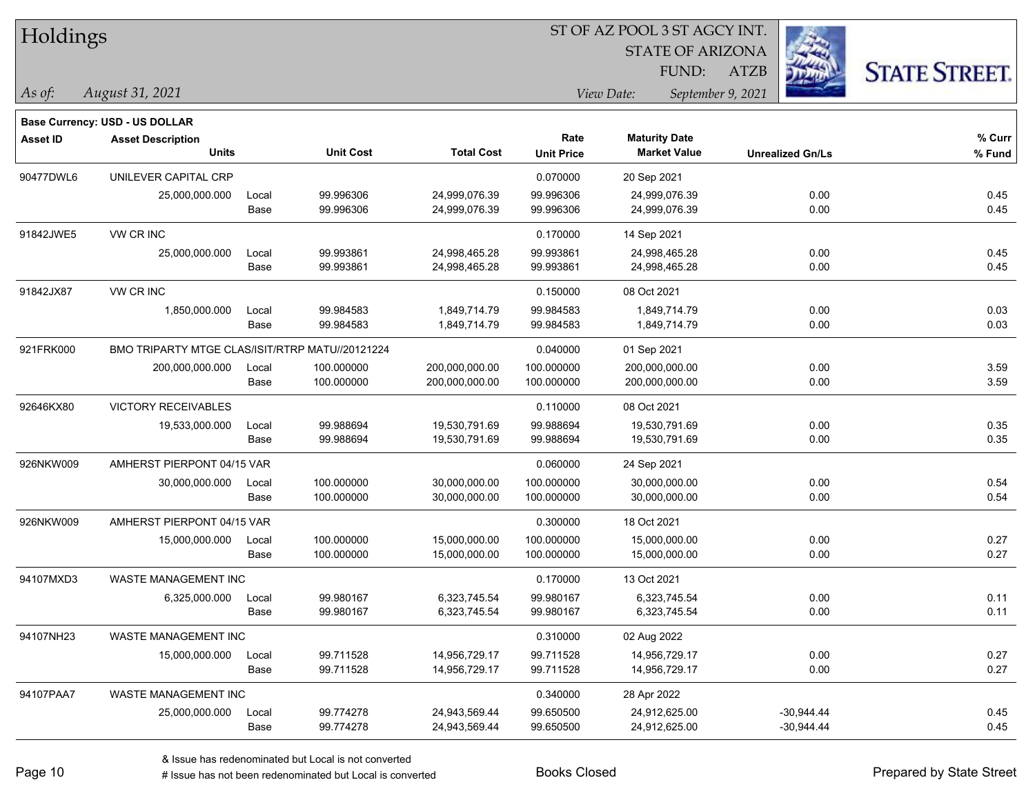| Holdings |
|----------|
|          |

STATE OF ARIZONA FUND:

ATZB



*As of: View Date: September 9, 2021*

| As of: | August 31, 2021 |  |
|--------|-----------------|--|
|        |                 |  |

|           | Base Currency: USD - US DOLLAR                  |       |                  |                   |                   |                      |                         |        |
|-----------|-------------------------------------------------|-------|------------------|-------------------|-------------------|----------------------|-------------------------|--------|
| Asset ID  | <b>Asset Description</b>                        |       |                  |                   | Rate              | <b>Maturity Date</b> |                         | % Curr |
|           | <b>Units</b>                                    |       | <b>Unit Cost</b> | <b>Total Cost</b> | <b>Unit Price</b> | <b>Market Value</b>  | <b>Unrealized Gn/Ls</b> | % Fund |
| 90477DWL6 | UNILEVER CAPITAL CRP                            |       |                  |                   | 0.070000          | 20 Sep 2021          |                         |        |
|           | 25,000,000.000                                  | Local | 99.996306        | 24,999,076.39     | 99.996306         | 24,999,076.39        | 0.00                    | 0.45   |
|           |                                                 | Base  | 99.996306        | 24,999,076.39     | 99.996306         | 24,999,076.39        | 0.00                    | 0.45   |
| 91842JWE5 | <b>VW CR INC</b>                                |       |                  |                   | 0.170000          | 14 Sep 2021          |                         |        |
|           | 25,000,000.000                                  | Local | 99.993861        | 24,998,465.28     | 99.993861         | 24,998,465.28        | 0.00                    | 0.45   |
|           |                                                 | Base  | 99.993861        | 24,998,465.28     | 99.993861         | 24,998,465.28        | 0.00                    | 0.45   |
| 91842JX87 | VW CR INC                                       |       |                  |                   | 0.150000          | 08 Oct 2021          |                         |        |
|           | 1,850,000.000                                   | Local | 99.984583        | 1,849,714.79      | 99.984583         | 1,849,714.79         | 0.00                    | 0.03   |
|           |                                                 | Base  | 99.984583        | 1,849,714.79      | 99.984583         | 1,849,714.79         | 0.00                    | 0.03   |
| 921FRK000 | BMO TRIPARTY MTGE CLAS/ISIT/RTRP MATU//20121224 |       |                  |                   | 0.040000          | 01 Sep 2021          |                         |        |
|           | 200,000,000.000                                 | Local | 100.000000       | 200,000,000.00    | 100.000000        | 200,000,000.00       | 0.00                    | 3.59   |
|           |                                                 | Base  | 100.000000       | 200,000,000.00    | 100.000000        | 200,000,000.00       | 0.00                    | 3.59   |
| 92646KX80 | <b>VICTORY RECEIVABLES</b>                      |       |                  |                   | 0.110000          | 08 Oct 2021          |                         |        |
|           | 19,533,000.000                                  | Local | 99.988694        | 19,530,791.69     | 99.988694         | 19.530.791.69        | 0.00                    | 0.35   |
|           |                                                 | Base  | 99.988694        | 19,530,791.69     | 99.988694         | 19,530,791.69        | 0.00                    | 0.35   |
| 926NKW009 | AMHERST PIERPONT 04/15 VAR                      |       |                  |                   | 0.060000          | 24 Sep 2021          |                         |        |
|           | 30,000,000.000                                  | Local | 100.000000       | 30,000,000.00     | 100.000000        | 30,000,000.00        | 0.00                    | 0.54   |
|           |                                                 | Base  | 100.000000       | 30,000,000.00     | 100.000000        | 30,000,000.00        | 0.00                    | 0.54   |
| 926NKW009 | AMHERST PIERPONT 04/15 VAR                      |       |                  |                   | 0.300000          | 18 Oct 2021          |                         |        |
|           | 15,000,000.000                                  | Local | 100.000000       | 15,000,000.00     | 100.000000        | 15,000,000.00        | 0.00                    | 0.27   |
|           |                                                 | Base  | 100.000000       | 15,000,000.00     | 100.000000        | 15,000,000.00        | 0.00                    | 0.27   |
| 94107MXD3 | <b>WASTE MANAGEMENT INC</b>                     |       |                  |                   | 0.170000          | 13 Oct 2021          |                         |        |
|           | 6,325,000.000                                   | Local | 99.980167        | 6,323,745.54      | 99.980167         | 6,323,745.54         | 0.00                    | 0.11   |
|           |                                                 | Base  | 99.980167        | 6,323,745.54      | 99.980167         | 6,323,745.54         | 0.00                    | 0.11   |
| 94107NH23 | WASTE MANAGEMENT INC                            |       |                  |                   | 0.310000          | 02 Aug 2022          |                         |        |
|           | 15,000,000.000                                  | Local | 99.711528        | 14,956,729.17     | 99.711528         | 14,956,729.17        | 0.00                    | 0.27   |
|           |                                                 | Base  | 99.711528        | 14,956,729.17     | 99.711528         | 14,956,729.17        | 0.00                    | 0.27   |
| 94107PAA7 | WASTE MANAGEMENT INC                            |       |                  |                   | 0.340000          | 28 Apr 2022          |                         |        |
|           | 25,000,000.000                                  | Local | 99.774278        | 24,943,569.44     | 99.650500         | 24,912,625.00        | $-30,944.44$            | 0.45   |
|           |                                                 | Base  | 99.774278        | 24,943,569.44     | 99.650500         | 24,912,625.00        | $-30,944.44$            | 0.45   |
|           |                                                 |       |                  |                   |                   |                      |                         |        |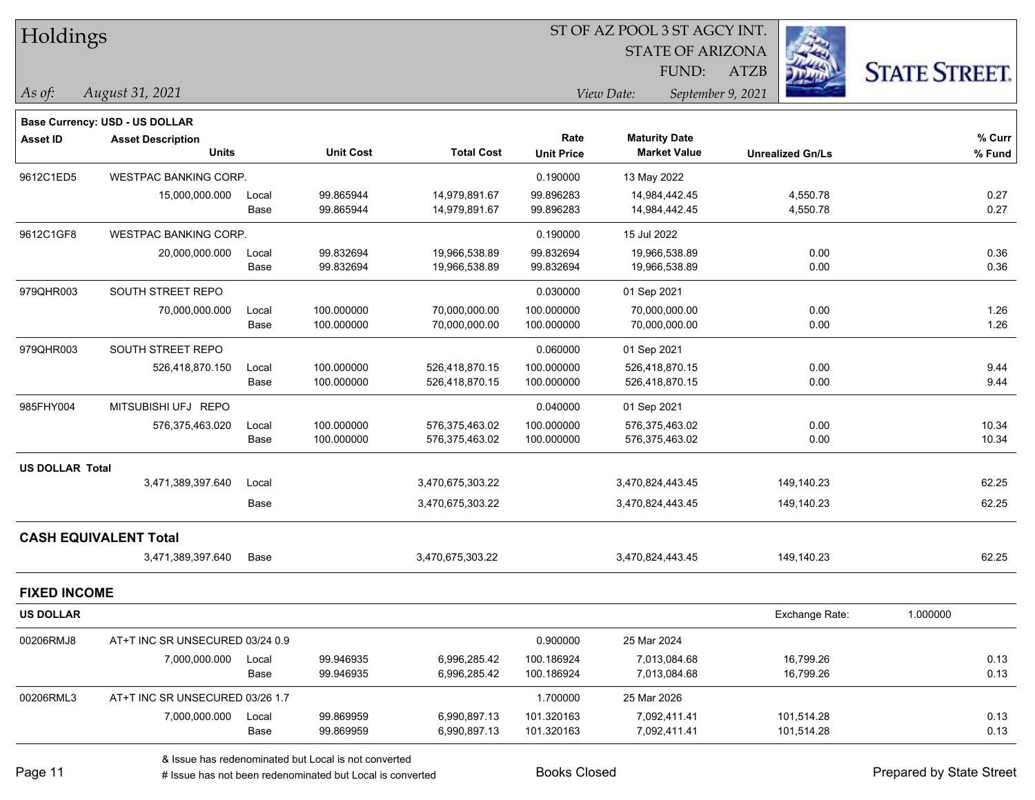| Holdings<br>As of:     | August 31, 2021                                                   |               |                          |                                  |                          | 51 OF AZ POOL 3 51 AGCY INT.<br><b>STATE OF ARIZONA</b><br>FUND:<br>View Date: | <b>ATZB</b><br>September 9, 2021 | <b>STATE STREET.</b> |
|------------------------|-------------------------------------------------------------------|---------------|--------------------------|----------------------------------|--------------------------|--------------------------------------------------------------------------------|----------------------------------|----------------------|
|                        |                                                                   |               |                          |                                  |                          |                                                                                |                                  |                      |
| <b>Asset ID</b>        | <b>Base Currency: USD - US DOLLAR</b><br><b>Asset Description</b> |               |                          |                                  | Rate                     | <b>Maturity Date</b>                                                           |                                  | % Curr               |
|                        | <b>Units</b>                                                      |               | <b>Unit Cost</b>         | <b>Total Cost</b>                | <b>Unit Price</b>        | <b>Market Value</b>                                                            | <b>Unrealized Gn/Ls</b>          | % Fund               |
| 9612C1ED5              | WESTPAC BANKING CORP.                                             |               |                          |                                  | 0.190000                 | 13 May 2022                                                                    |                                  |                      |
|                        | 15,000,000.000                                                    | Local<br>Base | 99.865944<br>99.865944   | 14,979,891.67<br>14,979,891.67   | 99.896283<br>99.896283   | 14,984,442.45<br>14,984,442.45                                                 | 4,550.78<br>4,550.78             | 0.27<br>0.27         |
| 9612C1GF8              | <b>WESTPAC BANKING CORP.</b>                                      |               |                          |                                  | 0.190000                 | 15 Jul 2022                                                                    |                                  |                      |
|                        | 20,000,000.000                                                    | Local<br>Base | 99.832694<br>99.832694   | 19,966,538.89<br>19,966,538.89   | 99.832694<br>99.832694   | 19,966,538.89<br>19,966,538.89                                                 | 0.00<br>0.00                     | 0.36<br>0.36         |
| 979QHR003              | SOUTH STREET REPO                                                 |               |                          |                                  | 0.030000                 | 01 Sep 2021                                                                    |                                  |                      |
|                        | 70,000,000.000                                                    | Local<br>Base | 100.000000<br>100.000000 | 70,000,000.00<br>70,000,000.00   | 100.000000<br>100.000000 | 70,000,000.00<br>70,000,000.00                                                 | 0.00<br>0.00                     | 1.26<br>1.26         |
| 979QHR003              | SOUTH STREET REPO                                                 |               |                          |                                  | 0.060000                 | 01 Sep 2021                                                                    |                                  |                      |
|                        | 526,418,870.150                                                   | Local<br>Base | 100.000000<br>100.000000 | 526,418,870.15<br>526,418,870.15 | 100.000000<br>100.000000 | 526,418,870.15<br>526,418,870.15                                               | 0.00<br>0.00                     | 9.44<br>9.44         |
| 985FHY004              | MITSUBISHI UFJ REPO                                               |               |                          |                                  | 0.040000                 | 01 Sep 2021                                                                    |                                  |                      |
|                        | 576,375,463.020                                                   | Local<br>Base | 100.000000<br>100.000000 | 576,375,463.02<br>576,375,463.02 | 100.000000<br>100.000000 | 576,375,463.02<br>576,375,463.02                                               | 0.00<br>0.00                     | 10.34<br>10.34       |
| <b>US DOLLAR Total</b> |                                                                   |               |                          |                                  |                          |                                                                                |                                  |                      |
|                        | 3,471,389,397.640                                                 | Local         |                          | 3,470,675,303.22                 |                          | 3,470,824,443.45                                                               | 149,140.23                       | 62.25                |
|                        |                                                                   | Base          |                          | 3,470,675,303.22                 |                          | 3,470,824,443.45                                                               | 149,140.23                       | 62.25                |
|                        | <b>CASH EQUIVALENT Total</b>                                      |               |                          |                                  |                          |                                                                                |                                  |                      |
|                        | 3,471,389,397.640                                                 | Base          |                          | 3,470,675,303.22                 |                          | 3,470,824,443.45                                                               | 149,140.23                       | 62.25                |
| <b>FIXED INCOME</b>    |                                                                   |               |                          |                                  |                          |                                                                                |                                  |                      |
| <b>US DOLLAR</b>       |                                                                   |               |                          |                                  |                          |                                                                                | Exchange Rate:                   | 1.000000             |
| 00206RMJ8              | AT+T INC SR UNSECURED 03/24 0.9                                   |               |                          |                                  | 0.900000                 | 25 Mar 2024                                                                    |                                  |                      |
|                        | 7,000,000.000                                                     | Local         | 99.946935                | 6,996,285.42                     | 100.186924               | 7,013,084.68                                                                   | 16,799.26                        | 0.13                 |
|                        |                                                                   | Base          | 99.946935                | 6,996,285.42                     | 100.186924               | 7,013,084.68                                                                   | 16,799.26                        | 0.13                 |
| 00206RML3              | AT+T INC SR UNSECURED 03/26 1.7                                   |               |                          |                                  | 1.700000                 | 25 Mar 2026                                                                    |                                  |                      |
|                        | 7,000,000.000                                                     | Local<br>Base | 99.869959<br>99.869959   | 6,990,897.13<br>6,990,897.13     | 101.320163<br>101.320163 | 7,092,411.41<br>7,092,411.41                                                   | 101,514.28<br>101,514.28         | 0.13<br>0.13         |
|                        |                                                                   |               |                          |                                  |                          |                                                                                |                                  |                      |

 $STOTAT$   $STQO$   $STQ$   $STQ$   $STQ$   $STQ$   $STQ$ 

& Issue has redenominated but Local is not converted

# Issue has not been redenominated but Local is converted Books Closed Prepared by State Street

٦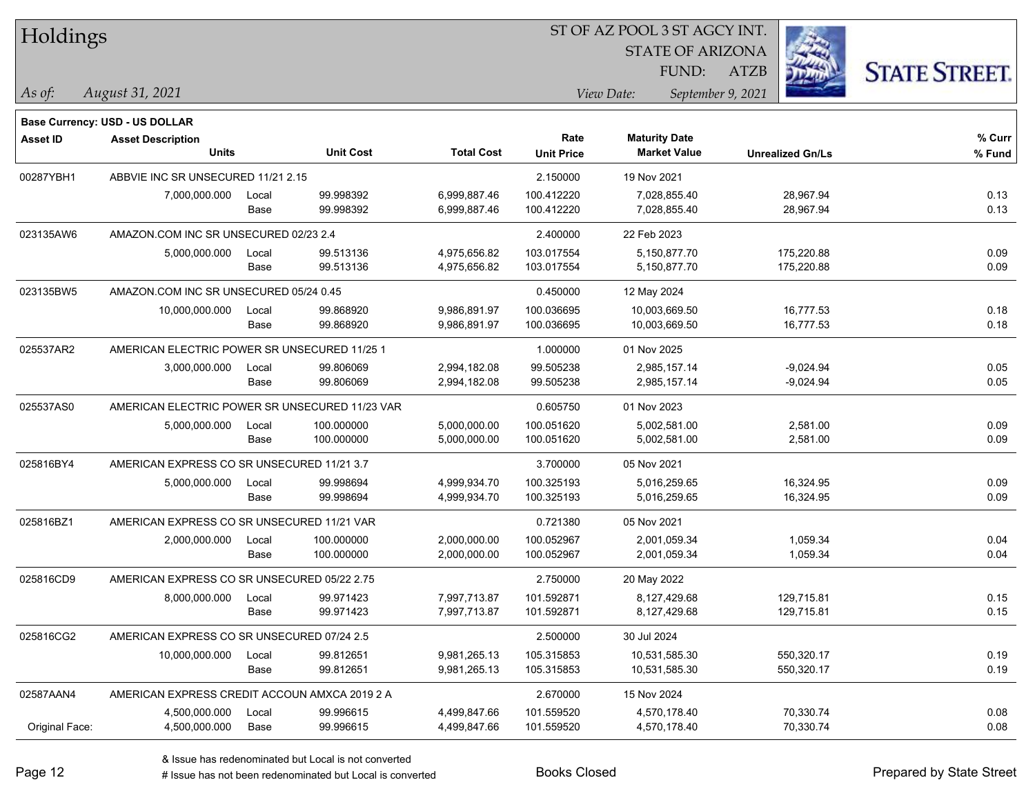| Holdings        |                                                |       |                  |                   |                                 | ST OF AZ POOL 3 ST AGCY INT. |                         |                      |
|-----------------|------------------------------------------------|-------|------------------|-------------------|---------------------------------|------------------------------|-------------------------|----------------------|
|                 |                                                |       |                  |                   |                                 | <b>STATE OF ARIZONA</b>      |                         |                      |
|                 |                                                |       |                  |                   |                                 | FUND:                        | <b>ATZB</b>             | <b>STATE STREET.</b> |
| As of:          | August 31, 2021                                |       |                  |                   | View Date:<br>September 9, 2021 |                              |                         |                      |
|                 | <b>Base Currency: USD - US DOLLAR</b>          |       |                  |                   |                                 |                              |                         |                      |
| <b>Asset ID</b> | <b>Asset Description</b>                       |       |                  |                   | Rate                            | <b>Maturity Date</b>         |                         | % Curr               |
|                 | <b>Units</b>                                   |       | <b>Unit Cost</b> | <b>Total Cost</b> | <b>Unit Price</b>               | <b>Market Value</b>          | <b>Unrealized Gn/Ls</b> | % Fund               |
| 00287YBH1       | ABBVIE INC SR UNSECURED 11/21 2.15             |       |                  |                   | 2.150000                        | 19 Nov 2021                  |                         |                      |
|                 | 7,000,000.000                                  | Local | 99.998392        | 6,999,887.46      | 100.412220                      | 7,028,855.40                 | 28,967.94               | 0.13                 |
|                 |                                                | Base  | 99.998392        | 6,999,887.46      | 100.412220                      | 7,028,855.40                 | 28,967.94               | 0.13                 |
| 023135AW6       | AMAZON.COM INC SR UNSECURED 02/23 2.4          |       |                  |                   | 2.400000                        | 22 Feb 2023                  |                         |                      |
|                 | 5,000,000.000                                  | Local | 99.513136        | 4,975,656.82      | 103.017554                      | 5,150,877.70                 | 175,220.88              | 0.09                 |
|                 |                                                | Base  | 99.513136        | 4,975,656.82      | 103.017554                      | 5,150,877.70                 | 175,220.88              | 0.09                 |
| 023135BW5       | AMAZON.COM INC SR UNSECURED 05/24 0.45         |       |                  |                   | 0.450000                        | 12 May 2024                  |                         |                      |
|                 | 10,000,000.000                                 | Local | 99.868920        | 9,986,891.97      | 100.036695                      | 10,003,669.50                | 16,777.53               | 0.18                 |
|                 |                                                | Base  | 99.868920        | 9,986,891.97      | 100.036695                      | 10,003,669.50                | 16,777.53               | 0.18                 |
| 025537AR2       | AMERICAN ELECTRIC POWER SR UNSECURED 11/25 1   |       |                  |                   | 1.000000                        | 01 Nov 2025                  |                         |                      |
|                 | 3,000,000.000                                  | Local | 99.806069        | 2,994,182.08      | 99.505238                       | 2,985,157.14                 | $-9,024.94$             | 0.05                 |
|                 |                                                | Base  | 99.806069        | 2,994,182.08      | 99.505238                       | 2,985,157.14                 | $-9,024.94$             | 0.05                 |
| 025537AS0       | AMERICAN ELECTRIC POWER SR UNSECURED 11/23 VAR |       |                  |                   | 0.605750                        | 01 Nov 2023                  |                         |                      |
|                 | 5,000,000.000                                  | Local | 100.000000       | 5,000,000.00      | 100.051620                      | 5,002,581.00                 | 2,581.00                | 0.09                 |
|                 |                                                | Base  | 100.000000       | 5,000,000.00      | 100.051620                      | 5,002,581.00                 | 2,581.00                | 0.09                 |
| 025816BY4       | AMERICAN EXPRESS CO SR UNSECURED 11/21 3.7     |       |                  | 3.700000          | 05 Nov 2021                     |                              |                         |                      |
|                 | 5,000,000.000                                  | Local | 99.998694        | 4,999,934.70      | 100.325193                      | 5,016,259.65                 | 16,324.95               | 0.09                 |
|                 |                                                | Base  | 99.998694        | 4,999,934.70      | 100.325193                      | 5,016,259.65                 | 16,324.95               | 0.09                 |
| 025816BZ1       | AMERICAN EXPRESS CO SR UNSECURED 11/21 VAR     |       |                  |                   | 0.721380                        | 05 Nov 2021                  |                         |                      |
|                 | 2,000,000.000                                  | Local | 100.000000       | 2,000,000.00      | 100.052967                      | 2,001,059.34                 | 1,059.34                | 0.04                 |
|                 |                                                | Base  | 100.000000       | 2,000,000.00      | 100.052967                      | 2,001,059.34                 | 1,059.34                | 0.04                 |
| 025816CD9       | AMERICAN EXPRESS CO SR UNSECURED 05/22 2.75    |       |                  |                   | 2.750000                        | 20 May 2022                  |                         |                      |
|                 | 8,000,000.000                                  | Local | 99.971423        | 7,997,713.87      | 101.592871                      | 8,127,429.68                 | 129,715.81              | 0.15                 |
|                 |                                                | Base  | 99.971423        | 7,997,713.87      | 101.592871                      | 8,127,429.68                 | 129,715.81              | 0.15                 |
| 025816CG2       | AMERICAN EXPRESS CO SR UNSECURED 07/24 2.5     |       |                  |                   | 2.500000                        | 30 Jul 2024                  |                         |                      |
|                 | 10,000,000.000                                 | Local | 99.812651        | 9,981,265.13      | 105.315853                      | 10,531,585.30                | 550,320.17              | 0.19                 |
|                 |                                                | Base  | 99.812651        | 9,981,265.13      | 105.315853                      | 10,531,585.30                | 550,320.17              | 0.19                 |
| 02587AAN4       | AMERICAN EXPRESS CREDIT ACCOUN AMXCA 2019 2 A  |       |                  |                   | 2.670000                        | 15 Nov 2024                  |                         |                      |
|                 | 4,500,000.000                                  | Local | 99.996615        | 4,499,847.66      | 101.559520                      | 4,570,178.40                 | 70,330.74               | 0.08                 |
| Original Face:  | 4,500,000.000                                  | Base  | 99.996615        | 4,499,847.66      | 101.559520                      | 4,570,178.40                 | 70,330.74               | 0.08                 |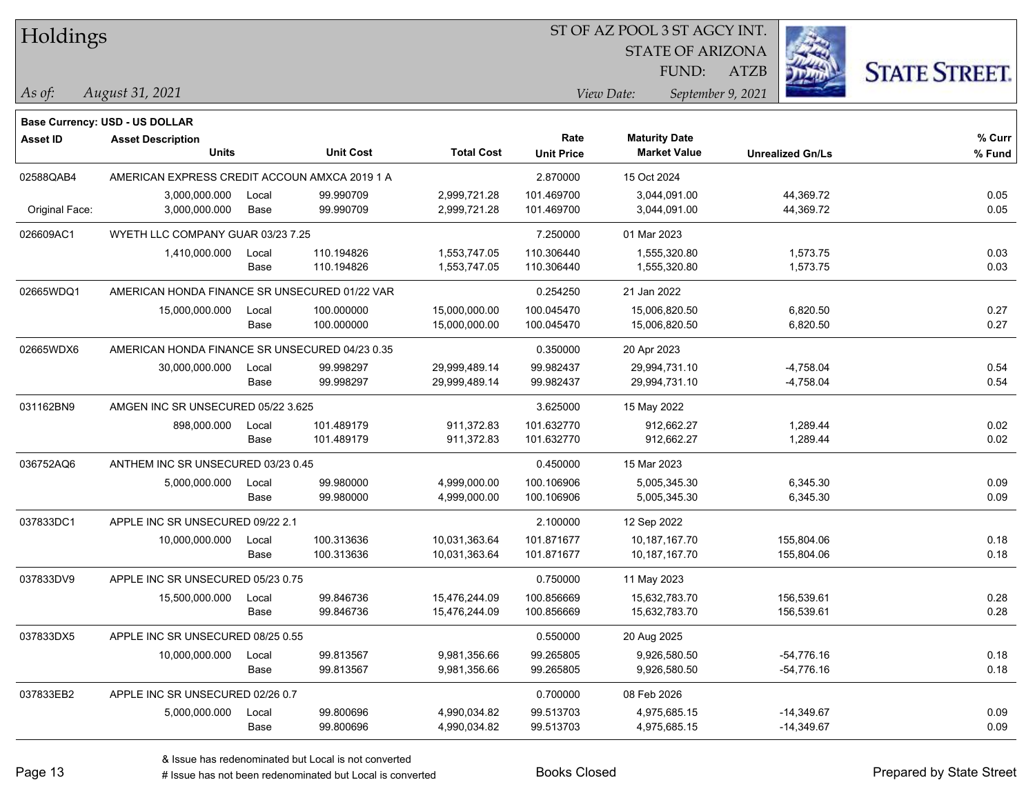| Holdings |
|----------|
|----------|

STATE OF ARIZONA

ATZB



*August 31, 2021 As of: View Date: September 9, 2021*

**Base Currency: USD - US DOLLAR**

FUND:

| Asset ID       | <b>Asset Description</b><br><b>Units</b>       |       | <b>Unit Cost</b> | <b>Total Cost</b> | Rate<br><b>Unit Price</b> | <b>Maturity Date</b><br><b>Market Value</b> | <b>Unrealized Gn/Ls</b> | % Curr<br>% Fund |
|----------------|------------------------------------------------|-------|------------------|-------------------|---------------------------|---------------------------------------------|-------------------------|------------------|
|                |                                                |       |                  |                   |                           |                                             |                         |                  |
| 02588QAB4      | AMERICAN EXPRESS CREDIT ACCOUN AMXCA 2019 1 A  |       |                  |                   | 2.870000                  | 15 Oct 2024                                 |                         |                  |
|                | 3,000,000.000                                  | Local | 99.990709        | 2,999,721.28      | 101.469700                | 3,044,091.00                                | 44,369.72               | 0.05             |
| Original Face: | 3,000,000.000                                  | Base  | 99.990709        | 2,999,721.28      | 101.469700                | 3,044,091.00                                | 44,369.72               | 0.05             |
| 026609AC1      | WYETH LLC COMPANY GUAR 03/23 7.25              |       |                  |                   | 7.250000                  | 01 Mar 2023                                 |                         |                  |
|                | 1,410,000.000                                  | Local | 110.194826       | 1,553,747.05      | 110.306440                | 1,555,320.80                                | 1,573.75                | 0.03             |
|                |                                                | Base  | 110.194826       | 1,553,747.05      | 110.306440                | 1,555,320.80                                | 1,573.75                | 0.03             |
| 02665WDQ1      | AMERICAN HONDA FINANCE SR UNSECURED 01/22 VAR  |       |                  |                   | 0.254250                  | 21 Jan 2022                                 |                         |                  |
|                | 15,000,000.000                                 | Local | 100.000000       | 15,000,000.00     | 100.045470                | 15,006,820.50                               | 6,820.50                | 0.27             |
|                |                                                | Base  | 100.000000       | 15,000,000.00     | 100.045470                | 15,006,820.50                               | 6,820.50                | 0.27             |
| 02665WDX6      | AMERICAN HONDA FINANCE SR UNSECURED 04/23 0.35 |       |                  |                   | 0.350000                  | 20 Apr 2023                                 |                         |                  |
|                | 30,000,000.000                                 | Local | 99.998297        | 29,999,489.14     | 99.982437                 | 29,994,731.10                               | $-4,758.04$             | 0.54             |
|                |                                                | Base  | 99.998297        | 29,999,489.14     | 99.982437                 | 29,994,731.10                               | $-4,758.04$             | 0.54             |
| 031162BN9      | AMGEN INC SR UNSECURED 05/22 3.625             |       |                  |                   | 3.625000                  | 15 May 2022                                 |                         |                  |
|                | 898,000.000                                    | Local | 101.489179       | 911,372.83        | 101.632770                | 912,662.27                                  | 1,289.44                | 0.02             |
|                |                                                | Base  | 101.489179       | 911,372.83        | 101.632770                | 912,662.27                                  | 1,289.44                | 0.02             |
| 036752AQ6      | ANTHEM INC SR UNSECURED 03/23 0.45             |       |                  |                   | 0.450000                  | 15 Mar 2023                                 |                         |                  |
|                | 5,000,000.000                                  | Local | 99.980000        | 4,999,000.00      | 100.106906                | 5,005,345.30                                | 6,345.30                | 0.09             |
|                |                                                | Base  | 99.980000        | 4,999,000.00      | 100.106906                | 5,005,345.30                                | 6,345.30                | 0.09             |
| 037833DC1      | APPLE INC SR UNSECURED 09/22 2.1               |       |                  |                   | 2.100000                  | 12 Sep 2022                                 |                         |                  |
|                | 10,000,000.000                                 | Local | 100.313636       | 10,031,363.64     | 101.871677                | 10,187,167.70                               | 155,804.06              | 0.18             |
|                |                                                | Base  | 100.313636       | 10,031,363.64     | 101.871677                | 10,187,167.70                               | 155,804.06              | 0.18             |
| 037833DV9      | APPLE INC SR UNSECURED 05/23 0.75              |       |                  |                   | 0.750000                  | 11 May 2023                                 |                         |                  |
|                | 15,500,000.000                                 | Local | 99.846736        | 15,476,244.09     | 100.856669                | 15,632,783.70                               | 156,539.61              | 0.28             |
|                |                                                | Base  | 99.846736        | 15,476,244.09     | 100.856669                | 15,632,783.70                               | 156,539.61              | 0.28             |
| 037833DX5      | APPLE INC SR UNSECURED 08/25 0.55              |       |                  |                   | 0.550000                  | 20 Aug 2025                                 |                         |                  |
|                | 10,000,000.000                                 | Local | 99.813567        | 9,981,356.66      | 99.265805                 | 9,926,580.50                                | $-54,776.16$            | 0.18             |
|                |                                                | Base  | 99.813567        | 9,981,356.66      | 99.265805                 | 9,926,580.50                                | -54,776.16              | 0.18             |
| 037833EB2      | APPLE INC SR UNSECURED 02/26 0.7               |       |                  |                   | 0.700000                  | 08 Feb 2026                                 |                         |                  |
|                | 5,000,000.000                                  | Local | 99.800696        | 4,990,034.82      | 99.513703                 | 4,975,685.15                                | $-14,349.67$            | 0.09             |
|                |                                                | Base  | 99.800696        | 4,990,034.82      | 99.513703                 | 4,975,685.15                                | $-14,349.67$            | 0.09             |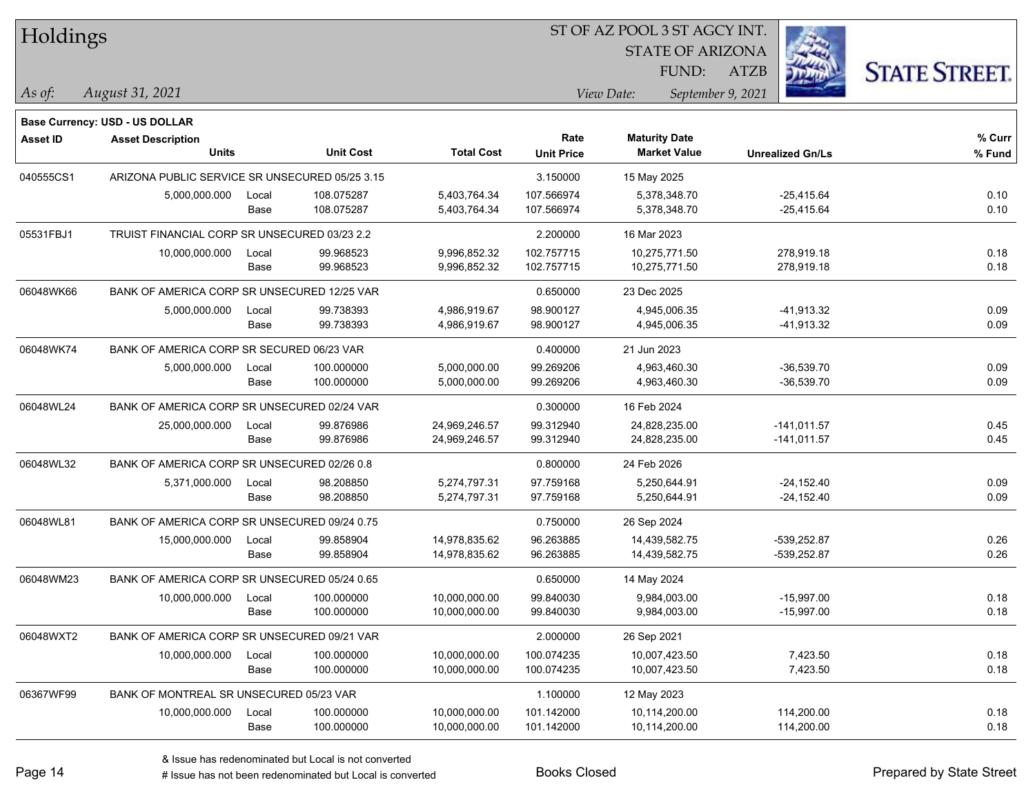| Holdings       |                                                                   |       |                  |                   |                   | ST OF AZ POOL 3 ST AGCY INT. |                         |                      |  |
|----------------|-------------------------------------------------------------------|-------|------------------|-------------------|-------------------|------------------------------|-------------------------|----------------------|--|
|                |                                                                   |       |                  |                   |                   | <b>STATE OF ARIZONA</b>      |                         |                      |  |
|                |                                                                   |       |                  |                   |                   | <b>FUND:</b>                 | <b>ATZB</b>             | <b>STATE STREET.</b> |  |
| $\vert$ As of: | August 31, 2021                                                   |       |                  |                   |                   | View Date:                   | September 9, 2021       |                      |  |
|                |                                                                   |       |                  |                   |                   |                              |                         |                      |  |
| Asset ID       | <b>Base Currency: USD - US DOLLAR</b><br><b>Asset Description</b> |       |                  |                   | Rate              | <b>Maturity Date</b>         |                         | % Curr               |  |
|                | <b>Units</b>                                                      |       | <b>Unit Cost</b> | <b>Total Cost</b> | <b>Unit Price</b> | <b>Market Value</b>          | <b>Unrealized Gn/Ls</b> | % Fund               |  |
| 040555CS1      | ARIZONA PUBLIC SERVICE SR UNSECURED 05/25 3.15                    |       |                  |                   | 3.150000          | 15 May 2025                  |                         |                      |  |
|                | 5,000,000.000                                                     | Local | 108.075287       | 5,403,764.34      | 107.566974        | 5.378.348.70                 | $-25,415.64$            | 0.10                 |  |
|                |                                                                   | Base  | 108.075287       | 5,403,764.34      | 107.566974        | 5,378,348.70                 | $-25,415.64$            | 0.10                 |  |
| 05531FBJ1      | TRUIST FINANCIAL CORP SR UNSECURED 03/23 2.2                      |       |                  |                   | 2.200000          | 16 Mar 2023                  |                         |                      |  |
|                | 10,000,000.000                                                    | Local | 99.968523        | 9,996,852.32      | 102.757715        | 10,275,771.50                | 278,919.18              | 0.18                 |  |
|                |                                                                   | Base  | 99.968523        | 9,996,852.32      | 102.757715        | 10,275,771.50                | 278,919.18              | 0.18                 |  |
| 06048WK66      | BANK OF AMERICA CORP SR UNSECURED 12/25 VAR                       |       |                  |                   | 0.650000          | 23 Dec 2025                  |                         |                      |  |
|                | 5,000,000.000                                                     | Local | 99.738393        | 4,986,919.67      | 98.900127         | 4,945,006.35                 | -41,913.32              | 0.09                 |  |
|                |                                                                   | Base  | 99.738393        | 4,986,919.67      | 98.900127         | 4,945,006.35                 | -41,913.32              | 0.09                 |  |
| 06048WK74      | BANK OF AMERICA CORP SR SECURED 06/23 VAR                         |       |                  |                   | 0.400000          | 21 Jun 2023                  |                         |                      |  |
|                | 5,000,000.000                                                     | Local | 100.000000       | 5,000,000.00      | 99.269206         | 4,963,460.30                 | $-36,539.70$            | 0.09                 |  |
|                |                                                                   | Base  | 100.000000       | 5,000,000.00      | 99.269206         | 4,963,460.30                 | $-36,539.70$            | 0.09                 |  |
| 06048WL24      | BANK OF AMERICA CORP SR UNSECURED 02/24 VAR                       |       |                  |                   | 0.300000          | 16 Feb 2024                  |                         |                      |  |
|                | 25,000,000.000                                                    | Local | 99.876986        | 24,969,246.57     | 99.312940         | 24,828,235.00                | $-141,011.57$           | 0.45                 |  |
|                |                                                                   | Base  | 99.876986        | 24,969,246.57     | 99.312940         | 24,828,235.00                | $-141,011.57$           | 0.45                 |  |
| 06048WL32      | BANK OF AMERICA CORP SR UNSECURED 02/26 0.8                       |       |                  |                   | 0.800000          | 24 Feb 2026                  |                         |                      |  |
|                | 5,371,000.000                                                     | Local | 98.208850        | 5,274,797.31      | 97.759168         | 5,250,644.91                 | $-24,152.40$            | 0.09                 |  |
|                |                                                                   | Base  | 98.208850        | 5,274,797.31      | 97.759168         | 5,250,644.91                 | $-24,152.40$            | 0.09                 |  |
| 06048WL81      | BANK OF AMERICA CORP SR UNSECURED 09/24 0.75                      |       |                  |                   | 0.750000          | 26 Sep 2024                  |                         |                      |  |
|                | 15,000,000.000                                                    | Local | 99.858904        | 14,978,835.62     | 96.263885         | 14,439,582.75                | -539,252.87             | 0.26                 |  |
|                |                                                                   | Base  | 99.858904        | 14,978,835.62     | 96.263885         | 14,439,582.75                | -539,252.87             | 0.26                 |  |
| 06048WM23      | BANK OF AMERICA CORP SR UNSECURED 05/24 0.65                      |       |                  |                   | 0.650000          | 14 May 2024                  |                         |                      |  |
|                | 10,000,000.000                                                    | Local | 100.000000       | 10,000,000.00     | 99.840030         | 9,984,003.00                 | $-15,997.00$            | 0.18                 |  |
|                |                                                                   | Base  | 100.000000       | 10,000,000.00     | 99.840030         | 9,984,003.00                 | $-15,997.00$            | 0.18                 |  |
| 06048WXT2      | BANK OF AMERICA CORP SR UNSECURED 09/21 VAR                       |       |                  |                   | 2.000000          | 26 Sep 2021                  |                         |                      |  |
|                | 10,000,000.000                                                    | Local | 100.000000       | 10,000,000.00     | 100.074235        | 10,007,423.50                | 7,423.50                | 0.18                 |  |
|                |                                                                   | Base  | 100.000000       | 10,000,000.00     | 100.074235        | 10,007,423.50                | 7,423.50                | 0.18                 |  |
| 06367WF99      | BANK OF MONTREAL SR UNSECURED 05/23 VAR                           |       |                  |                   | 1.100000          | 12 May 2023                  |                         |                      |  |
|                | 10,000,000.000                                                    | Local | 100.000000       | 10,000,000.00     | 101.142000        | 10,114,200.00                | 114,200.00              | 0.18                 |  |
|                |                                                                   | Base  | 100.000000       | 10,000,000.00     | 101.142000        | 10,114,200.00                | 114,200.00              | 0.18                 |  |

# Issue has not been redenominated but Local is converted Books Closed Prepared by State Street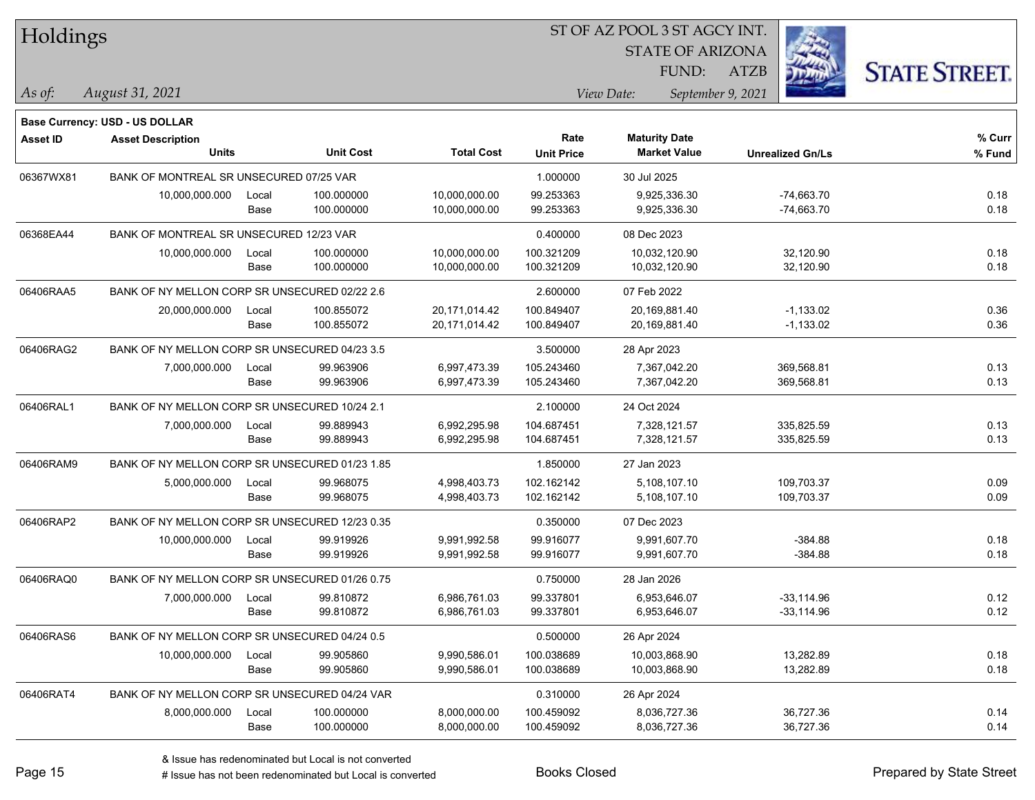| Holdings        |                                                            |       |                  |                   | ST OF AZ POOL 3 ST AGCY INT. |                         |                         |                      |
|-----------------|------------------------------------------------------------|-------|------------------|-------------------|------------------------------|-------------------------|-------------------------|----------------------|
|                 |                                                            |       |                  |                   |                              | <b>STATE OF ARIZONA</b> |                         |                      |
|                 |                                                            |       |                  |                   |                              | FUND:                   | <b>ATZB</b>             | <b>STATE STREET.</b> |
| As of:          | August 31, 2021                                            |       |                  |                   |                              | View Date:              | September 9, 2021       |                      |
|                 |                                                            |       |                  |                   |                              |                         |                         |                      |
| <b>Asset ID</b> | Base Currency: USD - US DOLLAR<br><b>Asset Description</b> |       |                  |                   | Rate                         | <b>Maturity Date</b>    |                         | % Curr               |
|                 | <b>Units</b>                                               |       | <b>Unit Cost</b> | <b>Total Cost</b> | <b>Unit Price</b>            | <b>Market Value</b>     | <b>Unrealized Gn/Ls</b> | % Fund               |
| 06367WX81       | BANK OF MONTREAL SR UNSECURED 07/25 VAR                    |       |                  |                   | 1.000000                     | 30 Jul 2025             |                         |                      |
|                 | 10,000,000.000                                             | Local | 100.000000       | 10,000,000.00     | 99.253363                    | 9,925,336.30            | $-74,663.70$            | 0.18                 |
|                 |                                                            | Base  | 100.000000       | 10,000,000.00     | 99.253363                    | 9,925,336.30            | $-74,663.70$            | 0.18                 |
| 06368EA44       | BANK OF MONTREAL SR UNSECURED 12/23 VAR                    |       |                  |                   | 0.400000                     | 08 Dec 2023             |                         |                      |
|                 | 10,000,000.000                                             | Local | 100.000000       | 10,000,000.00     | 100.321209                   | 10,032,120.90           | 32,120.90               | 0.18                 |
|                 |                                                            | Base  | 100.000000       | 10,000,000.00     | 100.321209                   | 10,032,120.90           | 32,120.90               | 0.18                 |
| 06406RAA5       | BANK OF NY MELLON CORP SR UNSECURED 02/22 2.6              |       |                  |                   | 2.600000                     | 07 Feb 2022             |                         |                      |
|                 | 20,000,000.000                                             | Local | 100.855072       | 20,171,014.42     | 100.849407                   | 20,169,881.40           | $-1,133.02$             | 0.36                 |
|                 |                                                            | Base  | 100.855072       | 20,171,014.42     | 100.849407                   | 20,169,881.40           | $-1,133.02$             | 0.36                 |
| 06406RAG2       | BANK OF NY MELLON CORP SR UNSECURED 04/23 3.5              |       |                  |                   | 3.500000                     | 28 Apr 2023             |                         |                      |
|                 | 7,000,000.000                                              | Local | 99.963906        | 6,997,473.39      | 105.243460                   | 7,367,042.20            | 369,568.81              | 0.13                 |
|                 |                                                            | Base  | 99.963906        | 6,997,473.39      | 105.243460                   | 7,367,042.20            | 369,568.81              | 0.13                 |
| 06406RAL1       | BANK OF NY MELLON CORP SR UNSECURED 10/24 2.1              |       |                  |                   | 2.100000                     | 24 Oct 2024             |                         |                      |
|                 | 7,000,000.000                                              | Local | 99.889943        | 6,992,295.98      | 104.687451                   | 7,328,121.57            | 335,825.59              | 0.13                 |
|                 |                                                            | Base  | 99.889943        | 6,992,295.98      | 104.687451                   | 7,328,121.57            | 335,825.59              | 0.13                 |
| 06406RAM9       | BANK OF NY MELLON CORP SR UNSECURED 01/23 1.85             |       |                  |                   | 1.850000                     | 27 Jan 2023             |                         |                      |
|                 | 5,000,000.000                                              | Local | 99.968075        | 4,998,403.73      | 102.162142                   | 5,108,107.10            | 109,703.37              | 0.09                 |
|                 |                                                            | Base  | 99.968075        | 4,998,403.73      | 102.162142                   | 5,108,107.10            | 109,703.37              | 0.09                 |
| 06406RAP2       | BANK OF NY MELLON CORP SR UNSECURED 12/23 0.35             |       |                  |                   | 0.350000                     | 07 Dec 2023             |                         |                      |
|                 | 10,000,000.000                                             | Local | 99.919926        | 9,991,992.58      | 99.916077                    | 9,991,607.70            | $-384.88$               | 0.18                 |
|                 |                                                            | Base  | 99.919926        | 9,991,992.58      | 99.916077                    | 9,991,607.70            | $-384.88$               | 0.18                 |
| 06406RAQ0       | BANK OF NY MELLON CORP SR UNSECURED 01/26 0.75             |       |                  |                   | 0.750000                     | 28 Jan 2026             |                         |                      |
|                 | 7,000,000.000                                              | Local | 99.810872        | 6,986,761.03      | 99.337801                    | 6,953,646.07            | $-33,114.96$            | 0.12                 |
|                 |                                                            | Base  | 99.810872        | 6,986,761.03      | 99.337801                    | 6,953,646.07            | $-33,114.96$            | 0.12                 |
| 06406RAS6       | BANK OF NY MELLON CORP SR UNSECURED 04/24 0.5              |       |                  |                   | 0.500000                     | 26 Apr 2024             |                         |                      |
|                 | 10,000,000.000                                             | Local | 99.905860        | 9,990,586.01      | 100.038689                   | 10,003,868.90           | 13,282.89               | 0.18                 |
|                 |                                                            | Base  | 99.905860        | 9,990,586.01      | 100.038689                   | 10,003,868.90           | 13,282.89               | 0.18                 |
| 06406RAT4       | BANK OF NY MELLON CORP SR UNSECURED 04/24 VAR              |       |                  |                   | 0.310000                     | 26 Apr 2024             |                         |                      |
|                 | 8,000,000.000                                              | Local | 100.000000       | 8,000,000.00      | 100.459092                   | 8,036,727.36            | 36,727.36               | 0.14                 |
|                 |                                                            | Base  | 100.000000       | 8,000,000.00      | 100.459092                   | 8,036,727.36            | 36,727.36               | 0.14                 |

# Issue has not been redenominated but Local is converted Books Closed Prepared by State Street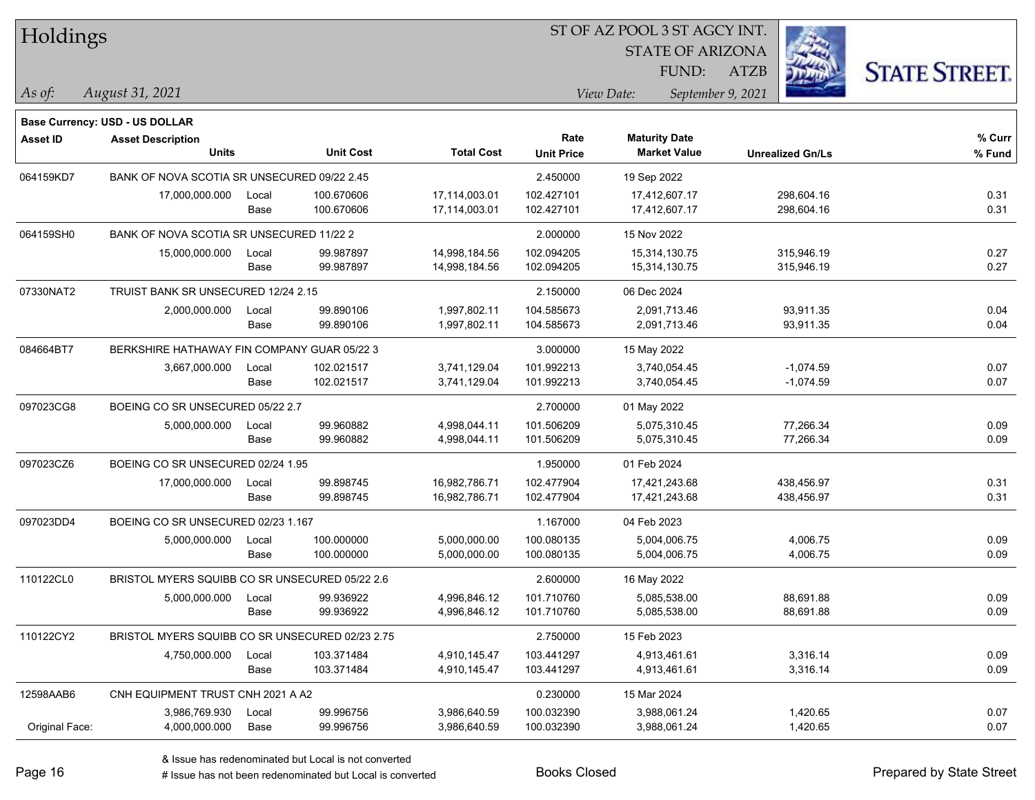| Holdings        |                                                 |       |                  |                   | 51 OF AZ POOL 3 51 AGCY INT. |                               |                      |                   |                         |                      |
|-----------------|-------------------------------------------------|-------|------------------|-------------------|------------------------------|-------------------------------|----------------------|-------------------|-------------------------|----------------------|
|                 |                                                 |       |                  |                   |                              | Ż.<br><b>STATE OF ARIZONA</b> |                      |                   |                         |                      |
|                 |                                                 |       |                  |                   |                              |                               | FUND:                | ATZB              |                         | <b>STATE STREET.</b> |
| As of:          | August 31, 2021                                 |       |                  |                   |                              | View Date:                    |                      | September 9, 2021 |                         |                      |
|                 | <b>Base Currency: USD - US DOLLAR</b>           |       |                  |                   |                              |                               |                      |                   |                         |                      |
| <b>Asset ID</b> | <b>Asset Description</b>                        |       |                  |                   | Rate                         |                               | <b>Maturity Date</b> |                   |                         | % Curr               |
|                 | <b>Units</b>                                    |       | <b>Unit Cost</b> | <b>Total Cost</b> | <b>Unit Price</b>            |                               | <b>Market Value</b>  |                   | <b>Unrealized Gn/Ls</b> | % Fund               |
| 064159KD7       | BANK OF NOVA SCOTIA SR UNSECURED 09/22 2.45     |       |                  |                   | 2.450000                     | 19 Sep 2022                   |                      |                   |                         |                      |
|                 | 17,000,000.000                                  | Local | 100.670606       | 17,114,003.01     | 102.427101                   |                               | 17,412,607.17        |                   | 298,604.16              | 0.31                 |
|                 |                                                 | Base  | 100.670606       | 17,114,003.01     | 102.427101                   |                               | 17,412,607.17        |                   | 298,604.16              | 0.31                 |
| 064159SH0       | BANK OF NOVA SCOTIA SR UNSECURED 11/22 2        |       |                  |                   | 2.000000                     | 15 Nov 2022                   |                      |                   |                         |                      |
|                 | 15,000,000.000                                  | Local | 99.987897        | 14,998,184.56     | 102.094205                   |                               | 15,314,130.75        |                   | 315,946.19              | 0.27                 |
|                 |                                                 | Base  | 99.987897        | 14,998,184.56     | 102.094205                   |                               | 15,314,130.75        |                   | 315,946.19              | 0.27                 |
| 07330NAT2       | TRUIST BANK SR UNSECURED 12/24 2.15             |       |                  |                   | 2.150000                     | 06 Dec 2024                   |                      |                   |                         |                      |
|                 | 2,000,000.000                                   | Local | 99.890106        | 1,997,802.11      | 104.585673                   |                               | 2,091,713.46         |                   | 93,911.35               | 0.04                 |
|                 |                                                 | Base  | 99.890106        | 1,997,802.11      | 104.585673                   |                               | 2,091,713.46         |                   | 93,911.35               | 0.04                 |
| 084664BT7       | BERKSHIRE HATHAWAY FIN COMPANY GUAR 05/22 3     |       |                  |                   | 3.000000                     | 15 May 2022                   |                      |                   |                         |                      |
|                 | 3,667,000.000                                   | Local | 102.021517       | 3,741,129.04      | 101.992213                   |                               | 3,740,054.45         |                   | $-1,074.59$             | 0.07                 |
|                 |                                                 | Base  | 102.021517       | 3,741,129.04      | 101.992213                   |                               | 3,740,054.45         |                   | $-1,074.59$             | 0.07                 |
| 097023CG8       | BOEING CO SR UNSECURED 05/22 2.7                |       |                  |                   | 2.700000                     | 01 May 2022                   |                      |                   |                         |                      |
|                 | 5,000,000.000                                   | Local | 99.960882        | 4,998,044.11      | 101.506209                   |                               | 5,075,310.45         |                   | 77,266.34               | 0.09                 |
|                 |                                                 | Base  | 99.960882        | 4,998,044.11      | 101.506209                   |                               | 5,075,310.45         |                   | 77,266.34               | 0.09                 |
| 097023CZ6       | BOEING CO SR UNSECURED 02/24 1.95               |       |                  |                   | 1.950000                     | 01 Feb 2024                   |                      |                   |                         |                      |
|                 | 17,000,000.000                                  | Local | 99.898745        | 16,982,786.71     | 102.477904                   |                               | 17,421,243.68        |                   | 438,456.97              | 0.31                 |
|                 |                                                 | Base  | 99.898745        | 16,982,786.71     | 102.477904                   |                               | 17,421,243.68        |                   | 438,456.97              | 0.31                 |
| 097023DD4       | BOEING CO SR UNSECURED 02/23 1.167              |       |                  |                   | 1.167000                     | 04 Feb 2023                   |                      |                   |                         |                      |
|                 | 5,000,000.000                                   | Local | 100.000000       | 5,000,000.00      | 100.080135                   |                               | 5,004,006.75         |                   | 4,006.75                | 0.09                 |
|                 |                                                 | Base  | 100.000000       | 5,000,000.00      | 100.080135                   |                               | 5,004,006.75         |                   | 4,006.75                | 0.09                 |
| 110122CL0       | BRISTOL MYERS SQUIBB CO SR UNSECURED 05/22 2.6  |       |                  |                   | 2.600000                     | 16 May 2022                   |                      |                   |                         |                      |
|                 | 5,000,000.000                                   | Local | 99.936922        | 4,996,846.12      | 101.710760                   |                               | 5,085,538.00         |                   | 88,691.88               | 0.09                 |
|                 |                                                 | Base  | 99.936922        | 4,996,846.12      | 101.710760                   |                               | 5,085,538.00         |                   | 88,691.88               | 0.09                 |
| 110122CY2       | BRISTOL MYERS SQUIBB CO SR UNSECURED 02/23 2.75 |       |                  |                   | 2.750000                     | 15 Feb 2023                   |                      |                   |                         |                      |
|                 | 4,750,000.000                                   | Local | 103.371484       | 4,910,145.47      | 103.441297                   |                               | 4,913,461.61         |                   | 3,316.14                | 0.09                 |
|                 |                                                 | Base  | 103.371484       | 4,910,145.47      | 103.441297                   |                               | 4,913,461.61         |                   | 3,316.14                | 0.09                 |
| 12598AAB6       | CNH EQUIPMENT TRUST CNH 2021 A A2               |       |                  |                   | 0.230000                     | 15 Mar 2024                   |                      |                   |                         |                      |
|                 | 3,986,769.930                                   | Local | 99.996756        | 3,986,640.59      | 100.032390                   |                               | 3,988,061.24         |                   | 1,420.65                | 0.07                 |
| Original Face:  | 4,000,000.000                                   | Base  | 99.996756        | 3,986,640.59      | 100.032390                   |                               | 3,988,061.24         |                   | 1,420.65                | 0.07                 |

ST OF A Z POOL 2 ST AGGY INT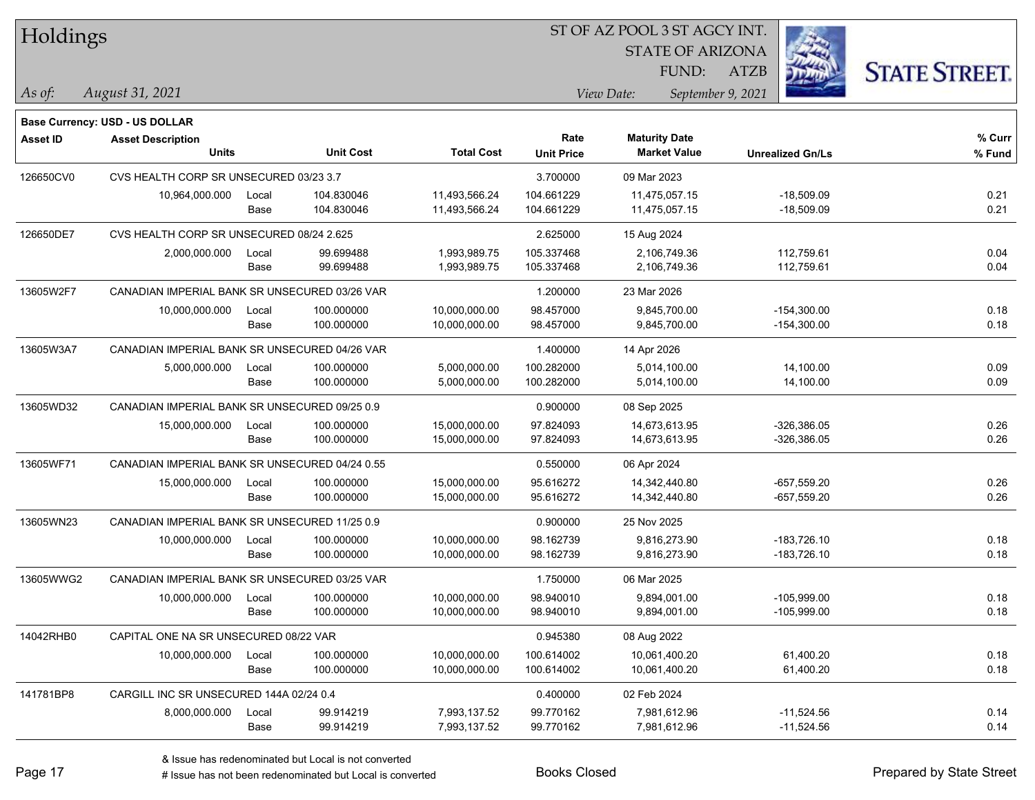| Holdings        |                                                |               |                          |                                | ST OF AZ POOL 3 ST AGCY INT. |                                             |                              |                      |  |  |
|-----------------|------------------------------------------------|---------------|--------------------------|--------------------------------|------------------------------|---------------------------------------------|------------------------------|----------------------|--|--|
|                 |                                                |               |                          |                                |                              | <b>STATE OF ARIZONA</b>                     |                              |                      |  |  |
|                 |                                                |               |                          |                                |                              | FUND:                                       | <b>ATZB</b>                  | <b>STATE STREET.</b> |  |  |
| As of:          | August 31, 2021                                |               |                          |                                |                              | View Date:                                  | September 9, 2021            |                      |  |  |
|                 |                                                |               |                          |                                |                              |                                             |                              |                      |  |  |
|                 | <b>Base Currency: USD - US DOLLAR</b>          |               |                          |                                |                              |                                             |                              |                      |  |  |
| <b>Asset ID</b> | <b>Asset Description</b><br><b>Units</b>       |               | <b>Unit Cost</b>         | <b>Total Cost</b>              | Rate<br><b>Unit Price</b>    | <b>Maturity Date</b><br><b>Market Value</b> | <b>Unrealized Gn/Ls</b>      | % Curr<br>% Fund     |  |  |
|                 |                                                |               |                          |                                |                              |                                             |                              |                      |  |  |
| 126650CV0       | CVS HEALTH CORP SR UNSECURED 03/23 3.7         |               |                          |                                | 3.700000                     | 09 Mar 2023                                 |                              |                      |  |  |
|                 | 10,964,000.000                                 | Local<br>Base | 104.830046<br>104.830046 | 11,493,566.24<br>11,493,566.24 | 104.661229<br>104.661229     | 11,475,057.15<br>11,475,057.15              | $-18,509.09$<br>$-18,509.09$ | 0.21<br>0.21         |  |  |
|                 |                                                |               |                          |                                |                              |                                             |                              |                      |  |  |
| 126650DE7       | CVS HEALTH CORP SR UNSECURED 08/24 2.625       |               |                          |                                | 2.625000                     | 15 Aug 2024                                 |                              |                      |  |  |
|                 | 2,000,000.000                                  | Local         | 99.699488<br>99.699488   | 1,993,989.75                   | 105.337468<br>105.337468     | 2,106,749.36<br>2,106,749.36                | 112,759.61<br>112,759.61     | 0.04<br>0.04         |  |  |
|                 |                                                | Base          |                          | 1,993,989.75                   |                              |                                             |                              |                      |  |  |
| 13605W2F7       | CANADIAN IMPERIAL BANK SR UNSECURED 03/26 VAR  |               |                          |                                | 1.200000                     | 23 Mar 2026                                 |                              |                      |  |  |
|                 | 10,000,000.000                                 | Local         | 100.000000               | 10,000,000.00                  | 98.457000                    | 9,845,700.00                                | $-154,300.00$                | 0.18                 |  |  |
|                 |                                                | Base          | 100.000000               | 10,000,000.00                  | 98.457000                    | 9,845,700.00                                | $-154,300.00$                | 0.18                 |  |  |
| 13605W3A7       | CANADIAN IMPERIAL BANK SR UNSECURED 04/26 VAR  |               |                          |                                | 1.400000                     | 14 Apr 2026                                 |                              |                      |  |  |
|                 | 5,000,000.000                                  | Local         | 100.000000               | 5,000,000.00                   | 100.282000                   | 5,014,100.00                                | 14,100.00                    | 0.09                 |  |  |
|                 |                                                | Base          | 100.000000               | 5,000,000.00                   | 100.282000                   | 5,014,100.00                                | 14,100.00                    | 0.09                 |  |  |
| 13605WD32       | CANADIAN IMPERIAL BANK SR UNSECURED 09/25 0.9  |               |                          |                                | 0.900000                     | 08 Sep 2025                                 |                              |                      |  |  |
|                 | 15,000,000.000                                 | Local         | 100.000000               | 15,000,000.00                  | 97.824093                    | 14,673,613.95                               | $-326,386.05$                | 0.26                 |  |  |
|                 |                                                | Base          | 100.000000               | 15,000,000.00                  | 97.824093                    | 14,673,613.95                               | $-326,386.05$                | 0.26                 |  |  |
| 13605WF71       | CANADIAN IMPERIAL BANK SR UNSECURED 04/24 0.55 |               |                          |                                | 0.550000                     | 06 Apr 2024                                 |                              |                      |  |  |
|                 | 15,000,000.000                                 | Local         | 100.000000               | 15,000,000.00                  | 95.616272                    | 14,342,440.80                               | $-657,559.20$                | 0.26                 |  |  |
|                 |                                                | Base          | 100.000000               | 15,000,000.00                  | 95.616272                    | 14,342,440.80                               | $-657,559.20$                | 0.26                 |  |  |
| 13605WN23       | CANADIAN IMPERIAL BANK SR UNSECURED 11/25 0.9  |               |                          |                                | 0.900000                     | 25 Nov 2025                                 |                              |                      |  |  |
|                 | 10,000,000.000                                 | Local         | 100.000000               | 10,000,000.00                  | 98.162739                    | 9,816,273.90                                | $-183,726.10$                | 0.18                 |  |  |
|                 |                                                | Base          | 100.000000               | 10,000,000.00                  | 98.162739                    | 9,816,273.90                                | $-183,726.10$                | 0.18                 |  |  |
| 13605WWG2       | CANADIAN IMPERIAL BANK SR UNSECURED 03/25 VAR  |               |                          |                                | 1.750000                     | 06 Mar 2025                                 |                              |                      |  |  |
|                 | 10,000,000.000                                 | Local         | 100.000000               | 10,000,000.00                  | 98.940010                    | 9,894,001.00                                | $-105,999.00$                | 0.18                 |  |  |
|                 |                                                | Base          | 100.000000               | 10,000,000.00                  | 98.940010                    | 9,894,001.00                                | $-105,999.00$                | 0.18                 |  |  |
| 14042RHB0       | CAPITAL ONE NA SR UNSECURED 08/22 VAR          |               |                          |                                | 0.945380                     | 08 Aug 2022                                 |                              |                      |  |  |
|                 | 10,000,000.000                                 | Local         | 100.000000               | 10,000,000.00                  | 100.614002                   | 10,061,400.20                               | 61,400.20                    | 0.18                 |  |  |
|                 |                                                | Base          | 100.000000               | 10,000,000.00                  | 100.614002                   | 10,061,400.20                               | 61,400.20                    | 0.18                 |  |  |
| 141781BP8       | CARGILL INC SR UNSECURED 144A 02/24 0.4        |               |                          |                                | 0.400000                     | 02 Feb 2024                                 |                              |                      |  |  |
|                 | 8,000,000.000                                  | Local         | 99.914219                | 7,993,137.52                   | 99.770162                    | 7,981,612.96                                | $-11,524.56$                 | 0.14                 |  |  |
|                 |                                                | Base          | 99.914219                | 7,993,137.52                   | 99.770162                    | 7,981,612.96                                | $-11,524.56$                 | 0.14                 |  |  |

# Issue has not been redenominated but Local is converted Books Closed Prepared by State Street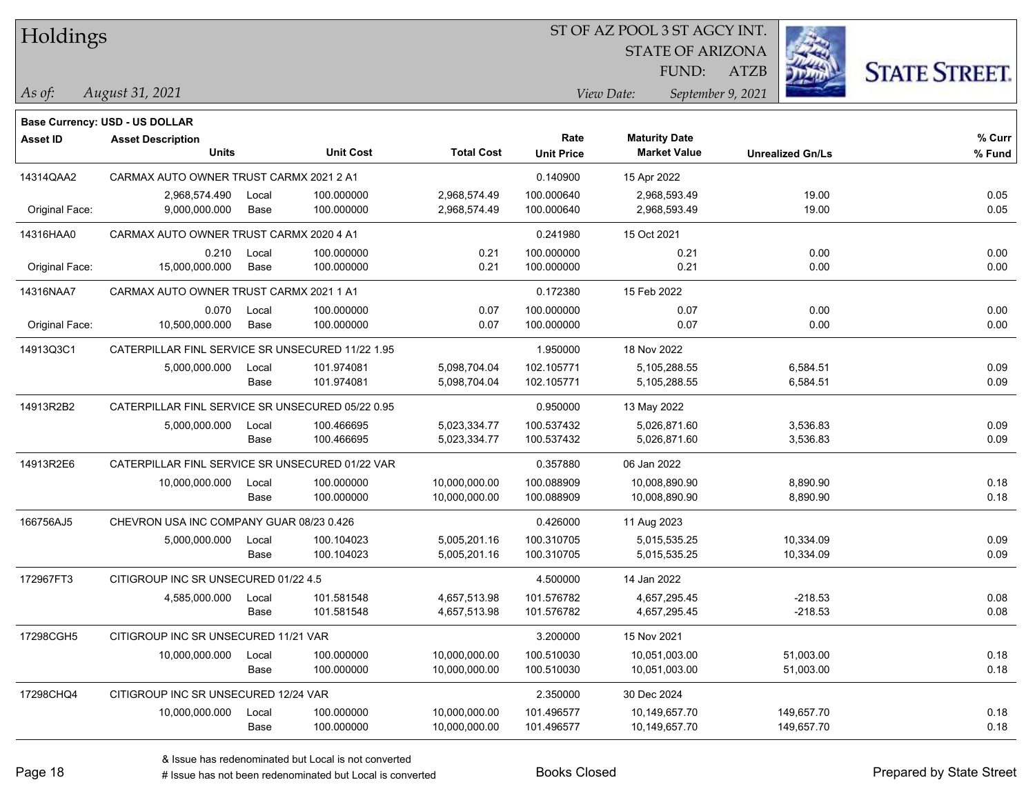| Holdings |
|----------|
|          |

STATE OF ARIZONA FUND:

ATZB



*August 31, 2021 As of: View Date: September 9, 2021*

|                 | <b>Base Currency: USD - US DOLLAR</b>            |               |                          |                                |                          |                                |                          |              |
|-----------------|--------------------------------------------------|---------------|--------------------------|--------------------------------|--------------------------|--------------------------------|--------------------------|--------------|
| <b>Asset ID</b> | <b>Asset Description</b>                         |               | <b>Unit Cost</b>         |                                | Rate                     | <b>Maturity Date</b>           |                          | % Curr       |
|                 | <b>Units</b>                                     |               |                          | <b>Total Cost</b>              | <b>Unit Price</b>        | <b>Market Value</b>            | <b>Unrealized Gn/Ls</b>  | % Fund       |
| 14314QAA2       | CARMAX AUTO OWNER TRUST CARMX 2021 2 A1          |               |                          |                                | 0.140900                 | 15 Apr 2022                    |                          |              |
| Original Face:  | 2,968,574.490<br>9,000,000.000                   | Local<br>Base | 100.000000<br>100.000000 | 2,968,574.49<br>2,968,574.49   | 100.000640<br>100.000640 | 2,968,593.49<br>2,968,593.49   | 19.00<br>19.00           | 0.05<br>0.05 |
| 14316HAA0       | CARMAX AUTO OWNER TRUST CARMX 2020 4 A1          |               |                          |                                | 0.241980                 | 15 Oct 2021                    |                          |              |
| Original Face:  | 0.210<br>15,000,000.000                          | Local<br>Base | 100.000000<br>100.000000 | 0.21<br>0.21                   | 100.000000<br>100.000000 | 0.21<br>0.21                   | 0.00<br>0.00             | 0.00<br>0.00 |
| 14316NAA7       | CARMAX AUTO OWNER TRUST CARMX 2021 1 A1          |               |                          |                                | 0.172380                 | 15 Feb 2022                    |                          |              |
| Original Face:  | 0.070<br>10,500,000.000                          | Local<br>Base | 100.000000<br>100.000000 | 0.07<br>0.07                   | 100.000000<br>100.000000 | 0.07<br>0.07                   | 0.00<br>0.00             | 0.00<br>0.00 |
| 14913Q3C1       | CATERPILLAR FINL SERVICE SR UNSECURED 11/22 1.95 |               |                          | 1.950000                       | 18 Nov 2022              |                                |                          |              |
|                 | 5,000,000.000                                    | Local<br>Base | 101.974081<br>101.974081 | 5,098,704.04<br>5,098,704.04   | 102.105771<br>102.105771 | 5,105,288.55<br>5,105,288.55   | 6,584.51<br>6,584.51     | 0.09<br>0.09 |
| 14913R2B2       | CATERPILLAR FINL SERVICE SR UNSECURED 05/22 0.95 |               |                          |                                | 0.950000                 | 13 May 2022                    |                          |              |
|                 | 5,000,000.000                                    | Local<br>Base | 100.466695<br>100.466695 | 5,023,334.77<br>5,023,334.77   | 100.537432<br>100.537432 | 5,026,871.60<br>5,026,871.60   | 3,536.83<br>3,536.83     | 0.09<br>0.09 |
| 14913R2E6       | CATERPILLAR FINL SERVICE SR UNSECURED 01/22 VAR  |               |                          |                                | 0.357880                 | 06 Jan 2022                    |                          |              |
|                 | 10,000,000.000                                   | Local<br>Base | 100.000000<br>100.000000 | 10,000,000.00<br>10,000,000.00 | 100.088909<br>100.088909 | 10,008,890.90<br>10,008,890.90 | 8,890.90<br>8,890.90     | 0.18<br>0.18 |
| 166756AJ5       | CHEVRON USA INC COMPANY GUAR 08/23 0.426         |               |                          |                                | 0.426000                 | 11 Aug 2023                    |                          |              |
|                 | 5,000,000.000                                    | Local<br>Base | 100.104023<br>100.104023 | 5,005,201.16<br>5,005,201.16   | 100.310705<br>100.310705 | 5,015,535.25<br>5,015,535.25   | 10,334.09<br>10,334.09   | 0.09<br>0.09 |
| 172967FT3       | CITIGROUP INC SR UNSECURED 01/22 4.5             |               |                          |                                | 4.500000                 | 14 Jan 2022                    |                          |              |
|                 | 4,585,000.000                                    | Local<br>Base | 101.581548<br>101.581548 | 4,657,513.98<br>4,657,513.98   | 101.576782<br>101.576782 | 4,657,295.45<br>4,657,295.45   | $-218.53$<br>$-218.53$   | 0.08<br>0.08 |
| 17298CGH5       | CITIGROUP INC SR UNSECURED 11/21 VAR             |               |                          |                                | 3.200000                 | 15 Nov 2021                    |                          |              |
|                 | 10,000,000.000                                   | Local<br>Base | 100.000000<br>100.000000 | 10,000,000.00<br>10,000,000.00 | 100.510030<br>100.510030 | 10,051,003.00<br>10,051,003.00 | 51,003.00<br>51,003.00   | 0.18<br>0.18 |
| 17298CHQ4       | CITIGROUP INC SR UNSECURED 12/24 VAR             |               |                          |                                | 2.350000                 | 30 Dec 2024                    |                          |              |
|                 | 10,000,000.000                                   | Local<br>Base | 100.000000<br>100.000000 | 10,000,000.00<br>10,000,000.00 | 101.496577<br>101.496577 | 10,149,657.70<br>10,149,657.70 | 149,657.70<br>149,657.70 | 0.18<br>0.18 |
|                 |                                                  |               |                          |                                |                          |                                |                          |              |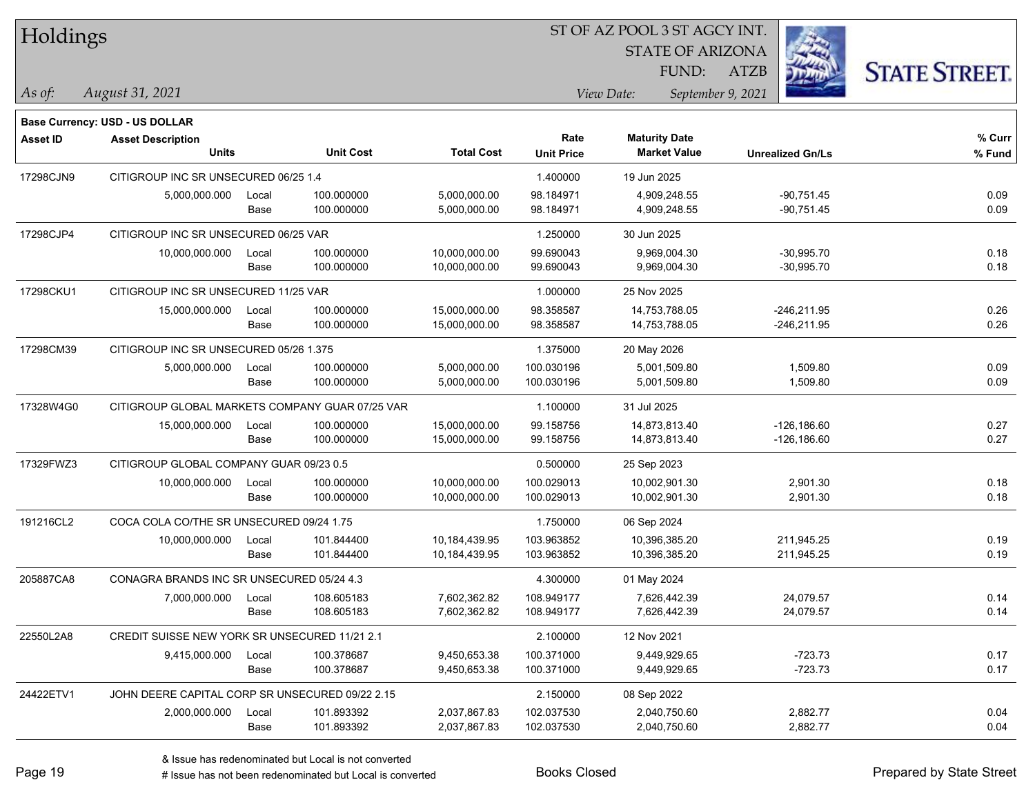| Holdings        |                                                 |               |                          |                                |                           |                                             | <b>STATE OF ARIZONA</b><br>FUND:<br><b>ATZB</b> |                                  | <b>STATE STREET.</b> |
|-----------------|-------------------------------------------------|---------------|--------------------------|--------------------------------|---------------------------|---------------------------------------------|-------------------------------------------------|----------------------------------|----------------------|
| $\vert$ As of:  | August 31, 2021                                 |               |                          |                                |                           | View Date:                                  | September 9, 2021                               |                                  |                      |
|                 | <b>Base Currency: USD - US DOLLAR</b>           |               |                          |                                |                           |                                             |                                                 |                                  |                      |
| <b>Asset ID</b> | <b>Asset Description</b><br><b>Units</b>        |               | <b>Unit Cost</b>         | <b>Total Cost</b>              | Rate<br><b>Unit Price</b> | <b>Maturity Date</b><br><b>Market Value</b> |                                                 | <b>Unrealized Gn/Ls</b>          | % Curr<br>% Fund     |
| 17298CJN9       | CITIGROUP INC SR UNSECURED 06/25 1.4            |               |                          | 1.400000                       | 19 Jun 2025               |                                             |                                                 |                                  |                      |
|                 | 5,000,000.000                                   | Local<br>Base | 100.000000<br>100.000000 | 5.000.000.00<br>5,000,000.00   | 98.184971<br>98.184971    | 4,909,248.55<br>4,909,248.55                |                                                 | $-90,751.45$<br>$-90,751.45$     | 0.09<br>0.09         |
| 17298CJP4       | CITIGROUP INC SR UNSECURED 06/25 VAR            |               |                          |                                | 1.250000                  | 30 Jun 2025                                 |                                                 |                                  |                      |
|                 | 10,000,000.000                                  | Local<br>Base | 100.000000<br>100.000000 | 10,000,000.00<br>10,000,000.00 | 99.690043<br>99.690043    | 9,969,004.30<br>9,969,004.30                |                                                 | $-30,995.70$<br>$-30,995.70$     | 0.18<br>0.18         |
| 17298CKU1       | CITIGROUP INC SR UNSECURED 11/25 VAR            |               |                          |                                | 1.000000                  | 25 Nov 2025                                 |                                                 |                                  |                      |
|                 | 15,000,000.000                                  | Local<br>Base | 100.000000<br>100.000000 | 15,000,000.00<br>15,000,000.00 | 98.358587<br>98.358587    | 14,753,788.05<br>14,753,788.05              |                                                 | $-246,211.95$<br>-246,211.95     | 0.26<br>0.26         |
| 17298CM39       | CITIGROUP INC SR UNSECURED 05/26 1.375          |               |                          |                                | 1.375000                  | 20 May 2026                                 |                                                 |                                  |                      |
|                 | 5,000,000.000                                   | Local<br>Base | 100.000000<br>100.000000 | 5,000,000.00<br>5,000,000.00   | 100.030196<br>100.030196  | 5,001,509.80<br>5,001,509.80                |                                                 | 1,509.80<br>1,509.80             | 0.09<br>0.09         |
| 17328W4G0       | CITIGROUP GLOBAL MARKETS COMPANY GUAR 07/25 VAR |               |                          |                                | 1.100000                  | 31 Jul 2025                                 |                                                 |                                  |                      |
|                 | 15,000,000.000                                  | Local<br>Base | 100.000000<br>100.000000 | 15,000,000.00<br>15,000,000.00 | 99.158756<br>99.158756    | 14,873,813.40<br>14,873,813.40              |                                                 | $-126, 186.60$<br>$-126, 186.60$ | 0.27<br>0.27         |
| 17329FWZ3       | CITIGROUP GLOBAL COMPANY GUAR 09/23 0.5         |               |                          |                                | 0.500000                  | 25 Sep 2023                                 |                                                 |                                  |                      |
|                 | 10,000,000.000                                  | Local<br>Base | 100.000000<br>100.000000 | 10,000,000.00<br>10,000,000.00 | 100.029013<br>100.029013  | 10,002,901.30<br>10,002,901.30              |                                                 | 2,901.30<br>2,901.30             | 0.18<br>0.18         |
| 191216CL2       | COCA COLA CO/THE SR UNSECURED 09/24 1.75        |               |                          |                                | 1.750000                  | 06 Sep 2024                                 |                                                 |                                  |                      |
|                 | 10,000,000.000                                  | Local<br>Base | 101.844400<br>101.844400 | 10,184,439.95<br>10,184,439.95 | 103.963852<br>103.963852  | 10,396,385.20<br>10,396,385.20              |                                                 | 211,945.25<br>211,945.25         | 0.19<br>0.19         |
| 205887CA8       | CONAGRA BRANDS INC SR UNSECURED 05/24 4.3       |               |                          |                                | 4.300000                  | 01 May 2024                                 |                                                 |                                  |                      |
|                 | 7,000,000.000                                   | Local<br>Base | 108.605183<br>108.605183 | 7,602,362.82<br>7,602,362.82   | 108.949177<br>108.949177  | 7,626,442.39<br>7,626,442.39                |                                                 | 24,079.57<br>24,079.57           | 0.14<br>0.14         |
| 22550L2A8       | CREDIT SUISSE NEW YORK SR UNSECURED 11/21 2.1   |               |                          |                                | 2.100000                  | 12 Nov 2021                                 |                                                 |                                  |                      |
|                 | 9,415,000.000                                   | Local<br>Base | 100.378687<br>100.378687 | 9,450,653.38<br>9,450,653.38   | 100.371000<br>100.371000  | 9,449,929.65<br>9,449,929.65                |                                                 | $-723.73$<br>$-723.73$           | 0.17<br>0.17         |
| 24422ETV1       | JOHN DEERE CAPITAL CORP SR UNSECURED 09/22 2.15 |               |                          |                                | 2.150000                  | 08 Sep 2022                                 |                                                 |                                  |                      |
|                 | 2,000,000.000                                   | Local<br>Base | 101.893392<br>101.893392 | 2,037,867.83<br>2,037,867.83   | 102.037530<br>102.037530  | 2,040,750.60<br>2,040,750.60                |                                                 | 2,882.77<br>2,882.77             | 0.04<br>0.04         |

**CONSTRUCTION** 

 $TT.1.1:$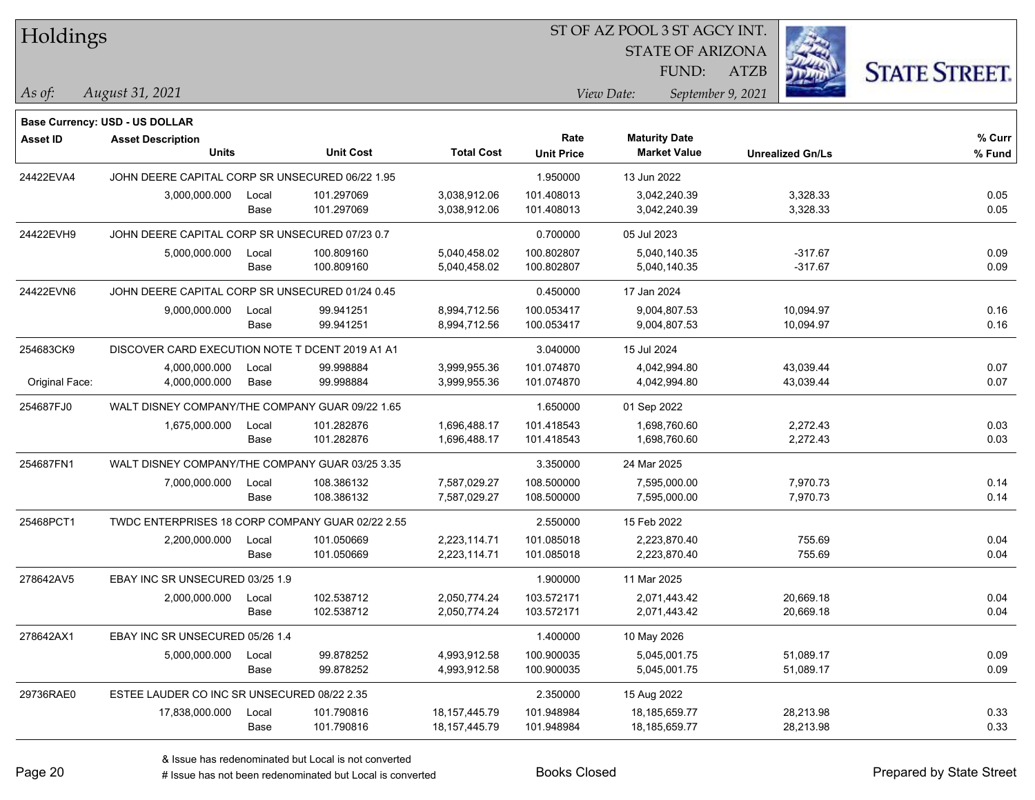| Holdings |
|----------|
|----------|

STATE OF ARIZONA

ATZB



*August 31, 2021 As of: View Date: September 9, 2021*

**Base Currency: USD - US DOLLAR**

FUND:

| Asset ID       | <b>Asset Description</b><br><b>Units</b>         |               | <b>Unit Cost</b>         | <b>Total Cost</b>                    | Rate<br><b>Unit Price</b> | <b>Maturity Date</b><br><b>Market Value</b> | <b>Unrealized Gn/Ls</b> | % Curr<br>% Fund |
|----------------|--------------------------------------------------|---------------|--------------------------|--------------------------------------|---------------------------|---------------------------------------------|-------------------------|------------------|
| 24422EVA4      | JOHN DEERE CAPITAL CORP SR UNSECURED 06/22 1.95  |               |                          |                                      | 1.950000                  | 13 Jun 2022                                 |                         |                  |
|                | 3,000,000.000                                    | Local<br>Base | 101.297069<br>101.297069 | 3,038,912.06<br>3,038,912.06         | 101.408013<br>101.408013  | 3,042,240.39<br>3,042,240.39                | 3,328.33<br>3,328.33    | 0.05<br>0.05     |
| 24422EVH9      | JOHN DEERE CAPITAL CORP SR UNSECURED 07/23 0.7   |               |                          | 0.700000                             | 05 Jul 2023               |                                             |                         |                  |
|                | 5,000,000.000                                    | Local<br>Base | 100.809160<br>100.809160 | 5,040,458.02<br>5,040,458.02         | 100.802807<br>100.802807  | 5,040,140.35<br>5,040,140.35                | $-317.67$<br>$-317.67$  | 0.09<br>0.09     |
| 24422EVN6      | JOHN DEERE CAPITAL CORP SR UNSECURED 01/24 0.45  |               |                          |                                      | 0.450000                  | 17 Jan 2024                                 |                         |                  |
|                | 9,000,000.000                                    | Local<br>Base | 99.941251<br>99.941251   | 8,994,712.56<br>8,994,712.56         | 100.053417<br>100.053417  | 9,004,807.53<br>9,004,807.53                | 10,094.97<br>10,094.97  | 0.16<br>0.16     |
| 254683CK9      | DISCOVER CARD EXECUTION NOTE T DCENT 2019 A1 A1  |               |                          |                                      | 3.040000                  | 15 Jul 2024                                 |                         |                  |
| Original Face: | 4,000,000.000<br>4,000,000.000                   | Local<br>Base | 99.998884<br>99.998884   | 3,999,955.36<br>3,999,955.36         | 101.074870<br>101.074870  | 4,042,994.80<br>4,042,994.80                | 43,039.44<br>43,039.44  | 0.07<br>0.07     |
| 254687FJ0      | WALT DISNEY COMPANY/THE COMPANY GUAR 09/22 1.65  |               |                          |                                      | 1.650000                  | 01 Sep 2022                                 |                         |                  |
|                | 1,675,000.000                                    | Local<br>Base | 101.282876<br>101.282876 | 1,696,488.17<br>1,696,488.17         | 101.418543<br>101.418543  | 1,698,760.60<br>1,698,760.60                | 2,272.43<br>2,272.43    | 0.03<br>0.03     |
| 254687FN1      | WALT DISNEY COMPANY/THE COMPANY GUAR 03/25 3.35  |               |                          |                                      | 3.350000                  | 24 Mar 2025                                 |                         |                  |
|                | 7,000,000.000                                    | Local<br>Base | 108.386132<br>108.386132 | 7,587,029.27<br>7,587,029.27         | 108.500000<br>108.500000  | 7,595,000.00<br>7,595,000.00                | 7,970.73<br>7,970.73    | 0.14<br>0.14     |
| 25468PCT1      | TWDC ENTERPRISES 18 CORP COMPANY GUAR 02/22 2.55 |               |                          |                                      | 2.550000                  | 15 Feb 2022                                 |                         |                  |
|                | 2,200,000.000                                    | Local<br>Base | 101.050669<br>101.050669 | 2,223,114.71<br>2,223,114.71         | 101.085018<br>101.085018  | 2,223,870.40<br>2,223,870.40                | 755.69<br>755.69        | 0.04<br>0.04     |
| 278642AV5      | EBAY INC SR UNSECURED 03/25 1.9                  |               |                          |                                      | 1.900000                  | 11 Mar 2025                                 |                         |                  |
|                | 2,000,000.000                                    | Local<br>Base | 102.538712<br>102.538712 | 2,050,774.24<br>2,050,774.24         | 103.572171<br>103.572171  | 2,071,443.42<br>2,071,443.42                | 20,669.18<br>20,669.18  | 0.04<br>0.04     |
| 278642AX1      | EBAY INC SR UNSECURED 05/26 1.4                  |               |                          |                                      | 1.400000                  | 10 May 2026                                 |                         |                  |
|                | 5,000,000.000                                    | Local<br>Base | 99.878252<br>99.878252   | 4,993,912.58<br>4,993,912.58         | 100.900035<br>100.900035  | 5,045,001.75<br>5,045,001.75                | 51,089.17<br>51,089.17  | 0.09<br>0.09     |
| 29736RAE0      | ESTEE LAUDER CO INC SR UNSECURED 08/22 2.35      |               |                          |                                      | 2.350000                  | 15 Aug 2022                                 |                         |                  |
|                | 17,838,000.000                                   | Local<br>Base | 101.790816<br>101.790816 | 18, 157, 445. 79<br>18, 157, 445. 79 | 101.948984<br>101.948984  | 18,185,659.77<br>18,185,659.77              | 28,213.98<br>28,213.98  | 0.33<br>0.33     |

# Issue has not been redenominated but Local is converted Books Closed Prepared by State Street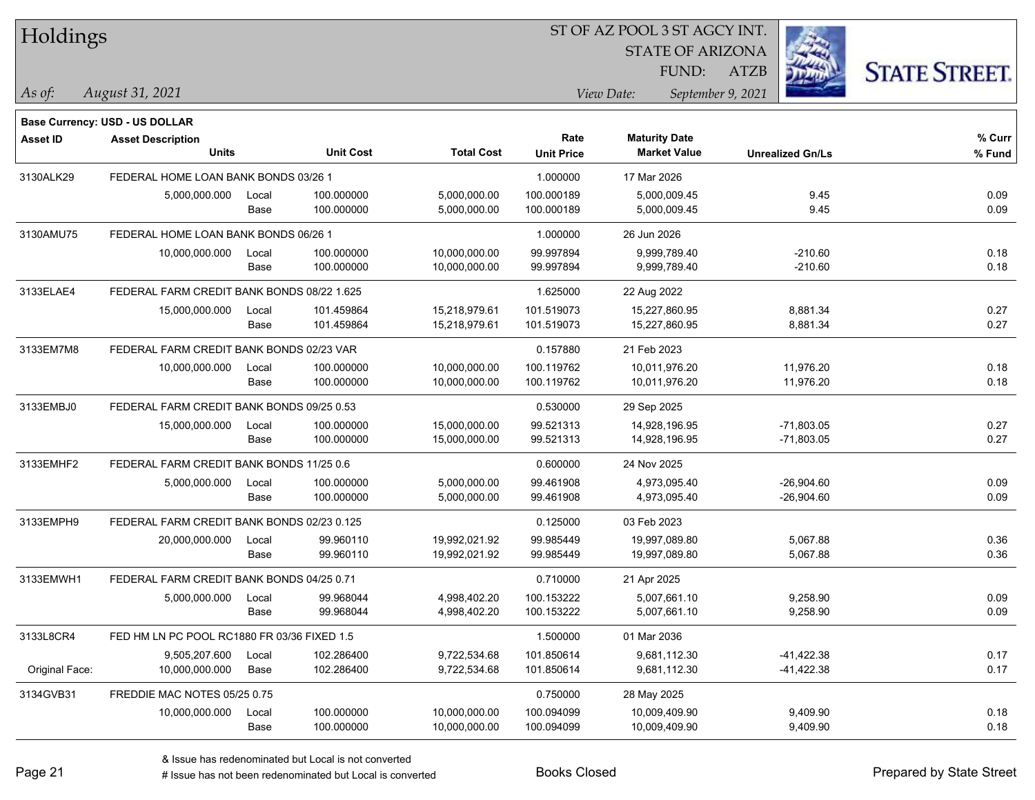| Holdings |  |
|----------|--|
|----------|--|

STATE OF ARIZONA

ATZB



**Base Currency: USD - US DOLLAR**

*August 31, 2021 As of: View Date: September 9, 2021* FUND:

| <b>Asset ID</b> | <b>Asset Description</b><br><b>Units</b>    |               | <b>Unit Cost</b>         | <b>Total Cost</b>              | Rate<br><b>Unit Price</b> | <b>Maturity Date</b><br><b>Market Value</b> | <b>Unrealized Gn/Ls</b>      | % Curr<br>% Fund |
|-----------------|---------------------------------------------|---------------|--------------------------|--------------------------------|---------------------------|---------------------------------------------|------------------------------|------------------|
| 3130ALK29       | FEDERAL HOME LOAN BANK BONDS 03/26 1        |               |                          |                                | 1.000000                  | 17 Mar 2026                                 |                              |                  |
|                 | 5,000,000.000                               | Local<br>Base | 100.000000<br>100.000000 | 5,000,000.00<br>5,000,000.00   | 100.000189<br>100.000189  | 5,000,009.45<br>5,000,009.45                | 9.45<br>9.45                 | 0.09<br>0.09     |
| 3130AMU75       | FEDERAL HOME LOAN BANK BONDS 06/26 1        |               |                          |                                | 1.000000                  | 26 Jun 2026                                 |                              |                  |
|                 | 10,000,000.000                              | Local<br>Base | 100.000000<br>100.000000 | 10,000,000.00<br>10,000,000.00 | 99.997894<br>99.997894    | 9,999,789.40<br>9,999,789.40                | $-210.60$<br>$-210.60$       | 0.18<br>0.18     |
| 3133ELAE4       | FEDERAL FARM CREDIT BANK BONDS 08/22 1.625  |               |                          |                                | 1.625000                  | 22 Aug 2022                                 |                              |                  |
|                 | 15,000,000.000                              | Local<br>Base | 101.459864<br>101.459864 | 15,218,979.61<br>15,218,979.61 | 101.519073<br>101.519073  | 15,227,860.95<br>15,227,860.95              | 8,881.34<br>8,881.34         | 0.27<br>0.27     |
| 3133EM7M8       | FEDERAL FARM CREDIT BANK BONDS 02/23 VAR    |               |                          |                                | 0.157880                  | 21 Feb 2023                                 |                              |                  |
|                 | 10,000,000.000                              | Local<br>Base | 100.000000<br>100.000000 | 10,000,000.00<br>10,000,000.00 | 100.119762<br>100.119762  | 10,011,976.20<br>10,011,976.20              | 11,976.20<br>11,976.20       | 0.18<br>0.18     |
| 3133EMBJ0       | FEDERAL FARM CREDIT BANK BONDS 09/25 0.53   |               |                          |                                | 0.530000                  | 29 Sep 2025                                 |                              |                  |
|                 | 15,000,000.000                              | Local<br>Base | 100.000000<br>100.000000 | 15,000,000.00<br>15,000,000.00 | 99.521313<br>99.521313    | 14,928,196.95<br>14,928,196.95              | $-71,803.05$<br>$-71,803.05$ | 0.27<br>0.27     |
| 3133EMHF2       | FEDERAL FARM CREDIT BANK BONDS 11/25 0.6    |               |                          |                                | 0.600000                  | 24 Nov 2025                                 |                              |                  |
|                 | 5,000,000.000                               | Local<br>Base | 100.000000<br>100.000000 | 5,000,000.00<br>5,000,000.00   | 99.461908<br>99.461908    | 4,973,095.40<br>4,973,095.40                | $-26,904.60$<br>$-26,904.60$ | 0.09<br>0.09     |
| 3133EMPH9       | FEDERAL FARM CREDIT BANK BONDS 02/23 0.125  |               |                          |                                | 0.125000                  | 03 Feb 2023                                 |                              |                  |
|                 | 20,000,000.000                              | Local<br>Base | 99.960110<br>99.960110   | 19,992,021.92<br>19,992,021.92 | 99.985449<br>99.985449    | 19,997,089.80<br>19,997,089.80              | 5,067.88<br>5,067.88         | 0.36<br>0.36     |
| 3133EMWH1       | FEDERAL FARM CREDIT BANK BONDS 04/25 0.71   |               |                          |                                | 0.710000                  | 21 Apr 2025                                 |                              |                  |
|                 | 5,000,000.000                               | Local<br>Base | 99.968044<br>99.968044   | 4,998,402.20<br>4,998,402.20   | 100.153222<br>100.153222  | 5,007,661.10<br>5,007,661.10                | 9,258.90<br>9,258.90         | 0.09<br>0.09     |
| 3133L8CR4       | FED HM LN PC POOL RC1880 FR 03/36 FIXED 1.5 |               |                          |                                | 1.500000                  | 01 Mar 2036                                 |                              |                  |
| Original Face:  | 9,505,207.600<br>10,000,000.000             | Local<br>Base | 102.286400<br>102.286400 | 9,722,534.68<br>9,722,534.68   | 101.850614<br>101.850614  | 9,681,112.30<br>9,681,112.30                | $-41,422.38$<br>$-41,422.38$ | 0.17<br>0.17     |
| 3134GVB31       | FREDDIE MAC NOTES 05/25 0.75                |               |                          |                                | 0.750000                  | 28 May 2025                                 |                              |                  |
|                 | 10,000,000.000                              | Local<br>Base | 100.000000<br>100.000000 | 10,000,000.00<br>10.000.000.00 | 100.094099<br>100.094099  | 10,009,409.90<br>10,009,409.90              | 9,409.90<br>9.409.90         | 0.18<br>0.18     |

# Issue has not been redenominated but Local is converted Books Closed Prepared by State Street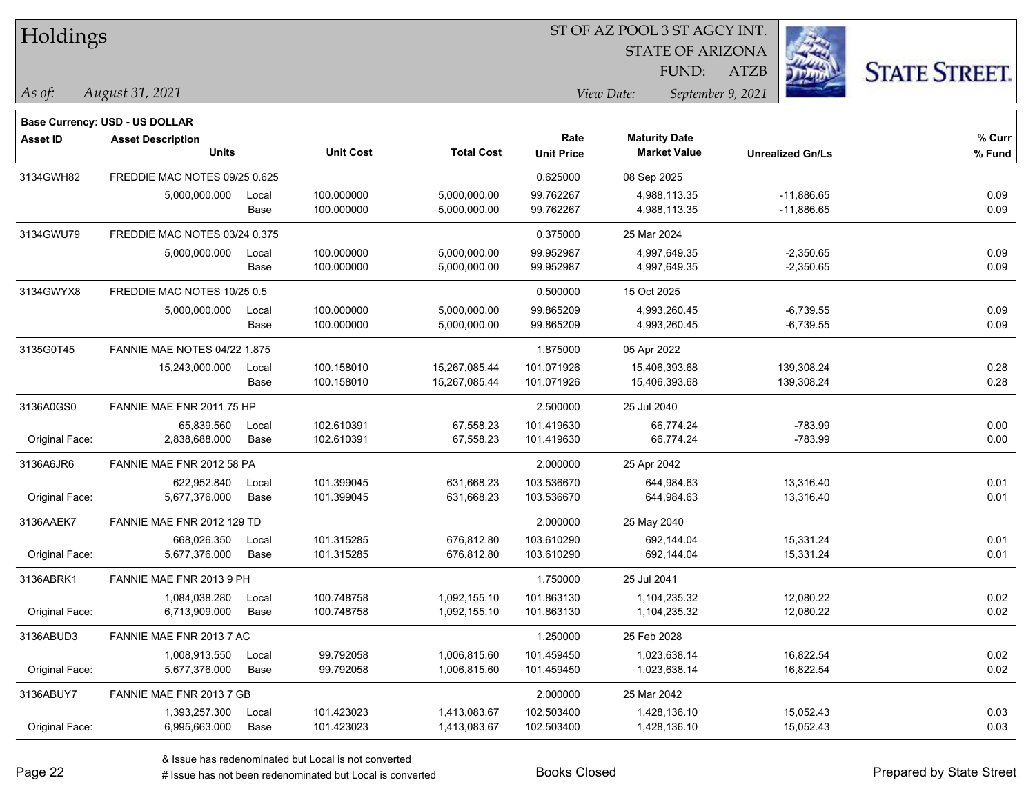|  |  | Holdings |
|--|--|----------|
|--|--|----------|

STATE OF ARIZONA FUND:

ATZB



*August 31, 2021 As of: View Date: September 9, 2021*

|                 | Base Currency: USD - US DOLLAR      |       |                  |                   |                   |                      |                         |        |
|-----------------|-------------------------------------|-------|------------------|-------------------|-------------------|----------------------|-------------------------|--------|
| <b>Asset ID</b> | <b>Asset Description</b>            |       |                  |                   | Rate              | <b>Maturity Date</b> |                         | % Curr |
|                 | <b>Units</b>                        |       | <b>Unit Cost</b> | <b>Total Cost</b> | <b>Unit Price</b> | <b>Market Value</b>  | <b>Unrealized Gn/Ls</b> | % Fund |
| 3134GWH82       | FREDDIE MAC NOTES 09/25 0.625       |       |                  |                   | 0.625000          | 08 Sep 2025          |                         |        |
|                 | 5,000,000.000                       | Local | 100.000000       | 5,000,000.00      | 99.762267         | 4,988,113.35         | $-11,886.65$            | 0.09   |
|                 |                                     | Base  | 100.000000       | 5,000,000.00      | 99.762267         | 4,988,113.35         | $-11,886.65$            | 0.09   |
| 3134GWU79       | FREDDIE MAC NOTES 03/24 0.375       |       |                  |                   | 0.375000          | 25 Mar 2024          |                         |        |
|                 | 5,000,000.000                       | Local | 100.000000       | 5,000,000.00      | 99.952987         | 4,997,649.35         | $-2,350.65$             | 0.09   |
|                 |                                     | Base  | 100.000000       | 5,000,000.00      | 99.952987         | 4,997,649.35         | $-2,350.65$             | 0.09   |
| 3134GWYX8       | FREDDIE MAC NOTES 10/25 0.5         |       |                  |                   | 0.500000          | 15 Oct 2025          |                         |        |
|                 | 5,000,000.000                       | Local | 100.000000       | 5,000,000.00      | 99.865209         | 4,993,260.45         | $-6,739.55$             | 0.09   |
|                 |                                     | Base  | 100.000000       | 5,000,000.00      | 99.865209         | 4,993,260.45         | $-6,739.55$             | 0.09   |
| 3135G0T45       | <b>FANNIE MAE NOTES 04/22 1.875</b> |       |                  |                   | 1.875000          | 05 Apr 2022          |                         |        |
|                 | 15,243,000.000                      | Local | 100.158010       | 15,267,085.44     | 101.071926        | 15,406,393.68        | 139,308.24              | 0.28   |
|                 |                                     | Base  | 100.158010       | 15,267,085.44     | 101.071926        | 15,406,393.68        | 139,308.24              | 0.28   |
| 3136A0GS0       | FANNIE MAE FNR 2011 75 HP           |       |                  |                   | 2.500000          | 25 Jul 2040          |                         |        |
|                 | 65,839.560                          | Local | 102.610391       | 67,558.23         | 101.419630        | 66,774.24            | $-783.99$               | 0.00   |
| Original Face:  | 2,838,688.000                       | Base  | 102.610391       | 67,558.23         | 101.419630        | 66,774.24            | $-783.99$               | 0.00   |
| 3136A6JR6       | FANNIE MAE FNR 2012 58 PA           |       |                  | 2.000000          | 25 Apr 2042       |                      |                         |        |
|                 | 622,952.840                         | Local | 101.399045       | 631,668.23        | 103.536670        | 644,984.63           | 13,316.40               | 0.01   |
| Original Face:  | 5,677,376.000                       | Base  | 101.399045       | 631,668.23        | 103.536670        | 644,984.63           | 13,316.40               | 0.01   |
| 3136AAEK7       | FANNIE MAE FNR 2012 129 TD          |       |                  |                   | 2.000000          | 25 May 2040          |                         |        |
|                 | 668,026.350                         | Local | 101.315285       | 676,812.80        | 103.610290        | 692,144.04           | 15,331.24               | 0.01   |
| Original Face:  | 5,677,376.000                       | Base  | 101.315285       | 676,812.80        | 103.610290        | 692,144.04           | 15,331.24               | 0.01   |
| 3136ABRK1       | FANNIE MAE FNR 2013 9 PH            |       |                  |                   | 1.750000          | 25 Jul 2041          |                         |        |
|                 | 1,084,038.280                       | Local | 100.748758       | 1,092,155.10      | 101.863130        | 1,104,235.32         | 12,080.22               | 0.02   |
| Original Face:  | 6,713,909.000                       | Base  | 100.748758       | 1,092,155.10      | 101.863130        | 1,104,235.32         | 12,080.22               | 0.02   |
| 3136ABUD3       | FANNIE MAE FNR 2013 7 AC            |       |                  |                   | 1.250000          | 25 Feb 2028          |                         |        |
|                 | 1,008,913.550                       | Local | 99.792058        | 1,006,815.60      | 101.459450        | 1,023,638.14         | 16,822.54               | 0.02   |
| Original Face:  | 5,677,376.000                       | Base  | 99.792058        | 1,006,815.60      | 101.459450        | 1,023,638.14         | 16,822.54               | 0.02   |
| 3136ABUY7       | FANNIE MAE FNR 2013 7 GB            |       |                  |                   | 2.000000          | 25 Mar 2042          |                         |        |
|                 | 1,393,257.300                       | Local | 101.423023       | 1,413,083.67      | 102.503400        | 1,428,136.10         | 15,052.43               | 0.03   |
| Original Face:  | 6,995,663.000                       | Base  | 101.423023       | 1,413,083.67      | 102.503400        | 1,428,136.10         | 15,052.43               | 0.03   |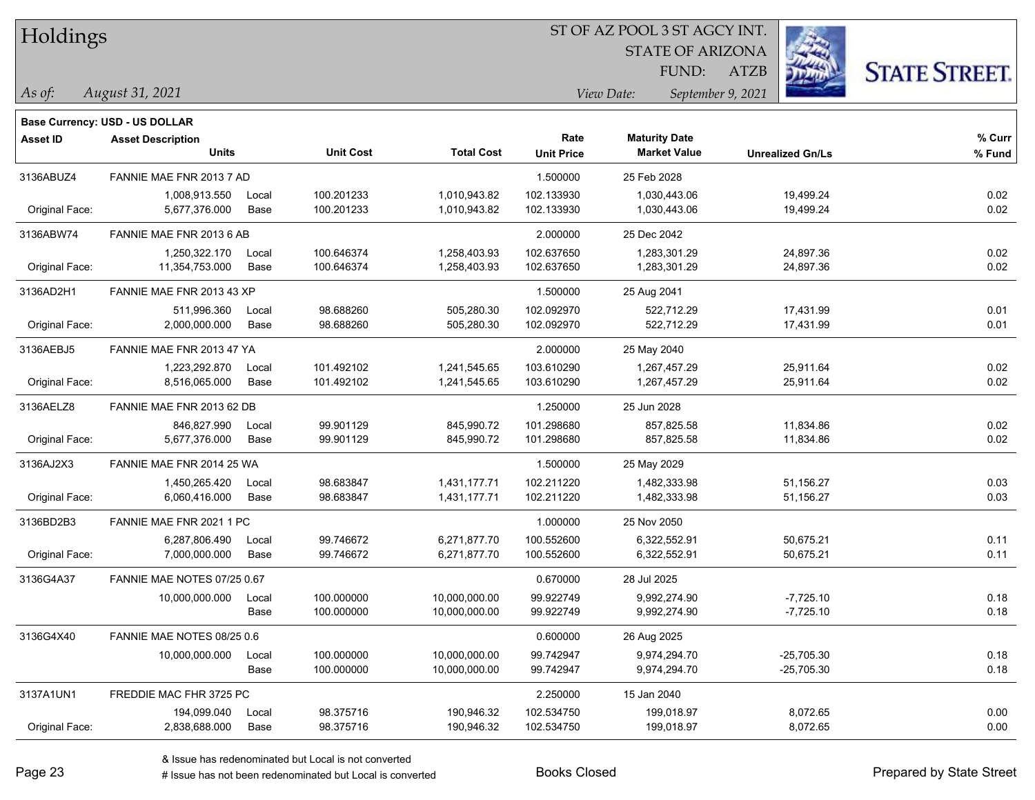Holdings

#### ST OF AZ POOL 3 ST AGCY INT.

STATE OF ARIZONA FUND:

ATZB



*August 31, 2021 As of: View Date: September 9, 2021*

|                 | <b>Base Currency: USD - US DOLLAR</b>    |       |                  |                   |                           |                                             |                         |                  |
|-----------------|------------------------------------------|-------|------------------|-------------------|---------------------------|---------------------------------------------|-------------------------|------------------|
| <b>Asset ID</b> | <b>Asset Description</b><br><b>Units</b> |       | <b>Unit Cost</b> | <b>Total Cost</b> | Rate<br><b>Unit Price</b> | <b>Maturity Date</b><br><b>Market Value</b> | <b>Unrealized Gn/Ls</b> | % Curr<br>% Fund |
|                 |                                          |       |                  |                   |                           |                                             |                         |                  |
| 3136ABUZ4       | FANNIE MAE FNR 2013 7 AD                 |       |                  |                   | 1.500000                  | 25 Feb 2028                                 |                         |                  |
|                 | 1,008,913.550                            | Local | 100.201233       | 1,010,943.82      | 102.133930                | 1,030,443.06                                | 19,499.24               | 0.02             |
| Original Face:  | 5,677,376.000                            | Base  | 100.201233       | 1,010,943.82      | 102.133930                | 1,030,443.06                                | 19,499.24               | 0.02             |
| 3136ABW74       | FANNIE MAE FNR 2013 6 AB                 |       |                  |                   | 2.000000                  | 25 Dec 2042                                 |                         |                  |
|                 | 1,250,322.170                            | Local | 100.646374       | 1,258,403.93      | 102.637650                | 1,283,301.29                                | 24,897.36               | 0.02             |
| Original Face:  | 11,354,753.000                           | Base  | 100.646374       | 1,258,403.93      | 102.637650                | 1,283,301.29                                | 24,897.36               | 0.02             |
| 3136AD2H1       | FANNIE MAE FNR 2013 43 XP                |       |                  |                   | 1.500000                  | 25 Aug 2041                                 |                         |                  |
|                 | 511.996.360                              | Local | 98.688260        | 505,280.30        | 102.092970                | 522.712.29                                  | 17,431.99               | 0.01             |
| Original Face:  | 2,000,000.000                            | Base  | 98.688260        | 505,280.30        | 102.092970                | 522,712.29                                  | 17,431.99               | 0.01             |
| 3136AEBJ5       | FANNIE MAE FNR 2013 47 YA                |       |                  |                   | 2.000000                  | 25 May 2040                                 |                         |                  |
|                 | 1,223,292.870                            | Local | 101.492102       | 1,241,545.65      | 103.610290                | 1,267,457.29                                | 25,911.64               | 0.02             |
| Original Face:  | 8,516,065.000                            | Base  | 101.492102       | 1,241,545.65      | 103.610290                | 1,267,457.29                                | 25,911.64               | 0.02             |
| 3136AELZ8       | FANNIE MAE FNR 2013 62 DB                |       |                  |                   | 1.250000                  | 25 Jun 2028                                 |                         |                  |
|                 | 846,827.990                              | Local | 99.901129        | 845,990.72        | 101.298680                | 857,825.58                                  | 11,834.86               | 0.02             |
| Original Face:  | 5,677,376.000                            | Base  | 99.901129        | 845,990.72        | 101.298680                | 857,825.58                                  | 11,834.86               | 0.02             |
| 3136AJ2X3       | FANNIE MAE FNR 2014 25 WA                |       |                  |                   | 1.500000                  | 25 May 2029                                 |                         |                  |
|                 | 1,450,265.420                            | Local | 98.683847        | 1,431,177.71      | 102.211220                | 1,482,333.98                                | 51,156.27               | 0.03             |
| Original Face:  | 6,060,416.000                            | Base  | 98.683847        | 1,431,177.71      | 102.211220                | 1,482,333.98                                | 51,156.27               | 0.03             |
| 3136BD2B3       | FANNIE MAE FNR 2021 1 PC                 |       |                  |                   | 1.000000                  | 25 Nov 2050                                 |                         |                  |
|                 | 6,287,806.490                            | Local | 99.746672        | 6,271,877.70      | 100.552600                | 6,322,552.91                                | 50,675.21               | 0.11             |
| Original Face:  | 7,000,000.000                            | Base  | 99.746672        | 6,271,877.70      | 100.552600                | 6,322,552.91                                | 50,675.21               | 0.11             |
| 3136G4A37       | FANNIE MAE NOTES 07/25 0.67              |       |                  |                   | 0.670000                  | 28 Jul 2025                                 |                         |                  |
|                 | 10,000,000.000                           | Local | 100.000000       | 10,000,000.00     | 99.922749                 | 9,992,274.90                                | $-7,725.10$             | 0.18             |
|                 |                                          | Base  | 100.000000       | 10,000,000.00     | 99.922749                 | 9,992,274.90                                | $-7,725.10$             | 0.18             |
| 3136G4X40       | FANNIE MAE NOTES 08/25 0.6               |       |                  |                   | 0.600000                  | 26 Aug 2025                                 |                         |                  |
|                 | 10,000,000.000                           | Local | 100.000000       | 10,000,000.00     | 99.742947                 | 9,974,294.70                                | $-25,705.30$            | 0.18             |
|                 |                                          | Base  | 100.000000       | 10,000,000.00     | 99.742947                 | 9,974,294.70                                | -25,705.30              | 0.18             |
| 3137A1UN1       | FREDDIE MAC FHR 3725 PC                  |       |                  |                   | 2.250000                  | 15 Jan 2040                                 |                         |                  |
|                 | 194,099.040                              | Local | 98.375716        | 190,946.32        | 102.534750                | 199,018.97                                  | 8,072.65                | 0.00             |
| Original Face:  | 2,838,688.000                            | Base  | 98.375716        | 190,946.32        | 102.534750                | 199,018.97                                  | 8,072.65                | 0.00             |
|                 |                                          |       |                  |                   |                           |                                             |                         |                  |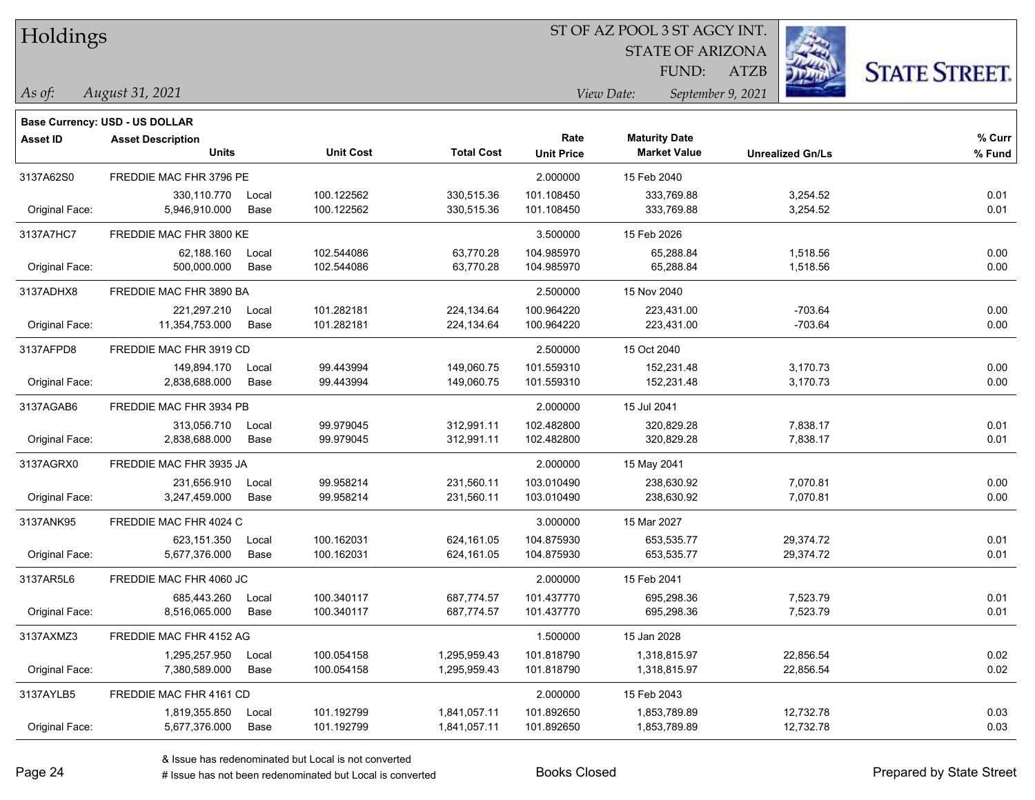| Holdings |
|----------|
|          |

STATE OF ARIZONA FUND:

ATZB



*As of: View Date: September 9, 2021*

| As of: | August 31, 2021 |
|--------|-----------------|
|        |                 |

|                | Base Currency: USD - US DOLLAR           |               |                          |                              |                           |                                             |                         |                  |
|----------------|------------------------------------------|---------------|--------------------------|------------------------------|---------------------------|---------------------------------------------|-------------------------|------------------|
| Asset ID       | <b>Asset Description</b><br><b>Units</b> |               | <b>Unit Cost</b>         | <b>Total Cost</b>            | Rate<br><b>Unit Price</b> | <b>Maturity Date</b><br><b>Market Value</b> | <b>Unrealized Gn/Ls</b> | % Curr<br>% Fund |
| 3137A62S0      | FREDDIE MAC FHR 3796 PE                  |               |                          |                              | 2.000000                  | 15 Feb 2040                                 |                         |                  |
| Original Face: | 330,110.770<br>5,946,910.000             | Local<br>Base | 100.122562<br>100.122562 | 330,515.36<br>330,515.36     | 101.108450<br>101.108450  | 333,769.88<br>333,769.88                    | 3,254.52<br>3,254.52    | 0.01<br>0.01     |
| 3137A7HC7      | FREDDIE MAC FHR 3800 KE                  |               |                          |                              | 3.500000                  | 15 Feb 2026                                 |                         |                  |
| Original Face: | 62,188.160<br>500,000.000                | Local<br>Base | 102.544086<br>102.544086 | 63,770.28<br>63,770.28       | 104.985970<br>104.985970  | 65,288.84<br>65,288.84                      | 1,518.56<br>1,518.56    | 0.00<br>0.00     |
| 3137ADHX8      | FREDDIE MAC FHR 3890 BA                  |               |                          |                              | 2.500000                  | 15 Nov 2040                                 |                         |                  |
| Original Face: | 221,297.210<br>11,354,753.000            | Local<br>Base | 101.282181<br>101.282181 | 224,134.64<br>224, 134.64    | 100.964220<br>100.964220  | 223,431.00<br>223,431.00                    | $-703.64$<br>$-703.64$  | 0.00<br>0.00     |
| 3137AFPD8      | FREDDIE MAC FHR 3919 CD                  |               |                          |                              | 2.500000                  | 15 Oct 2040                                 |                         |                  |
| Original Face: | 149,894.170<br>2,838,688.000             | Local<br>Base | 99.443994<br>99.443994   | 149,060.75<br>149,060.75     | 101.559310<br>101.559310  | 152,231.48<br>152,231.48                    | 3,170.73<br>3,170.73    | 0.00<br>0.00     |
| 3137AGAB6      | FREDDIE MAC FHR 3934 PB                  |               |                          |                              | 2.000000                  | 15 Jul 2041                                 |                         |                  |
| Original Face: | 313,056.710<br>2,838,688.000             | Local<br>Base | 99.979045<br>99.979045   | 312,991.11<br>312,991.11     | 102.482800<br>102.482800  | 320,829.28<br>320,829.28                    | 7,838.17<br>7,838.17    | 0.01<br>0.01     |
| 3137AGRX0      | FREDDIE MAC FHR 3935 JA                  |               |                          |                              | 2.000000                  | 15 May 2041                                 |                         |                  |
| Original Face: | 231,656.910<br>3,247,459.000             | Local<br>Base | 99.958214<br>99.958214   | 231,560.11<br>231,560.11     | 103.010490<br>103.010490  | 238,630.92<br>238,630.92                    | 7,070.81<br>7,070.81    | 0.00<br>0.00     |
| 3137ANK95      | FREDDIE MAC FHR 4024 C                   |               |                          |                              | 3.000000                  | 15 Mar 2027                                 |                         |                  |
| Original Face: | 623,151.350<br>5,677,376.000             | Local<br>Base | 100.162031<br>100.162031 | 624,161.05<br>624,161.05     | 104.875930<br>104.875930  | 653,535.77<br>653,535.77                    | 29,374.72<br>29,374.72  | 0.01<br>0.01     |
| 3137AR5L6      | FREDDIE MAC FHR 4060 JC                  |               |                          |                              | 2.000000                  | 15 Feb 2041                                 |                         |                  |
| Original Face: | 685,443.260<br>8,516,065.000             | Local<br>Base | 100.340117<br>100.340117 | 687,774.57<br>687,774.57     | 101.437770<br>101.437770  | 695,298.36<br>695,298.36                    | 7,523.79<br>7,523.79    | 0.01<br>0.01     |
| 3137AXMZ3      | FREDDIE MAC FHR 4152 AG                  |               |                          |                              | 1.500000                  | 15 Jan 2028                                 |                         |                  |
| Original Face: | 1,295,257.950<br>7,380,589.000           | Local<br>Base | 100.054158<br>100.054158 | 1,295,959.43<br>1,295,959.43 | 101.818790<br>101.818790  | 1,318,815.97<br>1,318,815.97                | 22,856.54<br>22,856.54  | 0.02<br>0.02     |
| 3137AYLB5      | FREDDIE MAC FHR 4161 CD                  |               |                          |                              | 2.000000                  | 15 Feb 2043                                 |                         |                  |
| Original Face: | 1,819,355.850<br>5,677,376.000           | Local<br>Base | 101.192799<br>101.192799 | 1,841,057.11<br>1,841,057.11 | 101.892650<br>101.892650  | 1,853,789.89<br>1,853,789.89                | 12,732.78<br>12,732.78  | 0.03<br>0.03     |
|                |                                          |               |                          |                              |                           |                                             |                         |                  |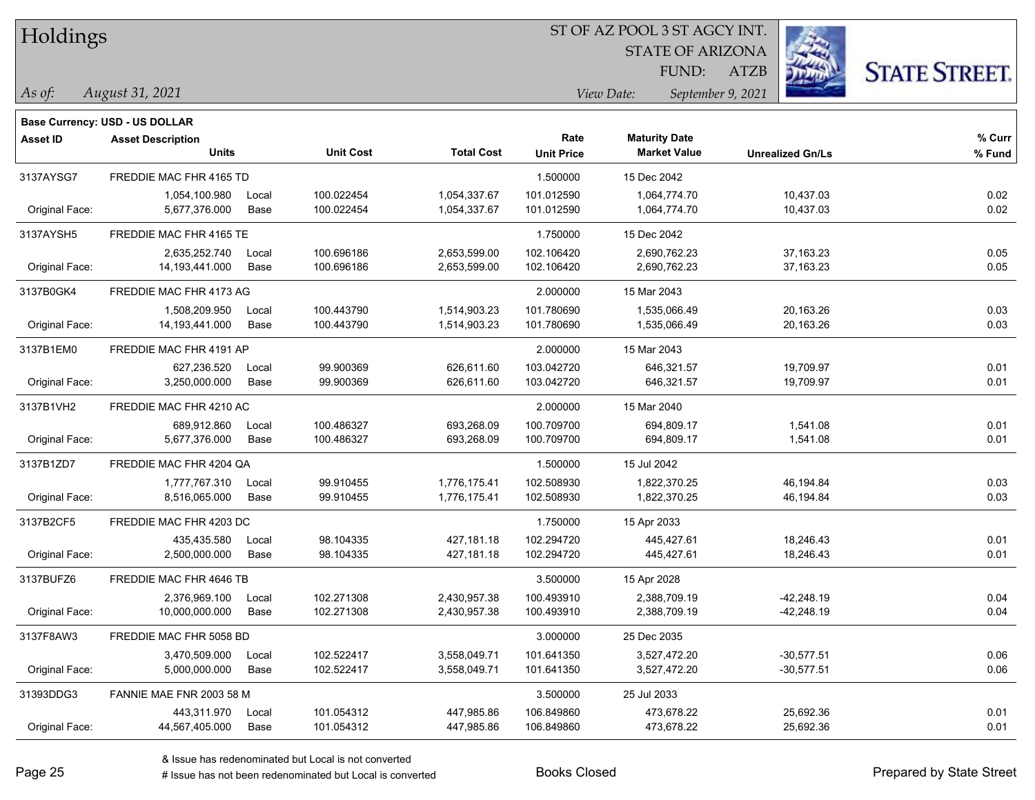| Holdings |
|----------|
|          |

STATE OF ARIZONA FUND:

ATZB



*As of: View Date: September 9, 2021*

| As of: | August 31, 2021 |  |
|--------|-----------------|--|
|        |                 |  |

|                | Base Currency: USD - US DOLLAR           |       |                  |                   |                           |                                             |                         |                  |
|----------------|------------------------------------------|-------|------------------|-------------------|---------------------------|---------------------------------------------|-------------------------|------------------|
| Asset ID       | <b>Asset Description</b><br><b>Units</b> |       | <b>Unit Cost</b> | <b>Total Cost</b> | Rate<br><b>Unit Price</b> | <b>Maturity Date</b><br><b>Market Value</b> | <b>Unrealized Gn/Ls</b> | % Curr<br>% Fund |
| 3137AYSG7      | FREDDIE MAC FHR 4165 TD                  |       |                  |                   | 1.500000                  | 15 Dec 2042                                 |                         |                  |
|                | 1,054,100.980                            | Local | 100.022454       | 1,054,337.67      | 101.012590                | 1,064,774.70                                | 10,437.03               | 0.02             |
| Original Face: | 5,677,376.000                            | Base  | 100.022454       | 1,054,337.67      | 101.012590                | 1,064,774.70                                | 10,437.03               | 0.02             |
| 3137AYSH5      | FREDDIE MAC FHR 4165 TE                  |       |                  |                   | 1.750000                  | 15 Dec 2042                                 |                         |                  |
|                | 2,635,252.740                            | Local | 100.696186       | 2,653,599.00      | 102.106420                | 2,690,762.23                                | 37,163.23               | 0.05             |
| Original Face: | 14,193,441.000                           | Base  | 100.696186       | 2,653,599.00      | 102.106420                | 2,690,762.23                                | 37, 163. 23             | 0.05             |
| 3137B0GK4      | FREDDIE MAC FHR 4173 AG                  |       |                  |                   | 2.000000                  | 15 Mar 2043                                 |                         |                  |
|                | 1,508,209.950                            | Local | 100.443790       | 1,514,903.23      | 101.780690                | 1,535,066.49                                | 20,163.26               | 0.03             |
| Original Face: | 14, 193, 441.000                         | Base  | 100.443790       | 1,514,903.23      | 101.780690                | 1,535,066.49                                | 20,163.26               | 0.03             |
| 3137B1EM0      | FREDDIE MAC FHR 4191 AP                  |       |                  |                   | 2.000000                  | 15 Mar 2043                                 |                         |                  |
|                | 627,236.520                              | Local | 99.900369        | 626,611.60        | 103.042720                | 646,321.57                                  | 19,709.97               | 0.01             |
| Original Face: | 3,250,000.000                            | Base  | 99.900369        | 626,611.60        | 103.042720                | 646,321.57                                  | 19,709.97               | 0.01             |
| 3137B1VH2      | FREDDIE MAC FHR 4210 AC                  |       |                  |                   | 2.000000                  | 15 Mar 2040                                 |                         |                  |
|                | 689,912.860                              | Local | 100.486327       | 693,268.09        | 100.709700                | 694,809.17                                  | 1,541.08                | 0.01             |
| Original Face: | 5,677,376.000                            | Base  | 100.486327       | 693,268.09        | 100.709700                | 694,809.17                                  | 1,541.08                | 0.01             |
| 3137B1ZD7      | FREDDIE MAC FHR 4204 QA                  |       |                  |                   | 1.500000                  | 15 Jul 2042                                 |                         |                  |
|                | 1,777,767.310                            | Local | 99.910455        | 1,776,175.41      | 102.508930                | 1,822,370.25                                | 46,194.84               | 0.03             |
| Original Face: | 8,516,065.000                            | Base  | 99.910455        | 1,776,175.41      | 102.508930                | 1,822,370.25                                | 46,194.84               | 0.03             |
| 3137B2CF5      | FREDDIE MAC FHR 4203 DC                  |       |                  |                   | 1.750000                  | 15 Apr 2033                                 |                         |                  |
|                | 435,435.580                              | Local | 98.104335        | 427,181.18        | 102.294720                | 445,427.61                                  | 18,246.43               | 0.01             |
| Original Face: | 2,500,000.000                            | Base  | 98.104335        | 427,181.18        | 102.294720                | 445,427.61                                  | 18,246.43               | 0.01             |
| 3137BUFZ6      | FREDDIE MAC FHR 4646 TB                  |       |                  |                   | 3.500000                  | 15 Apr 2028                                 |                         |                  |
|                | 2,376,969.100                            | Local | 102.271308       | 2,430,957.38      | 100.493910                | 2,388,709.19                                | -42,248.19              | 0.04             |
| Original Face: | 10,000,000.000                           | Base  | 102.271308       | 2,430,957.38      | 100.493910                | 2,388,709.19                                | $-42,248.19$            | 0.04             |
| 3137F8AW3      | FREDDIE MAC FHR 5058 BD                  |       |                  |                   | 3.000000                  | 25 Dec 2035                                 |                         |                  |
|                | 3,470,509.000                            | Local | 102.522417       | 3,558,049.71      | 101.641350                | 3,527,472.20                                | -30,577.51              | 0.06             |
| Original Face: | 5,000,000.000                            | Base  | 102.522417       | 3,558,049.71      | 101.641350                | 3,527,472.20                                | $-30,577.51$            | 0.06             |
| 31393DDG3      | FANNIE MAE FNR 2003 58 M                 |       |                  |                   | 3.500000                  | 25 Jul 2033                                 |                         |                  |
|                | 443,311.970                              | Local | 101.054312       | 447,985.86        | 106.849860                | 473,678.22                                  | 25,692.36               | 0.01             |
| Original Face: | 44,567,405.000                           | Base  | 101.054312       | 447,985.86        | 106.849860                | 473,678.22                                  | 25,692.36               | 0.01             |
|                |                                          |       |                  |                   |                           |                                             |                         |                  |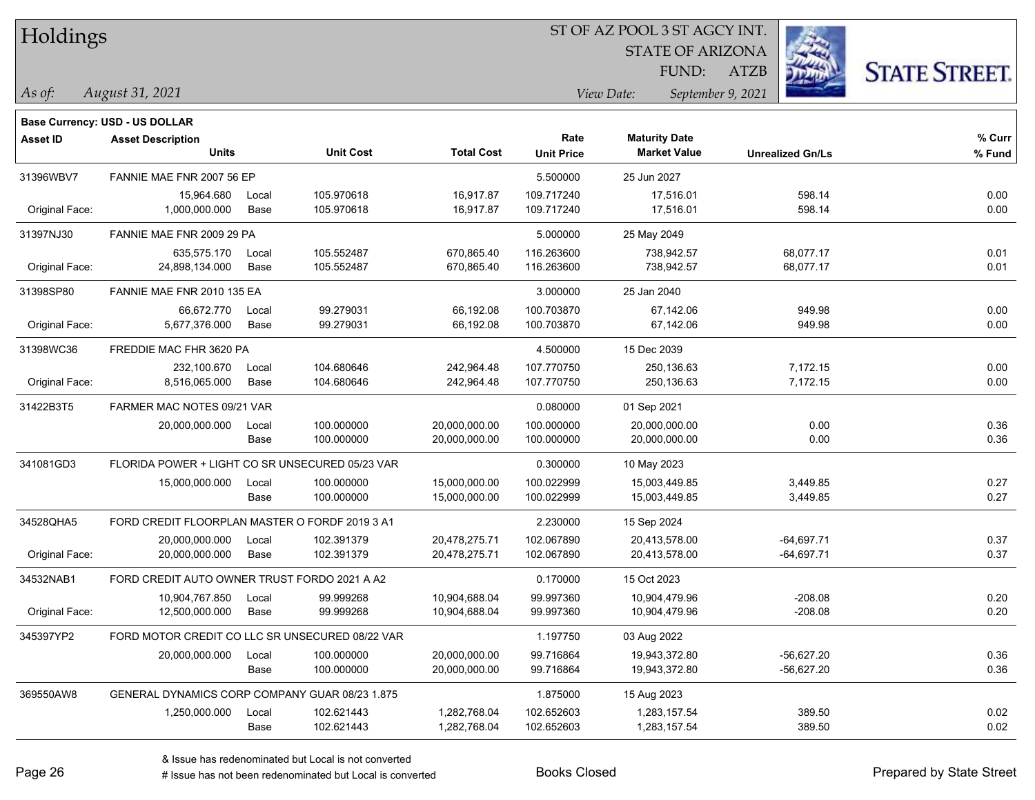Holdings

#### ST OF AZ POOL 3 ST AGCY INT.

STATE OF ARIZONA

ATZB



*August 31, 2021 As of: View Date: September 9, 2021*

**Base Currency: USD - US DOLLAR**

FUND:

| <b>Asset ID</b> | <b>Asset Description</b>                        |       |                  |                   | Rate              | <b>Maturity Date</b> |                         | % Curr |
|-----------------|-------------------------------------------------|-------|------------------|-------------------|-------------------|----------------------|-------------------------|--------|
|                 | <b>Units</b>                                    |       | <b>Unit Cost</b> | <b>Total Cost</b> | <b>Unit Price</b> | <b>Market Value</b>  | <b>Unrealized Gn/Ls</b> | % Fund |
| 31396WBV7       | FANNIE MAE FNR 2007 56 EP                       |       |                  |                   | 5.500000          | 25 Jun 2027          |                         |        |
|                 | 15,964.680                                      | Local | 105.970618       | 16,917.87         | 109.717240        | 17,516.01            | 598.14                  | 0.00   |
| Original Face:  | 1,000,000.000                                   | Base  | 105.970618       | 16,917.87         | 109.717240        | 17,516.01            | 598.14                  | 0.00   |
| 31397NJ30       | FANNIE MAE FNR 2009 29 PA                       |       |                  |                   | 5.000000          | 25 May 2049          |                         |        |
|                 | 635,575.170                                     | Local | 105.552487       | 670,865.40        | 116.263600        | 738,942.57           | 68,077.17               | 0.01   |
| Original Face:  | 24,898,134.000                                  | Base  | 105.552487       | 670,865.40        | 116.263600        | 738,942.57           | 68,077.17               | 0.01   |
| 31398SP80       | FANNIE MAE FNR 2010 135 EA                      |       |                  |                   | 3.000000          | 25 Jan 2040          |                         |        |
|                 | 66,672.770                                      | Local | 99.279031        | 66,192.08         | 100.703870        | 67,142.06            | 949.98                  | 0.00   |
| Original Face:  | 5,677,376.000                                   | Base  | 99.279031        | 66,192.08         | 100.703870        | 67,142.06            | 949.98                  | 0.00   |
| 31398WC36       | FREDDIE MAC FHR 3620 PA                         |       |                  |                   | 4.500000          | 15 Dec 2039          |                         |        |
|                 | 232,100.670                                     | Local | 104.680646       | 242,964.48        | 107.770750        | 250,136.63           | 7,172.15                | 0.00   |
| Original Face:  | 8,516,065.000                                   | Base  | 104.680646       | 242,964.48        | 107.770750        | 250,136.63           | 7,172.15                | 0.00   |
| 31422B3T5       | FARMER MAC NOTES 09/21 VAR                      |       |                  |                   | 0.080000          | 01 Sep 2021          |                         |        |
|                 | 20,000,000.000                                  | Local | 100.000000       | 20,000,000.00     | 100.000000        | 20,000,000.00        | 0.00                    | 0.36   |
|                 |                                                 | Base  | 100.000000       | 20,000,000.00     | 100.000000        | 20,000,000.00        | 0.00                    | 0.36   |
| 341081GD3       | FLORIDA POWER + LIGHT CO SR UNSECURED 05/23 VAR |       |                  |                   | 0.300000          | 10 May 2023          |                         |        |
|                 | 15,000,000.000                                  | Local | 100.000000       | 15,000,000.00     | 100.022999        | 15,003,449.85        | 3,449.85                | 0.27   |
|                 |                                                 | Base  | 100.000000       | 15,000,000.00     | 100.022999        | 15,003,449.85        | 3,449.85                | 0.27   |
| 34528QHA5       | FORD CREDIT FLOORPLAN MASTER O FORDF 2019 3 A1  |       |                  |                   | 2.230000          | 15 Sep 2024          |                         |        |
|                 | 20,000,000.000                                  | Local | 102.391379       | 20,478,275.71     | 102.067890        | 20,413,578.00        | $-64,697.71$            | 0.37   |
| Original Face:  | 20,000,000.000                                  | Base  | 102.391379       | 20,478,275.71     | 102.067890        | 20,413,578.00        | $-64,697.71$            | 0.37   |
| 34532NAB1       | FORD CREDIT AUTO OWNER TRUST FORDO 2021 A A2    |       |                  |                   | 0.170000          | 15 Oct 2023          |                         |        |
|                 | 10,904,767.850                                  | Local | 99.999268        | 10,904,688.04     | 99.997360         | 10,904,479.96        | $-208.08$               | 0.20   |
| Original Face:  | 12,500,000.000                                  | Base  | 99.999268        | 10,904,688.04     | 99.997360         | 10,904,479.96        | $-208.08$               | 0.20   |
| 345397YP2       | FORD MOTOR CREDIT CO LLC SR UNSECURED 08/22 VAR |       |                  |                   | 1.197750          | 03 Aug 2022          |                         |        |
|                 | 20,000,000.000                                  | Local | 100.000000       | 20,000,000.00     | 99.716864         | 19,943,372.80        | $-56,627.20$            | 0.36   |
|                 |                                                 | Base  | 100.000000       | 20,000,000.00     | 99.716864         | 19,943,372.80        | $-56,627.20$            | 0.36   |
| 369550AW8       | GENERAL DYNAMICS CORP COMPANY GUAR 08/23 1.875  |       |                  |                   | 1.875000          | 15 Aug 2023          |                         |        |
|                 | 1,250,000.000                                   | Local | 102.621443       | 1,282,768.04      | 102.652603        | 1,283,157.54         | 389.50                  | 0.02   |
|                 |                                                 | Base  | 102.621443       | 1,282,768.04      | 102.652603        | 1,283,157.54         | 389.50                  | 0.02   |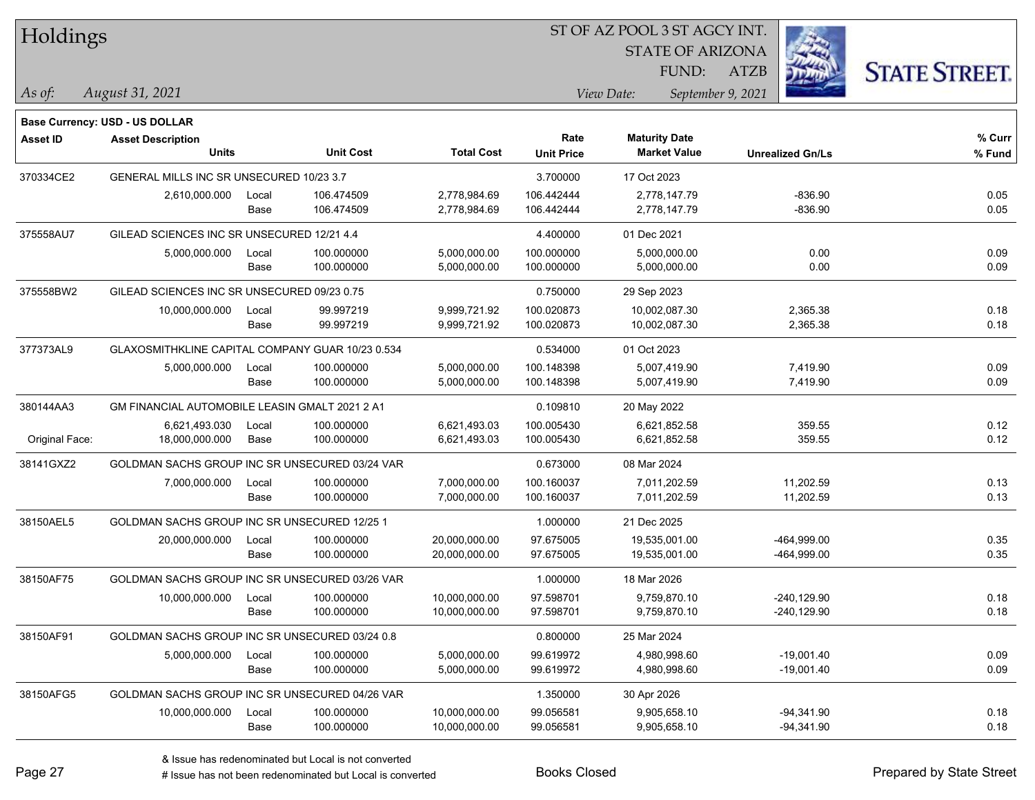| Holdings        |                                                  |       |                  | ST OF AZ POOL 3 ST AGCY INT. |                   |                      |                         |             |                         |                      |
|-----------------|--------------------------------------------------|-------|------------------|------------------------------|-------------------|----------------------|-------------------------|-------------|-------------------------|----------------------|
|                 |                                                  |       |                  |                              |                   |                      | <b>STATE OF ARIZONA</b> |             |                         |                      |
|                 |                                                  |       |                  |                              |                   |                      | FUND:                   | <b>ATZB</b> |                         | <b>STATE STREET.</b> |
| As of:          | August 31, 2021                                  |       |                  |                              |                   | View Date:           | September 9, 2021       |             |                         |                      |
|                 | <b>Base Currency: USD - US DOLLAR</b>            |       |                  |                              |                   |                      |                         |             |                         |                      |
| <b>Asset ID</b> | <b>Asset Description</b>                         |       |                  |                              | Rate              | <b>Maturity Date</b> |                         |             |                         | % Curr               |
|                 | <b>Units</b>                                     |       | <b>Unit Cost</b> | <b>Total Cost</b>            | <b>Unit Price</b> |                      | <b>Market Value</b>     |             | <b>Unrealized Gn/Ls</b> | % Fund               |
| 370334CE2       | GENERAL MILLS INC SR UNSECURED 10/23 3.7         |       |                  |                              | 3.700000          | 17 Oct 2023          |                         |             |                         |                      |
|                 | 2,610,000.000                                    | Local | 106.474509       | 2,778,984.69                 | 106.442444        |                      | 2,778,147.79            |             | $-836.90$               | 0.05                 |
|                 |                                                  | Base  | 106.474509       | 2,778,984.69                 | 106.442444        |                      | 2,778,147.79            |             | $-836.90$               | 0.05                 |
| 375558AU7       | GILEAD SCIENCES INC SR UNSECURED 12/21 4.4       |       |                  |                              | 4.400000          | 01 Dec 2021          |                         |             |                         |                      |
|                 | 5,000,000.000                                    | Local | 100.000000       | 5,000,000.00                 | 100.000000        |                      | 5,000,000.00            |             | 0.00                    | 0.09                 |
|                 |                                                  | Base  | 100.000000       | 5,000,000.00                 | 100.000000        |                      | 5,000,000.00            |             | 0.00                    | 0.09                 |
| 375558BW2       | GILEAD SCIENCES INC SR UNSECURED 09/23 0.75      |       |                  |                              | 0.750000          | 29 Sep 2023          |                         |             |                         |                      |
|                 | 10,000,000.000                                   | Local | 99.997219        | 9,999,721.92                 | 100.020873        | 10,002,087.30        |                         |             | 2,365.38                | 0.18                 |
|                 |                                                  | Base  | 99.997219        | 9,999,721.92                 | 100.020873        | 10,002,087.30        |                         |             | 2,365.38                | 0.18                 |
| 377373AL9       | GLAXOSMITHKLINE CAPITAL COMPANY GUAR 10/23 0.534 |       |                  |                              | 0.534000          | 01 Oct 2023          |                         |             |                         |                      |
|                 | 5,000,000.000                                    | Local | 100.000000       | 5,000,000.00                 | 100.148398        |                      | 5,007,419.90            |             | 7,419.90                | 0.09                 |
|                 |                                                  | Base  | 100.000000       | 5,000,000.00                 | 100.148398        |                      | 5,007,419.90            |             | 7,419.90                | 0.09                 |
| 380144AA3       | GM FINANCIAL AUTOMOBILE LEASIN GMALT 2021 2 A1   |       |                  |                              | 0.109810          | 20 May 2022          |                         |             |                         |                      |
|                 | 6,621,493.030                                    | Local | 100.000000       | 6,621,493.03                 | 100.005430        |                      | 6,621,852.58            |             | 359.55                  | 0.12                 |
| Original Face:  | 18,000,000.000                                   | Base  | 100.000000       | 6,621,493.03                 | 100.005430        |                      | 6,621,852.58            |             | 359.55                  | 0.12                 |
| 38141GXZ2       | GOLDMAN SACHS GROUP INC SR UNSECURED 03/24 VAR   |       |                  |                              | 0.673000          | 08 Mar 2024          |                         |             |                         |                      |
|                 | 7,000,000.000                                    | Local | 100.000000       | 7,000,000.00                 | 100.160037        |                      | 7,011,202.59            |             | 11,202.59               | 0.13                 |
|                 |                                                  | Base  | 100.000000       | 7,000,000.00                 | 100.160037        |                      | 7,011,202.59            |             | 11,202.59               | 0.13                 |
| 38150AEL5       | GOLDMAN SACHS GROUP INC SR UNSECURED 12/25 1     |       |                  |                              | 1.000000          | 21 Dec 2025          |                         |             |                         |                      |
|                 | 20,000,000.000                                   | Local | 100.000000       | 20,000,000.00                | 97.675005         | 19,535,001.00        |                         |             | -464,999.00             | 0.35                 |
|                 |                                                  | Base  | 100.000000       | 20,000,000.00                | 97.675005         | 19,535,001.00        |                         |             | -464,999.00             | 0.35                 |
| 38150AF75       | GOLDMAN SACHS GROUP INC SR UNSECURED 03/26 VAR   |       |                  |                              | 1.000000          | 18 Mar 2026          |                         |             |                         |                      |
|                 | 10,000,000.000                                   | Local | 100.000000       | 10,000,000.00                | 97.598701         |                      | 9,759,870.10            |             | -240,129.90             | 0.18                 |
|                 |                                                  | Base  | 100.000000       | 10,000,000.00                | 97.598701         |                      | 9,759,870.10            |             | $-240,129.90$           | 0.18                 |
| 38150AF91       | GOLDMAN SACHS GROUP INC SR UNSECURED 03/24 0.8   |       |                  |                              | 0.800000          | 25 Mar 2024          |                         |             |                         |                      |
|                 | 5,000,000.000                                    | Local | 100.000000       | 5,000,000.00                 | 99.619972         |                      | 4,980,998.60            |             | $-19,001.40$            | 0.09                 |
|                 |                                                  | Base  | 100.000000       | 5,000,000.00                 | 99.619972         |                      | 4,980,998.60            |             | $-19,001.40$            | 0.09                 |
| 38150AFG5       | GOLDMAN SACHS GROUP INC SR UNSECURED 04/26 VAR   |       |                  |                              | 1.350000          | 30 Apr 2026          |                         |             |                         |                      |
|                 | 10,000,000.000                                   | Local | 100.000000       | 10,000,000.00                | 99.056581         |                      | 9,905,658.10            |             | $-94,341.90$            | 0.18                 |
|                 |                                                  | Base  | 100.000000       | 10,000,000.00                | 99.056581         |                      | 9,905,658.10            |             | $-94,341.90$            | 0.18                 |

 $\overline{\phantom{0}}$ 

 $\overline{\phantom{a}}$ 

 $\overline{\phantom{0}}$ 

 $\overline{\phantom{a}}$ 

 $\overline{\phantom{0}}$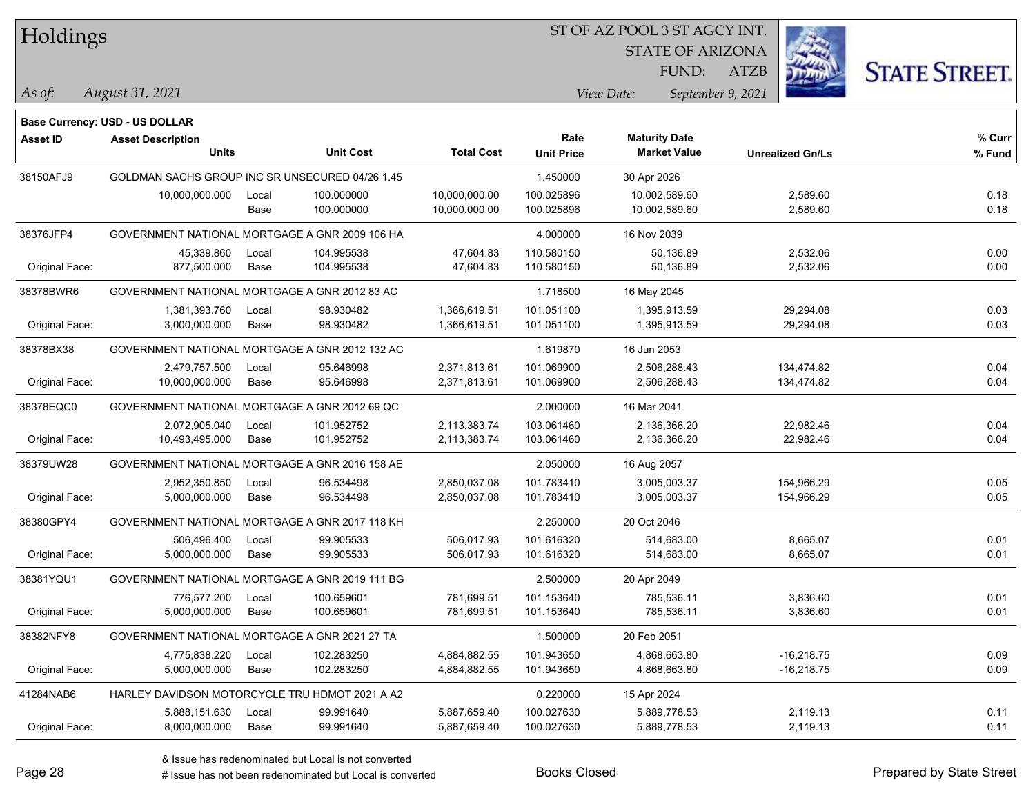Holdings

#### ST OF AZ POOL 3 ST AGCY INT.

STATE OF ARIZONA FUND:

ATZB



*As of: View Date: September 9, 2021*

| As of: | August 31, 2021 |  |
|--------|-----------------|--|
|        |                 |  |

|                | <b>Base Currency: USD - US DOLLAR</b>           |       |                  |                   |                   |                      |                         |        |
|----------------|-------------------------------------------------|-------|------------------|-------------------|-------------------|----------------------|-------------------------|--------|
| Asset ID       | <b>Asset Description</b>                        |       |                  |                   | Rate              | <b>Maturity Date</b> |                         | % Curr |
|                | <b>Units</b>                                    |       | <b>Unit Cost</b> | <b>Total Cost</b> | <b>Unit Price</b> | <b>Market Value</b>  | <b>Unrealized Gn/Ls</b> | % Fund |
| 38150AFJ9      | GOLDMAN SACHS GROUP INC SR UNSECURED 04/26 1.45 |       |                  |                   | 1.450000          | 30 Apr 2026          |                         |        |
|                | 10,000,000.000                                  | Local | 100.000000       | 10,000,000.00     | 100.025896        | 10,002,589.60        | 2,589.60                | 0.18   |
|                |                                                 | Base  | 100.000000       | 10,000,000.00     | 100.025896        | 10,002,589.60        | 2,589.60                | 0.18   |
| 38376JFP4      | GOVERNMENT NATIONAL MORTGAGE A GNR 2009 106 HA  |       |                  |                   | 4.000000          | 16 Nov 2039          |                         |        |
|                | 45,339.860                                      | Local | 104.995538       | 47,604.83         | 110.580150        | 50,136.89            | 2,532.06                | 0.00   |
| Original Face: | 877,500.000                                     | Base  | 104.995538       | 47,604.83         | 110.580150        | 50,136.89            | 2,532.06                | 0.00   |
| 38378BWR6      | GOVERNMENT NATIONAL MORTGAGE A GNR 2012 83 AC   |       |                  |                   | 1.718500          | 16 May 2045          |                         |        |
|                | 1,381,393.760                                   | Local | 98.930482        | 1,366,619.51      | 101.051100        | 1,395,913.59         | 29,294.08               | 0.03   |
| Original Face: | 3,000,000.000                                   | Base  | 98.930482        | 1,366,619.51      | 101.051100        | 1,395,913.59         | 29,294.08               | 0.03   |
| 38378BX38      | GOVERNMENT NATIONAL MORTGAGE A GNR 2012 132 AC  |       |                  |                   | 1.619870          | 16 Jun 2053          |                         |        |
|                | 2,479,757.500                                   | Local | 95.646998        | 2,371,813.61      | 101.069900        | 2,506,288.43         | 134,474.82              | 0.04   |
| Original Face: | 10,000,000.000                                  | Base  | 95.646998        | 2,371,813.61      | 101.069900        | 2,506,288.43         | 134,474.82              | 0.04   |
| 38378EQC0      | GOVERNMENT NATIONAL MORTGAGE A GNR 2012 69 QC   |       |                  |                   | 2.000000          | 16 Mar 2041          |                         |        |
|                | 2,072,905.040                                   | Local | 101.952752       | 2,113,383.74      | 103.061460        | 2,136,366.20         | 22,982.46               | 0.04   |
| Original Face: | 10,493,495.000                                  | Base  | 101.952752       | 2,113,383.74      | 103.061460        | 2,136,366.20         | 22,982.46               | 0.04   |
| 38379UW28      | GOVERNMENT NATIONAL MORTGAGE A GNR 2016 158 AE  |       |                  |                   | 2.050000          | 16 Aug 2057          |                         |        |
|                | 2,952,350.850                                   | Local | 96.534498        | 2,850,037.08      | 101.783410        | 3,005,003.37         | 154,966.29              | 0.05   |
| Original Face: | 5,000,000.000                                   | Base  | 96.534498        | 2,850,037.08      | 101.783410        | 3,005,003.37         | 154,966.29              | 0.05   |
| 38380GPY4      | GOVERNMENT NATIONAL MORTGAGE A GNR 2017 118 KH  |       |                  |                   | 2.250000          | 20 Oct 2046          |                         |        |
|                | 506,496.400                                     | Local | 99.905533        | 506,017.93        | 101.616320        | 514,683.00           | 8,665.07                | 0.01   |
| Original Face: | 5,000,000.000                                   | Base  | 99.905533        | 506,017.93        | 101.616320        | 514,683.00           | 8,665.07                | 0.01   |
| 38381YQU1      | GOVERNMENT NATIONAL MORTGAGE A GNR 2019 111 BG  |       |                  |                   | 2.500000          | 20 Apr 2049          |                         |        |
|                | 776,577.200                                     | Local | 100.659601       | 781,699.51        | 101.153640        | 785,536.11           | 3,836.60                | 0.01   |
| Original Face: | 5,000,000.000                                   | Base  | 100.659601       | 781,699.51        | 101.153640        | 785,536.11           | 3,836.60                | 0.01   |
| 38382NFY8      | GOVERNMENT NATIONAL MORTGAGE A GNR 2021 27 TA   |       |                  |                   | 1.500000          | 20 Feb 2051          |                         |        |
|                | 4,775,838.220                                   | Local | 102.283250       | 4,884,882.55      | 101.943650        | 4,868,663.80         | $-16,218.75$            | 0.09   |
| Original Face: | 5,000,000.000                                   | Base  | 102.283250       | 4,884,882.55      | 101.943650        | 4,868,663.80         | $-16,218.75$            | 0.09   |
| 41284NAB6      | HARLEY DAVIDSON MOTORCYCLE TRU HDMOT 2021 A A2  |       |                  |                   | 0.220000          | 15 Apr 2024          |                         |        |
|                | 5,888,151.630                                   | Local | 99.991640        | 5,887,659.40      | 100.027630        | 5,889,778.53         | 2,119.13                | 0.11   |
| Original Face: | 8,000,000.000                                   | Base  | 99.991640        | 5,887,659.40      | 100.027630        | 5,889,778.53         | 2,119.13                | 0.11   |
|                |                                                 |       |                  |                   |                   |                      |                         |        |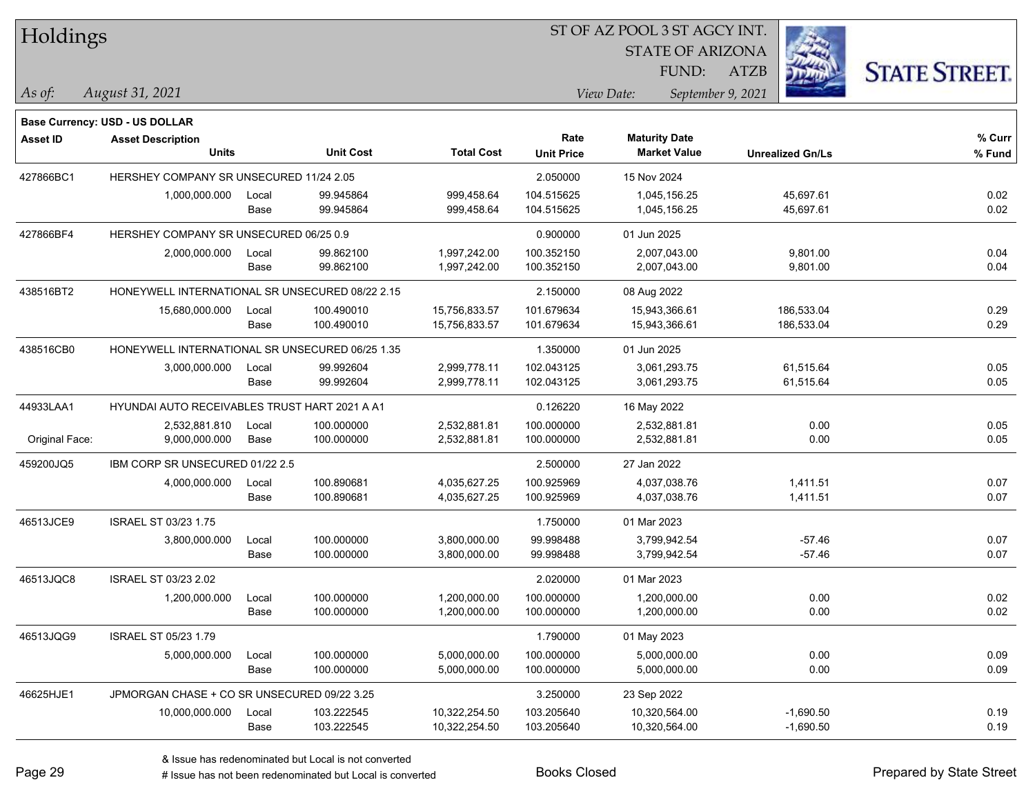| Holdings        |                                                 |       |                  |                   | ST OF AZ POOL 3 ST AGCY INT. |                         |                         |                      |  |  |
|-----------------|-------------------------------------------------|-------|------------------|-------------------|------------------------------|-------------------------|-------------------------|----------------------|--|--|
|                 |                                                 |       |                  |                   |                              | <b>STATE OF ARIZONA</b> |                         |                      |  |  |
|                 |                                                 |       |                  |                   |                              | FUND:                   | <b>ATZB</b>             | <b>STATE STREET.</b> |  |  |
| As of:          | August 31, 2021                                 |       |                  |                   |                              | View Date:              | September 9, 2021       |                      |  |  |
|                 | <b>Base Currency: USD - US DOLLAR</b>           |       |                  |                   |                              |                         |                         |                      |  |  |
| <b>Asset ID</b> | <b>Asset Description</b>                        |       |                  |                   | Rate                         | <b>Maturity Date</b>    |                         | % Curr               |  |  |
|                 | <b>Units</b>                                    |       | <b>Unit Cost</b> | <b>Total Cost</b> | <b>Unit Price</b>            | <b>Market Value</b>     | <b>Unrealized Gn/Ls</b> | % Fund               |  |  |
| 427866BC1       | HERSHEY COMPANY SR UNSECURED 11/24 2.05         |       |                  |                   | 2.050000                     | 15 Nov 2024             |                         |                      |  |  |
|                 | 1,000,000.000                                   | Local | 99.945864        | 999,458.64        | 104.515625                   | 1,045,156.25            | 45,697.61               | 0.02                 |  |  |
|                 |                                                 | Base  | 99.945864        | 999,458.64        | 104.515625                   | 1,045,156.25            | 45,697.61               | 0.02                 |  |  |
| 427866BF4       | HERSHEY COMPANY SR UNSECURED 06/25 0.9          |       |                  |                   | 0.900000                     | 01 Jun 2025             |                         |                      |  |  |
|                 | 2,000,000.000                                   | Local | 99.862100        | 1,997,242.00      | 100.352150                   | 2,007,043.00            | 9,801.00                | 0.04                 |  |  |
|                 |                                                 | Base  | 99.862100        | 1,997,242.00      | 100.352150                   | 2,007,043.00            | 9,801.00                | 0.04                 |  |  |
| 438516BT2       | HONEYWELL INTERNATIONAL SR UNSECURED 08/22 2.15 |       |                  |                   | 2.150000                     | 08 Aug 2022             |                         |                      |  |  |
|                 | 15,680,000.000                                  | Local | 100.490010       | 15,756,833.57     | 101.679634                   | 15,943,366.61           | 186,533.04              | 0.29                 |  |  |
|                 |                                                 | Base  | 100.490010       | 15,756,833.57     | 101.679634                   | 15,943,366.61           | 186,533.04              | 0.29                 |  |  |
| 438516CB0       | HONEYWELL INTERNATIONAL SR UNSECURED 06/25 1.35 |       |                  |                   | 1.350000                     | 01 Jun 2025             |                         |                      |  |  |
|                 | 3,000,000.000                                   | Local | 99.992604        | 2,999,778.11      | 102.043125                   | 3,061,293.75            | 61,515.64               | 0.05                 |  |  |
|                 |                                                 | Base  | 99.992604        | 2,999,778.11      | 102.043125                   | 3,061,293.75            | 61,515.64               | 0.05                 |  |  |
| 44933LAA1       | HYUNDAI AUTO RECEIVABLES TRUST HART 2021 A A1   |       |                  |                   | 0.126220                     | 16 May 2022             |                         |                      |  |  |
|                 | 2,532,881.810                                   | Local | 100.000000       | 2,532,881.81      | 100.000000                   | 2,532,881.81            | 0.00                    | 0.05                 |  |  |
| Original Face:  | 9,000,000.000                                   | Base  | 100.000000       | 2,532,881.81      | 100.000000                   | 2,532,881.81            | 0.00                    | 0.05                 |  |  |
| 459200JQ5       | IBM CORP SR UNSECURED 01/22 2.5                 |       |                  |                   | 2.500000                     | 27 Jan 2022             |                         |                      |  |  |
|                 | 4,000,000.000                                   | Local | 100.890681       | 4,035,627.25      | 100.925969                   | 4,037,038.76            | 1,411.51                | 0.07                 |  |  |
|                 |                                                 | Base  | 100.890681       | 4,035,627.25      | 100.925969                   | 4,037,038.76            | 1,411.51                | 0.07                 |  |  |
| 46513JCE9       | <b>ISRAEL ST 03/23 1.75</b>                     |       |                  |                   | 1.750000                     | 01 Mar 2023             |                         |                      |  |  |
|                 | 3,800,000.000                                   | Local | 100.000000       | 3,800,000.00      | 99.998488                    | 3,799,942.54            | $-57.46$                | 0.07                 |  |  |
|                 |                                                 | Base  | 100.000000       | 3,800,000.00      | 99.998488                    | 3,799,942.54            | $-57.46$                | 0.07                 |  |  |
| 46513JQC8       | ISRAEL ST 03/23 2.02                            |       |                  |                   | 2.020000                     | 01 Mar 2023             |                         |                      |  |  |
|                 | 1,200,000.000                                   | Local | 100.000000       | 1,200,000.00      | 100.000000                   | 1,200,000.00            | 0.00                    | 0.02                 |  |  |
|                 |                                                 | Base  | 100.000000       | 1,200,000.00      | 100.000000                   | 1,200,000.00            | 0.00                    | 0.02                 |  |  |
| 46513JQG9       | ISRAEL ST 05/23 1.79                            |       |                  |                   | 1.790000                     | 01 May 2023             |                         |                      |  |  |
|                 | 5,000,000.000                                   | Local | 100.000000       | 5,000,000.00      | 100.000000                   | 5,000,000.00            | 0.00                    | 0.09                 |  |  |
|                 |                                                 | Base  | 100.000000       | 5,000,000.00      | 100.000000                   | 5,000,000.00            | 0.00                    | 0.09                 |  |  |
| 46625HJE1       | JPMORGAN CHASE + CO SR UNSECURED 09/22 3.25     |       |                  |                   | 3.250000                     | 23 Sep 2022             |                         |                      |  |  |
|                 | 10,000,000.000                                  | Local | 103.222545       | 10,322,254.50     | 103.205640                   | 10,320,564.00           | $-1,690.50$             | 0.19                 |  |  |
|                 |                                                 | Base  | 103.222545       | 10,322,254.50     | 103.205640                   | 10,320,564.00           | $-1,690.50$             | 0.19                 |  |  |

 $\overline{\phantom{a}}$ 

 $\overline{\phantom{0}}$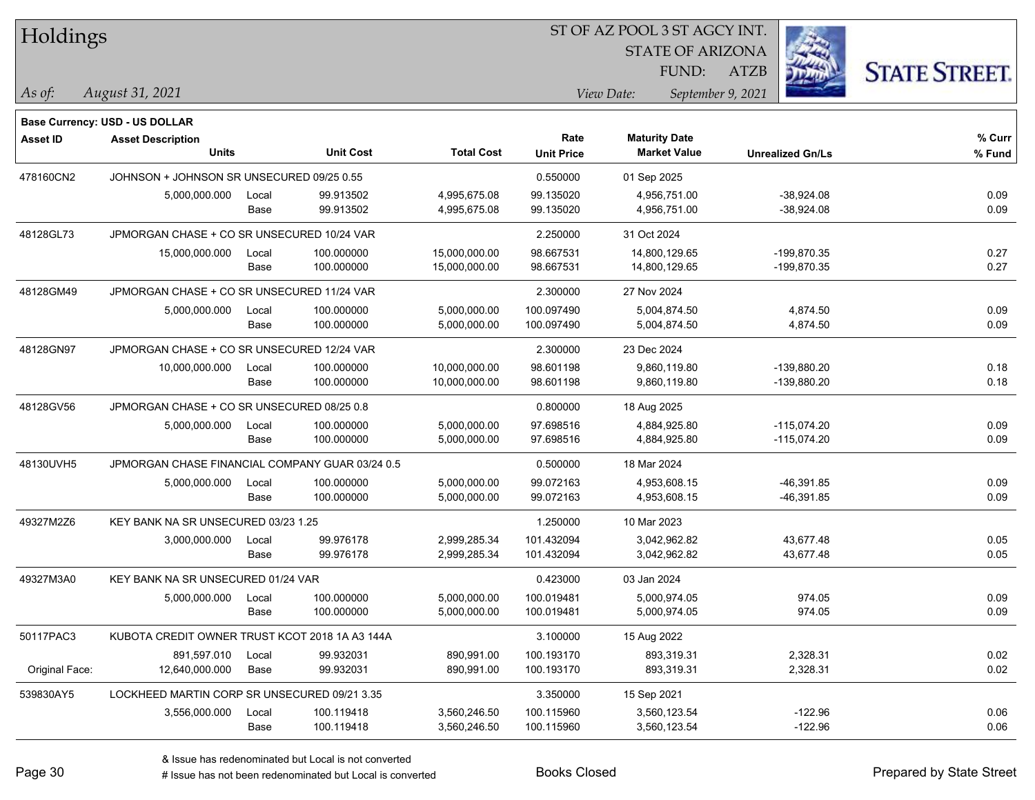| Holdings        |                                                 |       |                  |                   |                   | ST OF AZ POOL 3 ST AGCY INT. |                         |                      |
|-----------------|-------------------------------------------------|-------|------------------|-------------------|-------------------|------------------------------|-------------------------|----------------------|
|                 |                                                 |       |                  |                   |                   | <b>STATE OF ARIZONA</b>      |                         |                      |
|                 |                                                 |       |                  |                   |                   | FUND:                        | ATZB                    | <b>STATE STREET.</b> |
| $\vert$ As of:  | August 31, 2021                                 |       |                  |                   |                   | View Date:                   | September 9, 2021       |                      |
|                 |                                                 |       |                  |                   |                   |                              |                         |                      |
|                 | <b>Base Currency: USD - US DOLLAR</b>           |       |                  |                   | Rate              | <b>Maturity Date</b>         |                         | % Curr               |
| <b>Asset ID</b> | <b>Asset Description</b><br><b>Units</b>        |       | <b>Unit Cost</b> | <b>Total Cost</b> | <b>Unit Price</b> | <b>Market Value</b>          | <b>Unrealized Gn/Ls</b> | % Fund               |
| 478160CN2       | JOHNSON + JOHNSON SR UNSECURED 09/25 0.55       |       |                  |                   | 0.550000          | 01 Sep 2025                  |                         |                      |
|                 | 5,000,000.000                                   | Local | 99.913502        | 4,995,675.08      | 99.135020         | 4,956,751.00                 | $-38,924.08$            | 0.09                 |
|                 |                                                 | Base  | 99.913502        | 4,995,675.08      | 99.135020         | 4,956,751.00                 | $-38,924.08$            | 0.09                 |
| 48128GL73       | JPMORGAN CHASE + CO SR UNSECURED 10/24 VAR      |       |                  |                   | 2.250000          | 31 Oct 2024                  |                         |                      |
|                 | 15,000,000.000                                  | Local | 100.000000       | 15,000,000.00     | 98.667531         | 14,800,129.65                | -199,870.35             | 0.27                 |
|                 |                                                 | Base  | 100.000000       | 15,000,000.00     | 98.667531         | 14,800,129.65                | -199,870.35             | 0.27                 |
| 48128GM49       | JPMORGAN CHASE + CO SR UNSECURED 11/24 VAR      |       |                  |                   | 2.300000          | 27 Nov 2024                  |                         |                      |
|                 | 5,000,000.000                                   | Local | 100.000000       | 5,000,000.00      | 100.097490        | 5.004.874.50                 | 4,874.50                | 0.09                 |
|                 |                                                 | Base  | 100.000000       | 5,000,000.00      | 100.097490        | 5,004,874.50                 | 4,874.50                | 0.09                 |
| 48128GN97       | JPMORGAN CHASE + CO SR UNSECURED 12/24 VAR      |       |                  |                   | 2.300000          | 23 Dec 2024                  |                         |                      |
|                 | 10,000,000.000                                  | Local | 100.000000       | 10,000,000.00     | 98.601198         | 9,860,119.80                 | -139,880.20             | 0.18                 |
|                 |                                                 | Base  | 100.000000       | 10,000,000.00     | 98.601198         | 9,860,119.80                 | -139,880.20             | 0.18                 |
| 48128GV56       | JPMORGAN CHASE + CO SR UNSECURED 08/25 0.8      |       |                  |                   | 0.800000          | 18 Aug 2025                  |                         |                      |
|                 | 5,000,000.000                                   | Local | 100.000000       | 5,000,000.00      | 97.698516         | 4,884,925.80                 | $-115,074.20$           | 0.09                 |
|                 |                                                 | Base  | 100.000000       | 5,000,000.00      | 97.698516         | 4,884,925.80                 | $-115,074.20$           | 0.09                 |
| 48130UVH5       | JPMORGAN CHASE FINANCIAL COMPANY GUAR 03/24 0.5 |       |                  |                   | 0.500000          | 18 Mar 2024                  |                         |                      |
|                 | 5,000,000.000                                   | Local | 100.000000       | 5,000,000.00      | 99.072163         | 4,953,608.15                 | $-46,391.85$            | 0.09                 |
|                 |                                                 | Base  | 100.000000       | 5,000,000.00      | 99.072163         | 4,953,608.15                 | -46,391.85              | 0.09                 |
| 49327M2Z6       | KEY BANK NA SR UNSECURED 03/23 1.25             |       |                  |                   | 1.250000          | 10 Mar 2023                  |                         |                      |
|                 | 3,000,000.000                                   | Local | 99.976178        | 2,999,285.34      | 101.432094        | 3,042,962.82                 | 43,677.48               | 0.05                 |
|                 |                                                 | Base  | 99.976178        | 2,999,285.34      | 101.432094        | 3,042,962.82                 | 43,677.48               | 0.05                 |
| 49327M3A0       | KEY BANK NA SR UNSECURED 01/24 VAR              |       |                  |                   | 0.423000          | 03 Jan 2024                  |                         |                      |
|                 | 5,000,000.000                                   | Local | 100.000000       | 5,000,000.00      | 100.019481        | 5,000,974.05                 | 974.05                  | 0.09                 |
|                 |                                                 | Base  | 100.000000       | 5,000,000.00      | 100.019481        | 5,000,974.05                 | 974.05                  | 0.09                 |
| 50117PAC3       | KUBOTA CREDIT OWNER TRUST KCOT 2018 1A A3 144A  |       |                  |                   | 3.100000          | 15 Aug 2022                  |                         |                      |
|                 | 891,597.010                                     | Local | 99.932031        | 890,991.00        | 100.193170        | 893,319.31                   | 2,328.31                | 0.02                 |
| Original Face:  | 12,640,000.000                                  | Base  | 99.932031        | 890,991.00        | 100.193170        | 893,319.31                   | 2,328.31                | 0.02                 |
| 539830AY5       | LOCKHEED MARTIN CORP SR UNSECURED 09/21 3.35    |       |                  |                   | 3.350000          | 15 Sep 2021                  |                         |                      |
|                 | 3,556,000.000                                   | Local | 100.119418       | 3,560,246.50      | 100.115960        | 3,560,123.54                 | $-122.96$               | 0.06                 |
|                 |                                                 | Base  | 100.119418       | 3,560,246.50      | 100.115960        | 3,560,123.54                 | $-122.96$               | 0.06                 |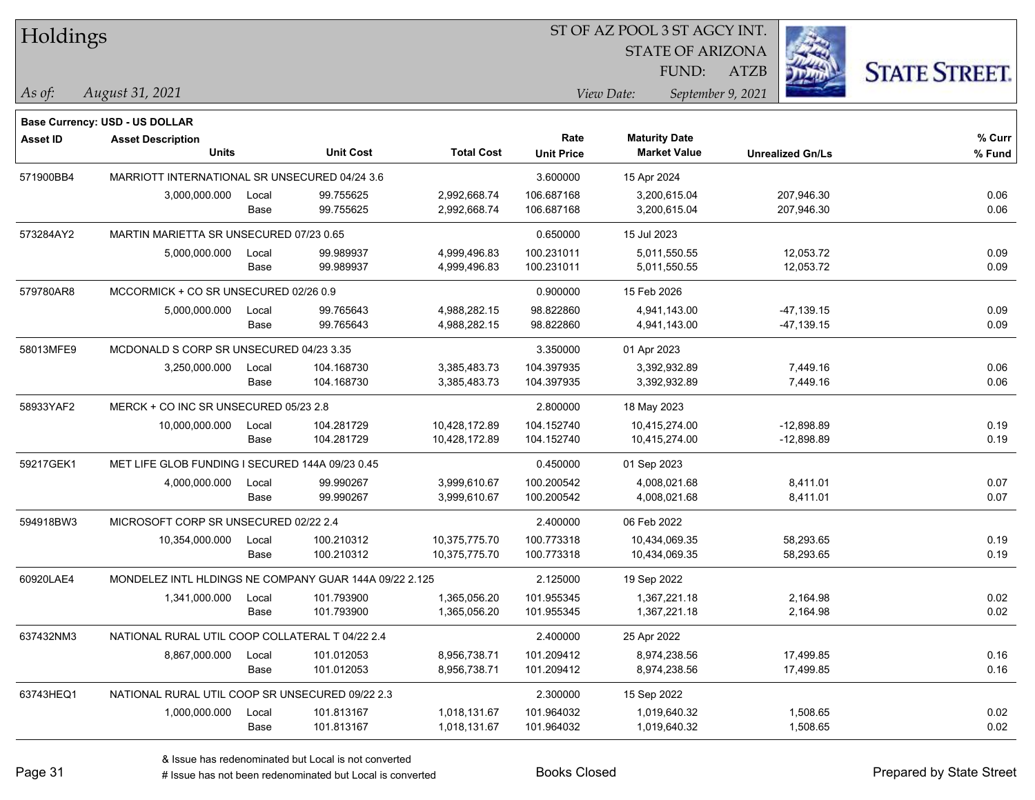| Holdings |
|----------|
|----------|

STATE OF ARIZONA

ATZB



*August 31, 2021 As of: View Date: September 9, 2021*

**Base Currency: USD - US DOLLAR**

FUND:

| <b>Asset ID</b> | <b>Asset Description</b><br><b>Units</b>               |       | <b>Unit Cost</b> | <b>Total Cost</b> | Rate<br><b>Unit Price</b> | <b>Maturity Date</b><br><b>Market Value</b> | <b>Unrealized Gn/Ls</b> | % Curr<br>% Fund |
|-----------------|--------------------------------------------------------|-------|------------------|-------------------|---------------------------|---------------------------------------------|-------------------------|------------------|
|                 |                                                        |       |                  |                   |                           |                                             |                         |                  |
| 571900BB4       | MARRIOTT INTERNATIONAL SR UNSECURED 04/24 3.6          |       |                  |                   | 3.600000                  | 15 Apr 2024                                 |                         |                  |
|                 | 3,000,000.000                                          | Local | 99.755625        | 2,992,668.74      | 106.687168                | 3,200,615.04                                | 207,946.30              | 0.06             |
|                 |                                                        | Base  | 99.755625        | 2,992,668.74      | 106.687168                | 3,200,615.04                                | 207,946.30              | 0.06             |
| 573284AY2       | MARTIN MARIETTA SR UNSECURED 07/23 0.65                |       |                  | 0.650000          | 15 Jul 2023               |                                             |                         |                  |
|                 | 5,000,000.000                                          | Local | 99.989937        | 4,999,496.83      | 100.231011                | 5.011.550.55                                | 12,053.72               | 0.09             |
|                 |                                                        | Base  | 99.989937        | 4,999,496.83      | 100.231011                | 5,011,550.55                                | 12,053.72               | 0.09             |
| 579780AR8       | MCCORMICK + CO SR UNSECURED 02/26 0.9                  |       |                  |                   | 0.900000                  | 15 Feb 2026                                 |                         |                  |
|                 | 5,000,000.000                                          | Local | 99.765643        | 4,988,282.15      | 98.822860                 | 4,941,143.00                                | -47,139.15              | 0.09             |
|                 |                                                        | Base  | 99.765643        | 4,988,282.15      | 98.822860                 | 4,941,143.00                                | -47,139.15              | 0.09             |
| 58013MFE9       | MCDONALD S CORP SR UNSECURED 04/23 3.35                |       |                  |                   | 3.350000                  | 01 Apr 2023                                 |                         |                  |
|                 | 3,250,000.000                                          | Local | 104.168730       | 3,385,483.73      | 104.397935                | 3,392,932.89                                | 7,449.16                | 0.06             |
|                 |                                                        | Base  | 104.168730       | 3,385,483.73      | 104.397935                | 3,392,932.89                                | 7,449.16                | 0.06             |
| 58933YAF2       | MERCK + CO INC SR UNSECURED 05/23 2.8                  |       |                  |                   | 2.800000                  | 18 May 2023                                 |                         |                  |
|                 | 10,000,000.000                                         | Local | 104.281729       | 10,428,172.89     | 104.152740                | 10,415,274.00                               | $-12,898.89$            | 0.19             |
|                 |                                                        | Base  | 104.281729       | 10,428,172.89     | 104.152740                | 10,415,274.00                               | $-12,898.89$            | 0.19             |
| 59217GEK1       | MET LIFE GLOB FUNDING I SECURED 144A 09/23 0.45        |       |                  | 0.450000          | 01 Sep 2023               |                                             |                         |                  |
|                 | 4,000,000.000                                          | Local | 99.990267        | 3,999,610.67      | 100.200542                | 4,008,021.68                                | 8,411.01                | 0.07             |
|                 |                                                        | Base  | 99.990267        | 3,999,610.67      | 100.200542                | 4,008,021.68                                | 8,411.01                | 0.07             |
| 594918BW3       | MICROSOFT CORP SR UNSECURED 02/22 2.4                  |       |                  |                   | 2.400000                  | 06 Feb 2022                                 |                         |                  |
|                 | 10,354,000.000                                         | Local | 100.210312       | 10,375,775.70     | 100.773318                | 10,434,069.35                               | 58,293.65               | 0.19             |
|                 |                                                        | Base  | 100.210312       | 10,375,775.70     | 100.773318                | 10,434,069.35                               | 58,293.65               | 0.19             |
| 60920LAE4       | MONDELEZ INTL HLDINGS NE COMPANY GUAR 144A 09/22 2.125 |       |                  |                   | 2.125000                  | 19 Sep 2022                                 |                         |                  |
|                 | 1,341,000.000                                          | Local | 101.793900       | 1,365,056.20      | 101.955345                | 1,367,221.18                                | 2,164.98                | 0.02             |
|                 |                                                        | Base  | 101.793900       | 1,365,056.20      | 101.955345                | 1,367,221.18                                | 2,164.98                | 0.02             |
| 637432NM3       | NATIONAL RURAL UTIL COOP COLLATERAL T 04/22 2.4        |       |                  |                   | 2.400000                  | 25 Apr 2022                                 |                         |                  |
|                 | 8,867,000.000                                          | Local | 101.012053       | 8,956,738.71      | 101.209412                | 8,974,238.56                                | 17,499.85               | 0.16             |
|                 |                                                        | Base  | 101.012053       | 8,956,738.71      | 101.209412                | 8,974,238.56                                | 17,499.85               | 0.16             |
| 63743HEQ1       | NATIONAL RURAL UTIL COOP SR UNSECURED 09/22 2.3        |       |                  |                   | 2.300000                  | 15 Sep 2022                                 |                         |                  |
|                 | 1,000,000.000                                          | Local | 101.813167       | 1,018,131.67      | 101.964032                | 1,019,640.32                                | 1,508.65                | 0.02             |
|                 |                                                        | Base  | 101.813167       | 1,018,131.67      | 101.964032                | 1,019,640.32                                | 1,508.65                | 0.02             |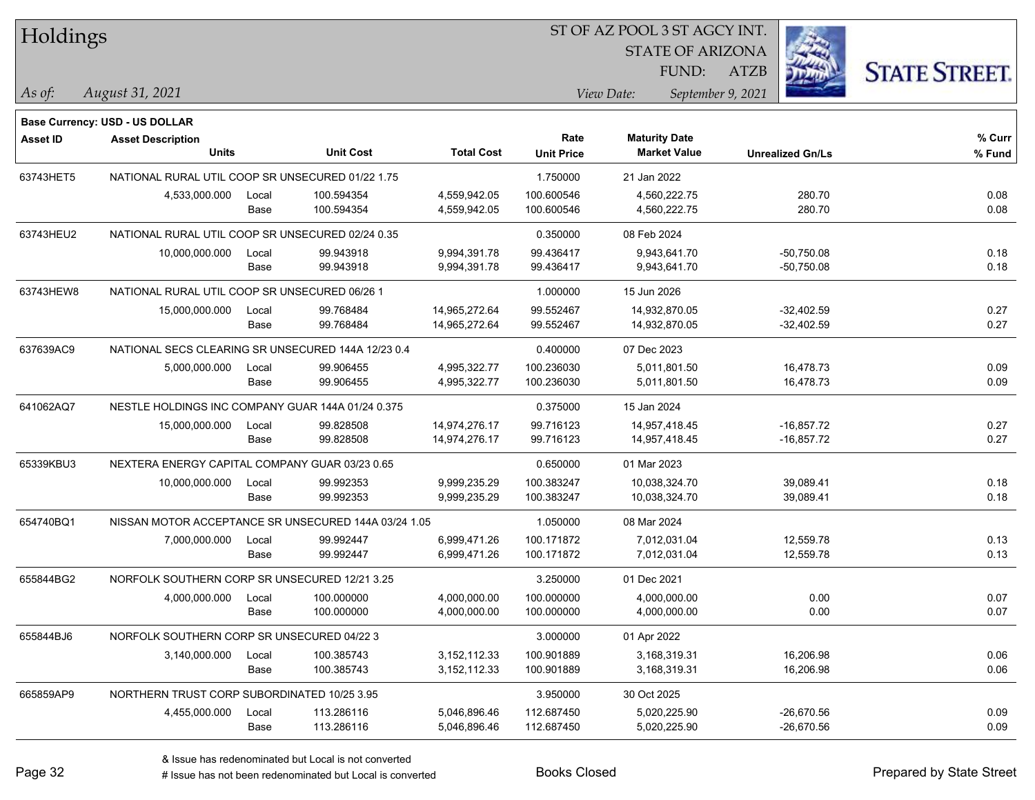| Holdings        |                                                                   |       |                  |                   |                   |                      | ST OF AZ POOL 3 ST AGCY INT. |                         |                      |  |  |
|-----------------|-------------------------------------------------------------------|-------|------------------|-------------------|-------------------|----------------------|------------------------------|-------------------------|----------------------|--|--|
|                 |                                                                   |       |                  |                   |                   |                      | <b>STATE OF ARIZONA</b>      |                         |                      |  |  |
|                 |                                                                   |       |                  |                   |                   |                      | FUND:<br><b>ATZB</b>         |                         | <b>STATE STREET.</b> |  |  |
| $\vert$ As of:  | August 31, 2021                                                   |       |                  |                   |                   | View Date:           | September 9, 2021            |                         |                      |  |  |
|                 |                                                                   |       |                  |                   |                   |                      |                              |                         |                      |  |  |
| <b>Asset ID</b> | <b>Base Currency: USD - US DOLLAR</b><br><b>Asset Description</b> |       |                  |                   | Rate              | <b>Maturity Date</b> |                              |                         | $%$ Curr             |  |  |
|                 | <b>Units</b>                                                      |       | <b>Unit Cost</b> | <b>Total Cost</b> | <b>Unit Price</b> | <b>Market Value</b>  |                              | <b>Unrealized Gn/Ls</b> | % Fund               |  |  |
| 63743HET5       | NATIONAL RURAL UTIL COOP SR UNSECURED 01/22 1.75                  |       |                  |                   | 1.750000          | 21 Jan 2022          |                              |                         |                      |  |  |
|                 | 4,533,000.000                                                     | Local | 100.594354       | 4,559,942.05      | 100.600546        | 4,560,222.75         |                              | 280.70                  | 0.08                 |  |  |
|                 |                                                                   | Base  | 100.594354       | 4,559,942.05      | 100.600546        | 4,560,222.75         |                              | 280.70                  | 0.08                 |  |  |
| 63743HEU2       | NATIONAL RURAL UTIL COOP SR UNSECURED 02/24 0.35                  |       |                  |                   | 0.350000          | 08 Feb 2024          |                              |                         |                      |  |  |
|                 | 10,000,000.000                                                    | Local | 99.943918        | 9,994,391.78      | 99.436417         | 9,943,641.70         |                              | $-50,750.08$            | 0.18                 |  |  |
|                 |                                                                   | Base  | 99.943918        | 9,994,391.78      | 99.436417         | 9,943,641.70         |                              | $-50,750.08$            | 0.18                 |  |  |
| 63743HEW8       | NATIONAL RURAL UTIL COOP SR UNSECURED 06/26 1                     |       |                  |                   | 1.000000          | 15 Jun 2026          |                              |                         |                      |  |  |
|                 | 15,000,000.000                                                    | Local | 99.768484        | 14,965,272.64     | 99.552467         | 14,932,870.05        |                              | -32,402.59              | 0.27                 |  |  |
|                 |                                                                   | Base  | 99.768484        | 14,965,272.64     | 99.552467         | 14,932,870.05        |                              | $-32,402.59$            | 0.27                 |  |  |
| 637639AC9       | NATIONAL SECS CLEARING SR UNSECURED 144A 12/23 0.4                |       |                  |                   | 0.400000          | 07 Dec 2023          |                              |                         |                      |  |  |
|                 | 5,000,000.000                                                     | Local | 99.906455        | 4,995,322.77      | 100.236030        | 5,011,801.50         |                              | 16,478.73               | 0.09                 |  |  |
|                 |                                                                   | Base  | 99.906455        | 4,995,322.77      | 100.236030        | 5,011,801.50         |                              | 16,478.73               | 0.09                 |  |  |
| 641062AQ7       | NESTLE HOLDINGS INC COMPANY GUAR 144A 01/24 0.375                 |       |                  |                   | 0.375000          | 15 Jan 2024          |                              |                         |                      |  |  |
|                 | 15,000,000.000                                                    | Local | 99.828508        | 14,974,276.17     | 99.716123         | 14,957,418.45        |                              | $-16,857.72$            | 0.27                 |  |  |
|                 |                                                                   | Base  | 99.828508        | 14,974,276.17     | 99.716123         | 14,957,418.45        |                              | $-16,857.72$            | 0.27                 |  |  |
| 65339KBU3       | NEXTERA ENERGY CAPITAL COMPANY GUAR 03/23 0.65                    |       |                  |                   | 0.650000          | 01 Mar 2023          |                              |                         |                      |  |  |
|                 | 10,000,000.000                                                    | Local | 99.992353        | 9,999,235.29      | 100.383247        | 10,038,324.70        |                              | 39,089.41               | 0.18                 |  |  |
|                 |                                                                   | Base  | 99.992353        | 9,999,235.29      | 100.383247        | 10,038,324.70        |                              | 39,089.41               | 0.18                 |  |  |
| 654740BQ1       | NISSAN MOTOR ACCEPTANCE SR UNSECURED 144A 03/24 1.05              |       |                  |                   | 1.050000          | 08 Mar 2024          |                              |                         |                      |  |  |
|                 | 7,000,000.000                                                     | Local | 99.992447        | 6,999,471.26      | 100.171872        | 7,012,031.04         |                              | 12,559.78               | 0.13                 |  |  |
|                 |                                                                   | Base  | 99.992447        | 6,999,471.26      | 100.171872        | 7,012,031.04         |                              | 12,559.78               | 0.13                 |  |  |
| 655844BG2       | NORFOLK SOUTHERN CORP SR UNSECURED 12/21 3.25                     |       |                  |                   | 3.250000          | 01 Dec 2021          |                              |                         |                      |  |  |
|                 | 4,000,000.000                                                     | Local | 100.000000       | 4,000,000.00      | 100.000000        | 4,000,000.00         |                              | 0.00                    | 0.07                 |  |  |
|                 |                                                                   | Base  | 100.000000       | 4,000,000.00      | 100.000000        | 4,000,000.00         |                              | 0.00                    | 0.07                 |  |  |
| 655844BJ6       | NORFOLK SOUTHERN CORP SR UNSECURED 04/22 3                        |       |                  |                   | 3.000000          | 01 Apr 2022          |                              |                         |                      |  |  |
|                 | 3,140,000.000                                                     | Local | 100.385743       | 3, 152, 112. 33   | 100.901889        | 3,168,319.31         |                              | 16,206.98               | 0.06                 |  |  |
|                 |                                                                   | Base  | 100.385743       | 3, 152, 112. 33   | 100.901889        | 3,168,319.31         |                              | 16,206.98               | 0.06                 |  |  |
| 665859AP9       | NORTHERN TRUST CORP SUBORDINATED 10/25 3.95                       |       |                  |                   | 3.950000          | 30 Oct 2025          |                              |                         |                      |  |  |
|                 | 4,455,000.000                                                     | Local | 113.286116       | 5,046,896.46      | 112.687450        | 5,020,225.90         |                              | $-26,670.56$            | 0.09                 |  |  |
|                 |                                                                   | Base  | 113.286116       | 5,046,896.46      | 112.687450        | 5,020,225.90         |                              | $-26,670.56$            | 0.09                 |  |  |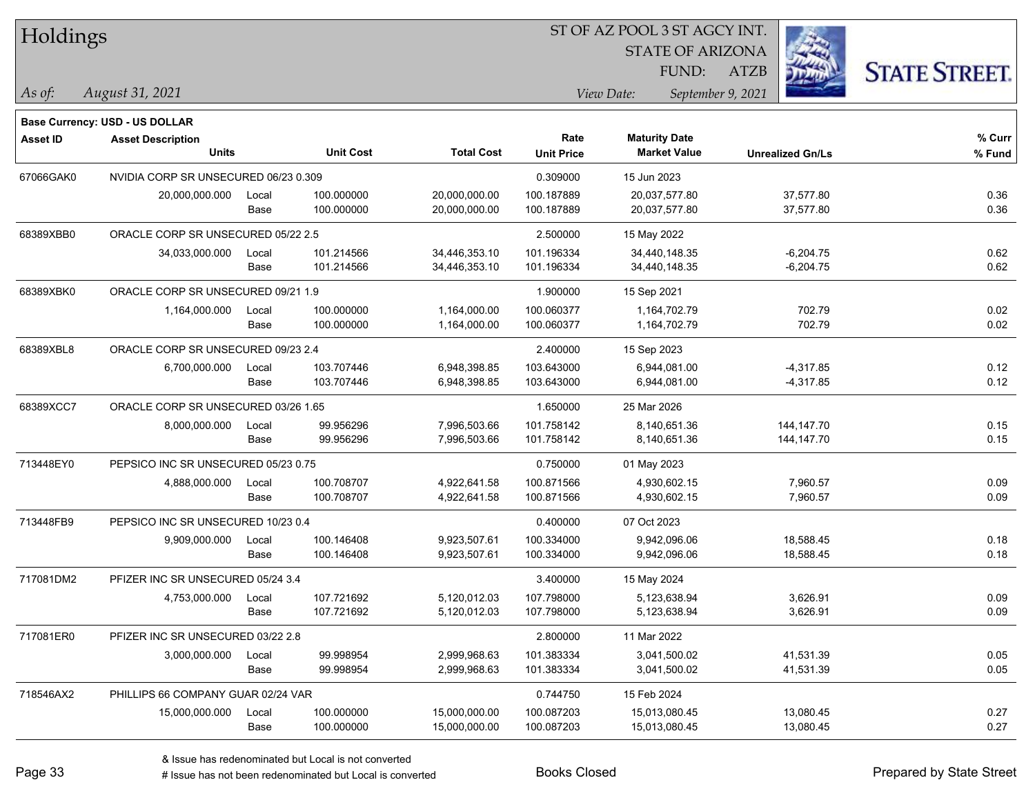| Holdings |  |
|----------|--|
|----------|--|

STATE OF ARIZONA FUND:

ATZB



*August 31, 2021 As of: View Date: September 9, 2021*

|                 | Base Currency: USD - US DOLLAR           |               |                          |                                |                           |                                             |                              |                  |
|-----------------|------------------------------------------|---------------|--------------------------|--------------------------------|---------------------------|---------------------------------------------|------------------------------|------------------|
| <b>Asset ID</b> | <b>Asset Description</b><br><b>Units</b> |               | <b>Unit Cost</b>         | <b>Total Cost</b>              | Rate<br><b>Unit Price</b> | <b>Maturity Date</b><br><b>Market Value</b> | <b>Unrealized Gn/Ls</b>      | % Curr<br>% Fund |
| 67066GAK0       | NVIDIA CORP SR UNSECURED 06/23 0.309     |               |                          |                                | 0.309000                  | 15 Jun 2023                                 |                              |                  |
|                 | 20,000,000.000                           | Local<br>Base | 100.000000<br>100.000000 | 20,000,000.00<br>20,000,000.00 | 100.187889<br>100.187889  | 20,037,577.80<br>20,037,577.80              | 37,577.80<br>37,577.80       | 0.36<br>0.36     |
| 68389XBB0       | ORACLE CORP SR UNSECURED 05/22 2.5       |               |                          |                                | 2.500000                  | 15 May 2022                                 |                              |                  |
|                 | 34,033,000.000                           | Local<br>Base | 101.214566<br>101.214566 | 34,446,353.10<br>34,446,353.10 | 101.196334<br>101.196334  | 34,440,148.35<br>34,440,148.35              | $-6,204.75$<br>$-6,204.75$   | 0.62<br>0.62     |
| 68389XBK0       | ORACLE CORP SR UNSECURED 09/21 1.9       |               |                          |                                | 1.900000                  | 15 Sep 2021                                 |                              |                  |
|                 | 1,164,000.000                            | Local<br>Base | 100.000000<br>100.000000 | 1,164,000.00<br>1,164,000.00   | 100.060377<br>100.060377  | 1,164,702.79<br>1,164,702.79                | 702.79<br>702.79             | 0.02<br>0.02     |
| 68389XBL8       | ORACLE CORP SR UNSECURED 09/23 2.4       |               |                          |                                | 2.400000                  | 15 Sep 2023                                 |                              |                  |
|                 | 6,700,000.000                            | Local<br>Base | 103.707446<br>103.707446 | 6,948,398.85<br>6,948,398.85   | 103.643000<br>103.643000  | 6,944,081.00<br>6,944,081.00                | $-4,317.85$<br>$-4,317.85$   | 0.12<br>0.12     |
| 68389XCC7       | ORACLE CORP SR UNSECURED 03/26 1.65      |               |                          |                                | 1.650000                  | 25 Mar 2026                                 |                              |                  |
|                 | 8,000,000.000                            | Local<br>Base | 99.956296<br>99.956296   | 7,996,503.66<br>7,996,503.66   | 101.758142<br>101.758142  | 8.140.651.36<br>8,140,651.36                | 144, 147. 70<br>144, 147. 70 | 0.15<br>0.15     |
| 713448EY0       | PEPSICO INC SR UNSECURED 05/23 0.75      |               |                          |                                | 0.750000                  | 01 May 2023                                 |                              |                  |
|                 | 4,888,000.000                            | Local<br>Base | 100.708707<br>100.708707 | 4,922,641.58<br>4,922,641.58   | 100.871566<br>100.871566  | 4,930,602.15<br>4,930,602.15                | 7,960.57<br>7,960.57         | 0.09<br>0.09     |
| 713448FB9       | PEPSICO INC SR UNSECURED 10/23 0.4       |               |                          |                                | 0.400000                  | 07 Oct 2023                                 |                              |                  |
|                 | 9,909,000.000                            | Local<br>Base | 100.146408<br>100.146408 | 9,923,507.61<br>9,923,507.61   | 100.334000<br>100.334000  | 9.942.096.06<br>9,942,096.06                | 18,588.45<br>18,588.45       | 0.18<br>0.18     |
| 717081DM2       | PFIZER INC SR UNSECURED 05/24 3.4        |               |                          |                                | 3.400000                  | 15 May 2024                                 |                              |                  |
|                 | 4,753,000.000                            | Local<br>Base | 107.721692<br>107.721692 | 5,120,012.03<br>5,120,012.03   | 107.798000<br>107.798000  | 5,123,638.94<br>5,123,638.94                | 3,626.91<br>3,626.91         | 0.09<br>0.09     |
| 717081ER0       | PFIZER INC SR UNSECURED 03/22 2.8        |               |                          |                                | 2.800000                  | 11 Mar 2022                                 |                              |                  |
|                 | 3,000,000.000                            | Local<br>Base | 99.998954<br>99.998954   | 2,999,968.63<br>2,999,968.63   | 101.383334<br>101.383334  | 3,041,500.02<br>3,041,500.02                | 41,531.39<br>41,531.39       | 0.05<br>0.05     |
| 718546AX2       | PHILLIPS 66 COMPANY GUAR 02/24 VAR       |               |                          |                                | 0.744750                  | 15 Feb 2024                                 |                              |                  |
|                 | 15,000,000.000                           | Local<br>Base | 100.000000<br>100.000000 | 15,000,000.00<br>15,000,000.00 | 100.087203<br>100.087203  | 15,013,080.45<br>15,013,080.45              | 13,080.45<br>13,080.45       | 0.27<br>0.27     |
|                 |                                          |               |                          |                                |                           |                                             |                              |                  |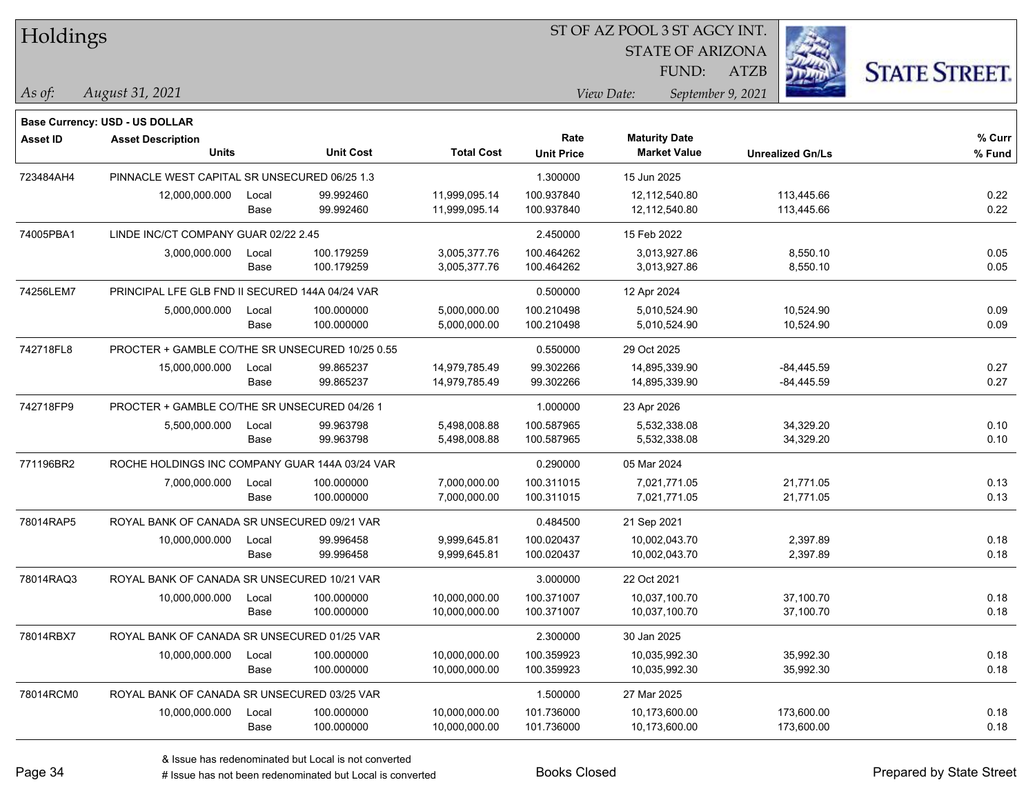| Holdings |
|----------|
|----------|

*As of: View Date: September 9, 2021*

STATE OF ARIZONA FUND:

ATZB



| As of: | August 31, 2021 |
|--------|-----------------|
|        |                 |

|                 | <b>Base Currency: USD - US DOLLAR</b>           |       |                  |                   |                   |                      |                         |        |
|-----------------|-------------------------------------------------|-------|------------------|-------------------|-------------------|----------------------|-------------------------|--------|
| <b>Asset ID</b> | <b>Asset Description</b>                        |       |                  |                   | Rate              | <b>Maturity Date</b> |                         | % Curr |
|                 | <b>Units</b>                                    |       | <b>Unit Cost</b> | <b>Total Cost</b> | <b>Unit Price</b> | <b>Market Value</b>  | <b>Unrealized Gn/Ls</b> | % Fund |
| 723484AH4       | PINNACLE WEST CAPITAL SR UNSECURED 06/25 1.3    |       |                  |                   | 1.300000          | 15 Jun 2025          |                         |        |
|                 | 12,000,000.000                                  | Local | 99.992460        | 11,999,095.14     | 100.937840        | 12.112.540.80        | 113,445.66              | 0.22   |
|                 |                                                 | Base  | 99.992460        | 11,999,095.14     | 100.937840        | 12,112,540.80        | 113,445.66              | 0.22   |
| 74005PBA1       | LINDE INC/CT COMPANY GUAR 02/22 2.45            |       |                  |                   | 2.450000          | 15 Feb 2022          |                         |        |
|                 | 3,000,000.000                                   | Local | 100.179259       | 3,005,377.76      | 100.464262        | 3,013,927.86         | 8,550.10                | 0.05   |
|                 |                                                 | Base  | 100.179259       | 3,005,377.76      | 100.464262        | 3,013,927.86         | 8,550.10                | 0.05   |
| 74256LEM7       | PRINCIPAL LFE GLB FND II SECURED 144A 04/24 VAR |       |                  |                   | 0.500000          | 12 Apr 2024          |                         |        |
|                 | 5,000,000.000                                   | Local | 100.000000       | 5,000,000.00      | 100.210498        | 5,010,524.90         | 10,524.90               | 0.09   |
|                 |                                                 | Base  | 100.000000       | 5,000,000.00      | 100.210498        | 5,010,524.90         | 10,524.90               | 0.09   |
| 742718FL8       | PROCTER + GAMBLE CO/THE SR UNSECURED 10/25 0.55 |       |                  |                   | 0.550000          | 29 Oct 2025          |                         |        |
|                 | 15,000,000.000                                  | Local | 99.865237        | 14,979,785.49     | 99.302266         | 14,895,339.90        | $-84,445.59$            | 0.27   |
|                 |                                                 | Base  | 99.865237        | 14,979,785.49     | 99.302266         | 14,895,339.90        | $-84,445.59$            | 0.27   |
| 742718FP9       | PROCTER + GAMBLE CO/THE SR UNSECURED 04/26 1    |       |                  |                   | 1.000000          | 23 Apr 2026          |                         |        |
|                 | 5,500,000.000                                   | Local | 99.963798        | 5,498,008.88      | 100.587965        | 5.532.338.08         | 34,329.20               | 0.10   |
|                 |                                                 | Base  | 99.963798        | 5,498,008.88      | 100.587965        | 5,532,338.08         | 34,329.20               | 0.10   |
| 771196BR2       | ROCHE HOLDINGS INC COMPANY GUAR 144A 03/24 VAR  |       |                  |                   | 0.290000          | 05 Mar 2024          |                         |        |
|                 | 7,000,000.000                                   | Local | 100.000000       | 7,000,000.00      | 100.311015        | 7,021,771.05         | 21,771.05               | 0.13   |
|                 |                                                 | Base  | 100.000000       | 7,000,000.00      | 100.311015        | 7,021,771.05         | 21,771.05               | 0.13   |
| 78014RAP5       | ROYAL BANK OF CANADA SR UNSECURED 09/21 VAR     |       |                  |                   | 0.484500          | 21 Sep 2021          |                         |        |
|                 | 10,000,000.000                                  | Local | 99.996458        | 9,999,645.81      | 100.020437        | 10,002,043.70        | 2,397.89                | 0.18   |
|                 |                                                 | Base  | 99.996458        | 9,999,645.81      | 100.020437        | 10,002,043.70        | 2,397.89                | 0.18   |
| 78014RAQ3       | ROYAL BANK OF CANADA SR UNSECURED 10/21 VAR     |       |                  |                   | 3.000000          | 22 Oct 2021          |                         |        |
|                 | 10,000,000.000                                  | Local | 100.000000       | 10,000,000.00     | 100.371007        | 10,037,100.70        | 37,100.70               | 0.18   |
|                 |                                                 | Base  | 100.000000       | 10,000,000.00     | 100.371007        | 10,037,100.70        | 37,100.70               | 0.18   |
| 78014RBX7       | ROYAL BANK OF CANADA SR UNSECURED 01/25 VAR     |       |                  |                   | 2.300000          | 30 Jan 2025          |                         |        |
|                 | 10,000,000.000                                  | Local | 100.000000       | 10,000,000.00     | 100.359923        | 10,035,992.30        | 35,992.30               | 0.18   |
|                 |                                                 | Base  | 100.000000       | 10,000,000.00     | 100.359923        | 10,035,992.30        | 35,992.30               | 0.18   |
| 78014RCM0       | ROYAL BANK OF CANADA SR UNSECURED 03/25 VAR     |       |                  |                   | 1.500000          | 27 Mar 2025          |                         |        |
|                 | 10,000,000.000                                  | Local | 100.000000       | 10,000,000.00     | 101.736000        | 10,173,600.00        | 173,600.00              | 0.18   |
|                 |                                                 | Base  | 100.000000       | 10,000,000.00     | 101.736000        | 10,173,600.00        | 173,600.00              | 0.18   |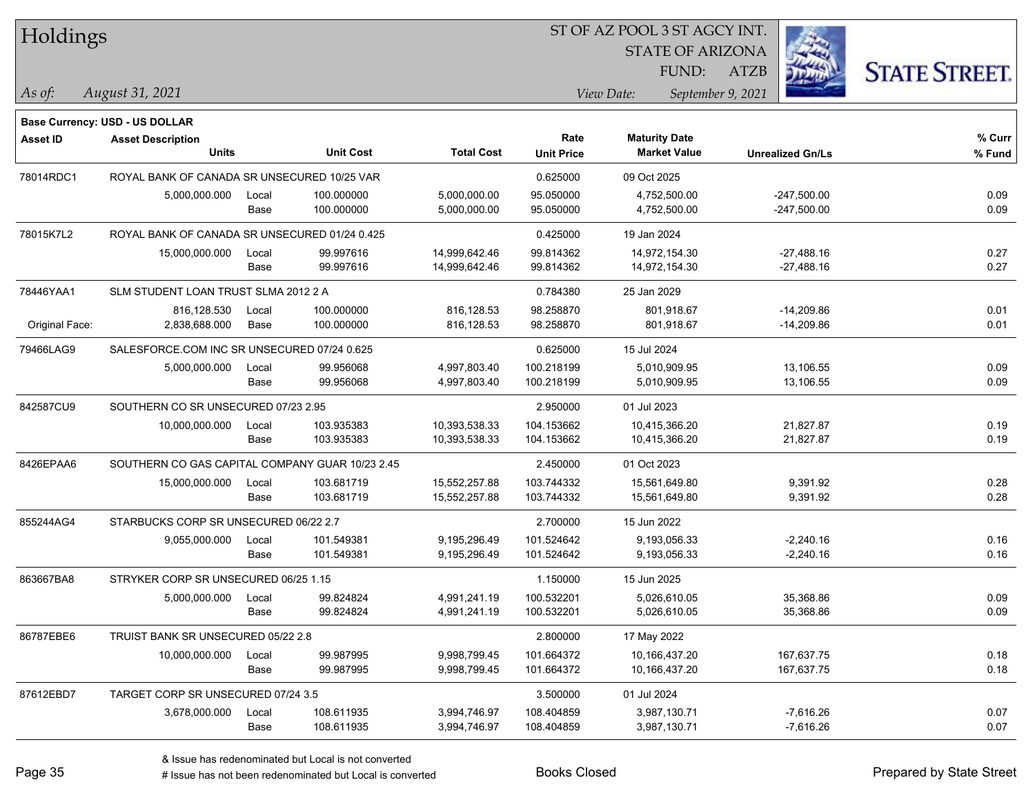| Holdings        |                                                 |               |                          |                              |                           |                                             |                                |                      |
|-----------------|-------------------------------------------------|---------------|--------------------------|------------------------------|---------------------------|---------------------------------------------|--------------------------------|----------------------|
|                 |                                                 |               |                          |                              |                           | <b>STATE OF ARIZONA</b><br>FUND:            | <b>ATZB</b>                    |                      |
|                 |                                                 |               |                          |                              |                           |                                             |                                | <b>STATE STREET.</b> |
| $\vert$ As of:  | August 31, 2021                                 |               |                          |                              |                           | View Date:                                  | September 9, 2021              |                      |
|                 | <b>Base Currency: USD - US DOLLAR</b>           |               |                          |                              |                           |                                             |                                |                      |
| <b>Asset ID</b> | <b>Asset Description</b><br><b>Units</b>        |               | <b>Unit Cost</b>         | <b>Total Cost</b>            | Rate<br><b>Unit Price</b> | <b>Maturity Date</b><br><b>Market Value</b> | <b>Unrealized Gn/Ls</b>        | % Curr<br>% Fund     |
|                 |                                                 |               |                          |                              |                           |                                             |                                |                      |
| 78014RDC1       | ROYAL BANK OF CANADA SR UNSECURED 10/25 VAR     |               |                          |                              | 0.625000                  | 09 Oct 2025                                 |                                |                      |
|                 | 5,000,000.000                                   | Local<br>Base | 100.000000<br>100.000000 | 5,000,000.00<br>5,000,000.00 | 95.050000<br>95.050000    | 4,752,500.00<br>4,752,500.00                | $-247,500.00$<br>$-247,500.00$ | 0.09<br>0.09         |
|                 |                                                 |               |                          |                              |                           |                                             |                                |                      |
| 78015K7L2       | ROYAL BANK OF CANADA SR UNSECURED 01/24 0.425   |               |                          |                              | 0.425000                  | 19 Jan 2024                                 |                                |                      |
|                 | 15,000,000.000                                  | Local         | 99.997616                | 14,999,642.46                | 99.814362                 | 14,972,154.30                               | $-27,488.16$                   | 0.27                 |
|                 |                                                 | Base          | 99.997616                | 14,999,642.46                | 99.814362                 | 14,972,154.30                               | $-27,488.16$                   | 0.27                 |
| 78446YAA1       | SLM STUDENT LOAN TRUST SLMA 2012 2 A            |               |                          |                              | 0.784380                  | 25 Jan 2029                                 |                                |                      |
|                 | 816,128.530                                     | Local         | 100.000000               | 816,128.53                   | 98.258870                 | 801,918.67                                  | $-14,209.86$                   | 0.01                 |
| Original Face:  | 2,838,688.000                                   | Base          | 100.000000               | 816,128.53                   | 98.258870                 | 801,918.67                                  | $-14,209.86$                   | 0.01                 |
| 79466LAG9       | SALESFORCE.COM INC SR UNSECURED 07/24 0.625     |               |                          |                              | 0.625000                  | 15 Jul 2024                                 |                                |                      |
|                 | 5,000,000.000                                   | Local         | 99.956068                | 4,997,803.40                 | 100.218199                | 5,010,909.95                                | 13,106.55                      | 0.09                 |
|                 |                                                 | Base          | 99.956068                | 4,997,803.40                 | 100.218199                | 5,010,909.95                                | 13,106.55                      | 0.09                 |
| 842587CU9       | SOUTHERN CO SR UNSECURED 07/23 2.95             |               |                          |                              | 2.950000                  | 01 Jul 2023                                 |                                |                      |
|                 | 10,000,000.000                                  | Local         | 103.935383               | 10,393,538.33                | 104.153662                | 10,415,366.20                               | 21,827.87                      | 0.19                 |
|                 |                                                 | Base          | 103.935383               | 10,393,538.33                | 104.153662                | 10,415,366.20                               | 21,827.87                      | 0.19                 |
| 8426EPAA6       | SOUTHERN CO GAS CAPITAL COMPANY GUAR 10/23 2.45 |               |                          |                              | 2.450000                  | 01 Oct 2023                                 |                                |                      |
|                 | 15,000,000.000                                  | Local         | 103.681719               | 15,552,257.88                | 103.744332                | 15,561,649.80                               | 9,391.92                       | 0.28                 |
|                 |                                                 | Base          | 103.681719               | 15,552,257.88                | 103.744332                | 15,561,649.80                               | 9,391.92                       | 0.28                 |
| 855244AG4       | STARBUCKS CORP SR UNSECURED 06/22 2.7           |               |                          |                              | 2.700000                  | 15 Jun 2022                                 |                                |                      |
|                 | 9,055,000.000                                   | Local         | 101.549381               | 9,195,296.49                 | 101.524642                | 9,193,056.33                                | $-2,240.16$                    | 0.16                 |
|                 |                                                 | Base          | 101.549381               | 9,195,296.49                 | 101.524642                | 9,193,056.33                                | $-2,240.16$                    | 0.16                 |
| 863667BA8       | STRYKER CORP SR UNSECURED 06/25 1.15            |               |                          |                              | 1.150000                  | 15 Jun 2025                                 |                                |                      |
|                 | 5,000,000.000                                   | Local         | 99.824824                | 4,991,241.19                 | 100.532201                | 5,026,610.05                                | 35,368.86                      | 0.09                 |
|                 |                                                 | Base          | 99.824824                | 4,991,241.19                 | 100.532201                | 5,026,610.05                                | 35,368.86                      | 0.09                 |
| 86787EBE6       | TRUIST BANK SR UNSECURED 05/22 2.8              |               |                          |                              | 2.800000                  | 17 May 2022                                 |                                |                      |
|                 |                                                 |               |                          |                              |                           |                                             | 167,637.75                     |                      |
|                 | 10,000,000.000                                  | Local<br>Base | 99.987995<br>99.987995   | 9,998,799.45<br>9,998,799.45 | 101.664372<br>101.664372  | 10,166,437.20<br>10,166,437.20              | 167,637.75                     | 0.18<br>0.18         |
|                 |                                                 |               |                          |                              |                           |                                             |                                |                      |
| 87612EBD7       | TARGET CORP SR UNSECURED 07/24 3.5              |               |                          |                              | 3.500000                  | 01 Jul 2024                                 |                                |                      |
|                 | 3,678,000.000                                   | Local<br>Base | 108.611935<br>108.611935 | 3,994,746.97<br>3,994,746.97 | 108.404859<br>108.404859  | 3,987,130.71<br>3,987,130.71                | $-7,616.26$<br>$-7,616.26$     | 0.07<br>0.07         |
|                 |                                                 |               |                          |                              |                           |                                             |                                |                      |

**CONSTRUCTION** 

 $TT.1.1:$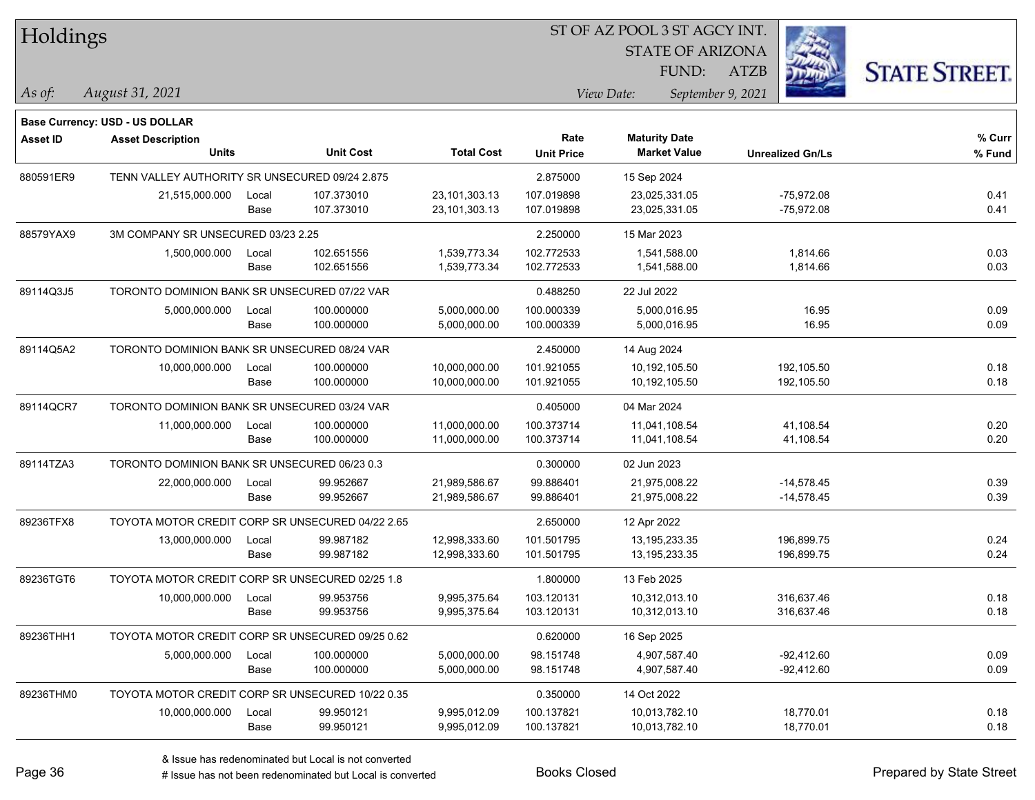*August 31, 2021 As of: View Date: September 9, 2021* Holdings **Base Currency: USD - US DOLLAR**

#### ST OF AZ POOL 3 ST AGCY INT.

STATE OF ARIZONA FUND:

ATZB



| <b>Asset ID</b> | <b>Asset Description</b>                         |       |                  |                   | Rate              | <b>Maturity Date</b> |                         | % Curr |
|-----------------|--------------------------------------------------|-------|------------------|-------------------|-------------------|----------------------|-------------------------|--------|
|                 | <b>Units</b>                                     |       | <b>Unit Cost</b> | <b>Total Cost</b> | <b>Unit Price</b> | <b>Market Value</b>  | <b>Unrealized Gn/Ls</b> | % Fund |
| 880591ER9       | TENN VALLEY AUTHORITY SR UNSECURED 09/24 2.875   |       |                  |                   | 2.875000          | 15 Sep 2024          |                         |        |
|                 | 21,515,000.000                                   | Local | 107.373010       | 23,101,303.13     | 107.019898        | 23,025,331.05        | $-75,972.08$            | 0.41   |
|                 |                                                  | Base  | 107.373010       | 23,101,303.13     | 107.019898        | 23,025,331.05        | $-75,972.08$            | 0.41   |
| 88579YAX9       | 3M COMPANY SR UNSECURED 03/23 2.25               |       |                  |                   | 2.250000          | 15 Mar 2023          |                         |        |
|                 | 1,500,000.000                                    | Local | 102.651556       | 1,539,773.34      | 102.772533        | 1,541,588.00         | 1,814.66                | 0.03   |
|                 |                                                  | Base  | 102.651556       | 1,539,773.34      | 102.772533        | 1,541,588.00         | 1,814.66                | 0.03   |
| 89114Q3J5       | TORONTO DOMINION BANK SR UNSECURED 07/22 VAR     |       |                  |                   | 0.488250          | 22 Jul 2022          |                         |        |
|                 | 5,000,000.000                                    | Local | 100.000000       | 5,000,000.00      | 100.000339        | 5,000,016.95         | 16.95                   | 0.09   |
|                 |                                                  | Base  | 100.000000       | 5,000,000.00      | 100.000339        | 5,000,016.95         | 16.95                   | 0.09   |
| 89114Q5A2       | TORONTO DOMINION BANK SR UNSECURED 08/24 VAR     |       |                  |                   | 2.450000          | 14 Aug 2024          |                         |        |
|                 | 10,000,000.000                                   | Local | 100.000000       | 10,000,000.00     | 101.921055        | 10,192,105.50        | 192,105.50              | 0.18   |
|                 |                                                  | Base  | 100.000000       | 10,000,000.00     | 101.921055        | 10,192,105.50        | 192,105.50              | 0.18   |
| 89114QCR7       | TORONTO DOMINION BANK SR UNSECURED 03/24 VAR     |       |                  |                   | 0.405000          | 04 Mar 2024          |                         |        |
|                 | 11,000,000.000                                   | Local | 100.000000       | 11,000,000.00     | 100.373714        | 11,041,108.54        | 41,108.54               | 0.20   |
|                 |                                                  | Base  | 100.000000       | 11,000,000.00     | 100.373714        | 11,041,108.54        | 41,108.54               | 0.20   |
| 89114TZA3       | TORONTO DOMINION BANK SR UNSECURED 06/23 0.3     |       |                  |                   | 0.300000          | 02 Jun 2023          |                         |        |
|                 | 22,000,000.000                                   | Local | 99.952667        | 21,989,586.67     | 99.886401         | 21,975,008.22        | $-14,578.45$            | 0.39   |
|                 |                                                  | Base  | 99.952667        | 21,989,586.67     | 99.886401         | 21,975,008.22        | $-14,578.45$            | 0.39   |
| 89236TFX8       | TOYOTA MOTOR CREDIT CORP SR UNSECURED 04/22 2.65 |       |                  |                   | 2.650000          | 12 Apr 2022          |                         |        |
|                 | 13,000,000.000                                   | Local | 99.987182        | 12,998,333.60     | 101.501795        | 13,195,233.35        | 196,899.75              | 0.24   |
|                 |                                                  | Base  | 99.987182        | 12,998,333.60     | 101.501795        | 13,195,233.35        | 196,899.75              | 0.24   |
| 89236TGT6       | TOYOTA MOTOR CREDIT CORP SR UNSECURED 02/25 1.8  |       |                  |                   | 1.800000          | 13 Feb 2025          |                         |        |
|                 | 10,000,000.000                                   | Local | 99.953756        | 9,995,375.64      | 103.120131        | 10,312,013.10        | 316,637.46              | 0.18   |
|                 |                                                  | Base  | 99.953756        | 9,995,375.64      | 103.120131        | 10,312,013.10        | 316,637.46              | 0.18   |
| 89236THH1       | TOYOTA MOTOR CREDIT CORP SR UNSECURED 09/25 0.62 |       |                  |                   | 0.620000          | 16 Sep 2025          |                         |        |
|                 | 5,000,000.000                                    | Local | 100.000000       | 5,000,000.00      | 98.151748         | 4,907,587.40         | $-92,412.60$            | 0.09   |
|                 |                                                  | Base  | 100.000000       | 5,000,000.00      | 98.151748         | 4,907,587.40         | $-92,412.60$            | 0.09   |
| 89236THM0       | TOYOTA MOTOR CREDIT CORP SR UNSECURED 10/22 0.35 |       |                  |                   | 0.350000          | 14 Oct 2022          |                         |        |
|                 | 10,000,000.000                                   | Local | 99.950121        | 9,995,012.09      | 100.137821        | 10,013,782.10        | 18,770.01               | 0.18   |
|                 |                                                  | Base  | 99.950121        | 9,995,012.09      | 100.137821        | 10,013,782.10        | 18,770.01               | 0.18   |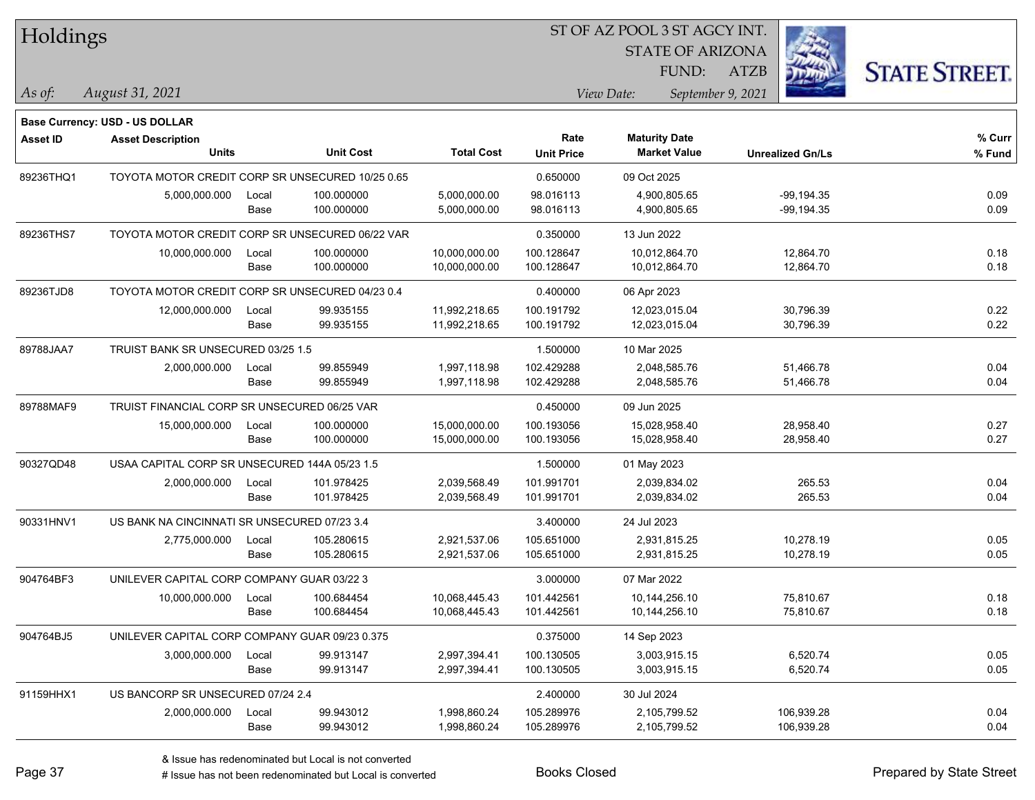| Holdings        |                                                  |       |                  |                   |                   | ST OF AZ POOL 3 ST AGCY INT. |                         |                         |                      |
|-----------------|--------------------------------------------------|-------|------------------|-------------------|-------------------|------------------------------|-------------------------|-------------------------|----------------------|
|                 |                                                  |       |                  |                   |                   |                              | <b>STATE OF ARIZONA</b> |                         |                      |
|                 |                                                  |       |                  |                   |                   |                              | FUND:<br><b>ATZB</b>    |                         | <b>STATE STREET.</b> |
| $\vert$ As of:  | August 31, 2021                                  |       |                  |                   |                   | View Date:                   | September 9, 2021       |                         |                      |
|                 | <b>Base Currency: USD - US DOLLAR</b>            |       |                  |                   |                   |                              |                         |                         |                      |
| <b>Asset ID</b> | <b>Asset Description</b>                         |       |                  |                   | Rate              | <b>Maturity Date</b>         |                         |                         | % Curr               |
|                 | <b>Units</b>                                     |       | <b>Unit Cost</b> | <b>Total Cost</b> | <b>Unit Price</b> | <b>Market Value</b>          |                         | <b>Unrealized Gn/Ls</b> | % Fund               |
| 89236THQ1       | TOYOTA MOTOR CREDIT CORP SR UNSECURED 10/25 0.65 |       |                  |                   | 0.650000          | 09 Oct 2025                  |                         |                         |                      |
|                 | 5,000,000.000                                    | Local | 100.000000       | 5,000,000.00      | 98.016113         | 4,900,805.65                 |                         | $-99, 194.35$           | 0.09                 |
|                 |                                                  | Base  | 100.000000       | 5,000,000.00      | 98.016113         | 4,900,805.65                 |                         | $-99, 194.35$           | 0.09                 |
| 89236THS7       | TOYOTA MOTOR CREDIT CORP SR UNSECURED 06/22 VAR  |       |                  |                   | 0.350000          | 13 Jun 2022                  |                         |                         |                      |
|                 | 10,000,000.000                                   | Local | 100.000000       | 10,000,000.00     | 100.128647        | 10,012,864.70                |                         | 12,864.70               | 0.18                 |
|                 |                                                  | Base  | 100.000000       | 10,000,000.00     | 100.128647        | 10,012,864.70                |                         | 12,864.70               | 0.18                 |
| 89236TJD8       | TOYOTA MOTOR CREDIT CORP SR UNSECURED 04/23 0.4  |       |                  |                   | 0.400000          | 06 Apr 2023                  |                         |                         |                      |
|                 | 12,000,000.000                                   | Local | 99.935155        | 11,992,218.65     | 100.191792        | 12,023,015.04                |                         | 30,796.39               | 0.22                 |
|                 |                                                  | Base  | 99.935155        | 11,992,218.65     | 100.191792        | 12,023,015.04                |                         | 30,796.39               | 0.22                 |
| 89788JAA7       | TRUIST BANK SR UNSECURED 03/25 1.5               |       |                  |                   | 1.500000          | 10 Mar 2025                  |                         |                         |                      |
|                 | 2,000,000.000                                    | Local | 99.855949        | 1,997,118.98      | 102.429288        | 2,048,585.76                 |                         | 51,466.78               | 0.04                 |
|                 |                                                  | Base  | 99.855949        | 1,997,118.98      | 102.429288        | 2,048,585.76                 |                         | 51,466.78               | 0.04                 |
| 89788MAF9       | TRUIST FINANCIAL CORP SR UNSECURED 06/25 VAR     |       |                  |                   | 0.450000          | 09 Jun 2025                  |                         |                         |                      |
|                 | 15,000,000.000                                   | Local | 100.000000       | 15,000,000.00     | 100.193056        | 15,028,958.40                |                         | 28,958.40               | 0.27                 |
|                 |                                                  | Base  | 100.000000       | 15,000,000.00     | 100.193056        | 15,028,958.40                |                         | 28,958.40               | 0.27                 |
| 90327QD48       | USAA CAPITAL CORP SR UNSECURED 144A 05/23 1.5    |       |                  |                   | 1.500000          | 01 May 2023                  |                         |                         |                      |
|                 | 2,000,000.000                                    | Local | 101.978425       | 2,039,568.49      | 101.991701        | 2,039,834.02                 |                         | 265.53                  | 0.04                 |
|                 |                                                  | Base  | 101.978425       | 2,039,568.49      | 101.991701        | 2,039,834.02                 |                         | 265.53                  | 0.04                 |
| 90331HNV1       | US BANK NA CINCINNATI SR UNSECURED 07/23 3.4     |       |                  |                   | 3.400000          | 24 Jul 2023                  |                         |                         |                      |
|                 | 2,775,000.000                                    | Local | 105.280615       | 2,921,537.06      | 105.651000        | 2,931,815.25                 |                         | 10,278.19               | 0.05                 |
|                 |                                                  | Base  | 105.280615       | 2,921,537.06      | 105.651000        | 2,931,815.25                 |                         | 10,278.19               | 0.05                 |
| 904764BF3       | UNILEVER CAPITAL CORP COMPANY GUAR 03/22 3       |       |                  |                   | 3.000000          | 07 Mar 2022                  |                         |                         |                      |
|                 | 10,000,000.000                                   | Local | 100.684454       | 10,068,445.43     | 101.442561        | 10,144,256.10                |                         | 75,810.67               | 0.18                 |
|                 |                                                  | Base  | 100.684454       | 10,068,445.43     | 101.442561        | 10,144,256.10                |                         | 75,810.67               | 0.18                 |
| 904764BJ5       | UNILEVER CAPITAL CORP COMPANY GUAR 09/23 0.375   |       |                  |                   | 0.375000          | 14 Sep 2023                  |                         |                         |                      |
|                 | 3,000,000.000                                    | Local | 99.913147        | 2,997,394.41      | 100.130505        | 3,003,915.15                 |                         | 6,520.74                | 0.05                 |
|                 |                                                  | Base  | 99.913147        | 2,997,394.41      | 100.130505        | 3,003,915.15                 |                         | 6,520.74                | 0.05                 |
| 91159HHX1       | US BANCORP SR UNSECURED 07/24 2.4                |       |                  |                   | 2.400000          | 30 Jul 2024                  |                         |                         |                      |
|                 | 2,000,000.000                                    | Local | 99.943012        | 1,998,860.24      | 105.289976        | 2,105,799.52                 |                         | 106,939.28              | 0.04                 |
|                 |                                                  | Base  | 99.943012        | 1,998,860.24      | 105.289976        | 2,105,799.52                 |                         | 106,939.28              | 0.04                 |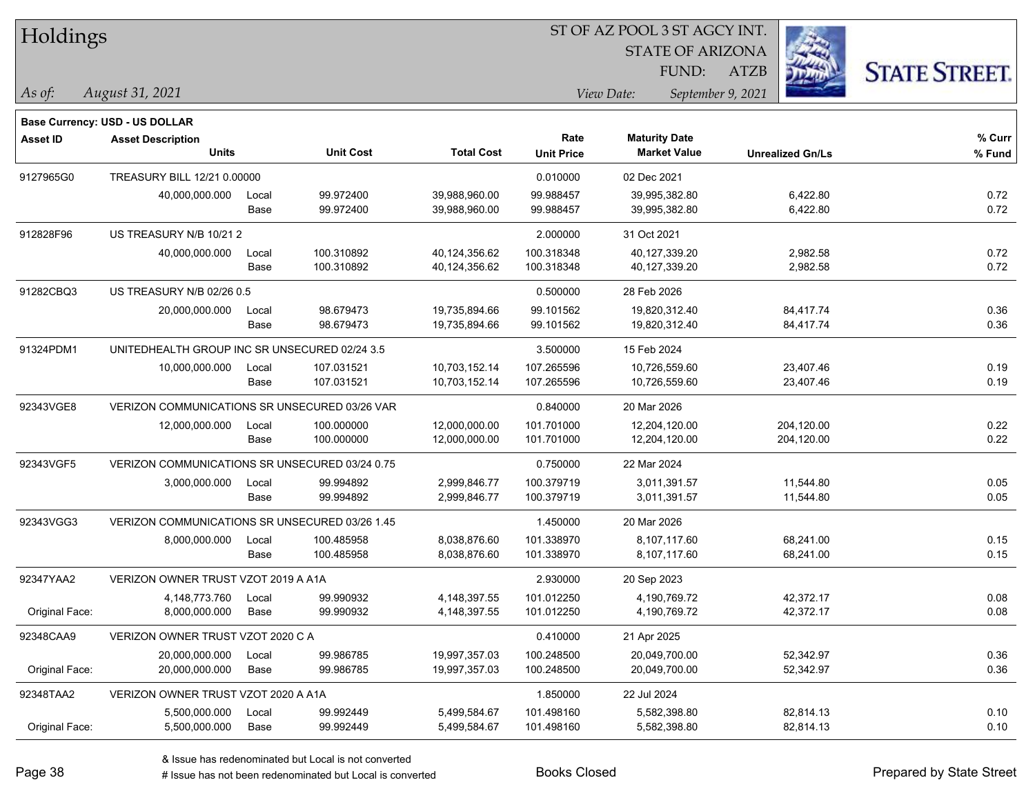| Holdings |
|----------|
|----------|

STATE OF ARIZONA FUND:

ATZB



*As of: View Date: September 9, 2021*

| As of: | August 31, 2021 |  |
|--------|-----------------|--|
|        |                 |  |

|                 | Base Currency: USD - US DOLLAR                 |                                    |                          |                                |                           |                                             |                          |                  |
|-----------------|------------------------------------------------|------------------------------------|--------------------------|--------------------------------|---------------------------|---------------------------------------------|--------------------------|------------------|
| <b>Asset ID</b> | <b>Asset Description</b><br><b>Units</b>       |                                    | <b>Unit Cost</b>         | <b>Total Cost</b>              | Rate<br><b>Unit Price</b> | <b>Maturity Date</b><br><b>Market Value</b> | <b>Unrealized Gn/Ls</b>  | % Curr<br>% Fund |
| 9127965G0       |                                                | <b>TREASURY BILL 12/21 0.00000</b> |                          |                                | 0.010000                  | 02 Dec 2021                                 |                          |                  |
|                 | 40,000,000.000                                 | Local<br>Base                      | 99.972400<br>99.972400   | 39,988,960.00<br>39,988,960.00 | 99.988457<br>99.988457    | 39,995,382.80<br>39,995,382.80              | 6,422.80<br>6,422.80     | 0.72<br>0.72     |
| 912828F96       |                                                | US TREASURY N/B 10/21 2            |                          |                                | 2.000000                  | 31 Oct 2021                                 |                          |                  |
|                 | 40,000,000.000                                 | Local<br>Base                      | 100.310892<br>100.310892 | 40,124,356.62<br>40,124,356.62 | 100.318348<br>100.318348  | 40,127,339.20<br>40,127,339.20              | 2,982.58<br>2,982.58     | 0.72<br>0.72     |
| 91282CBQ3       | US TREASURY N/B 02/26 0.5                      |                                    |                          |                                | 0.500000                  | 28 Feb 2026                                 |                          |                  |
|                 | 20,000,000.000                                 | Local<br>Base                      | 98.679473<br>98.679473   | 19,735,894.66<br>19,735,894.66 | 99.101562<br>99.101562    | 19,820,312.40<br>19,820,312.40              | 84,417.74<br>84,417.74   | 0.36<br>0.36     |
| 91324PDM1       | UNITEDHEALTH GROUP INC SR UNSECURED 02/24 3.5  |                                    |                          |                                | 3.500000                  | 15 Feb 2024                                 |                          |                  |
|                 | 10,000,000.000                                 | Local<br>Base                      | 107.031521<br>107.031521 | 10,703,152.14<br>10,703,152.14 | 107.265596<br>107.265596  | 10,726,559.60<br>10,726,559.60              | 23,407.46<br>23,407.46   | 0.19<br>0.19     |
| 92343VGE8       | VERIZON COMMUNICATIONS SR UNSECURED 03/26 VAR  |                                    |                          |                                | 0.840000                  | 20 Mar 2026                                 |                          |                  |
|                 | 12,000,000.000                                 | Local<br>Base                      | 100.000000<br>100.000000 | 12,000,000.00<br>12,000,000.00 | 101.701000<br>101.701000  | 12,204,120.00<br>12,204,120.00              | 204,120.00<br>204,120.00 | 0.22<br>0.22     |
| 92343VGF5       | VERIZON COMMUNICATIONS SR UNSECURED 03/24 0.75 |                                    |                          |                                | 0.750000                  | 22 Mar 2024                                 |                          |                  |
|                 | 3,000,000.000                                  | Local<br>Base                      | 99.994892<br>99.994892   | 2,999,846.77<br>2,999,846.77   | 100.379719<br>100.379719  | 3,011,391.57<br>3,011,391.57                | 11,544.80<br>11,544.80   | 0.05<br>0.05     |
| 92343VGG3       | VERIZON COMMUNICATIONS SR UNSECURED 03/26 1.45 |                                    |                          |                                | 1.450000                  | 20 Mar 2026                                 |                          |                  |
|                 | 8,000,000.000                                  | Local<br>Base                      | 100.485958<br>100.485958 | 8,038,876.60<br>8,038,876.60   | 101.338970<br>101.338970  | 8,107,117.60<br>8,107,117.60                | 68,241.00<br>68,241.00   | 0.15<br>0.15     |
| 92347YAA2       | VERIZON OWNER TRUST VZOT 2019 A A1A            |                                    |                          |                                | 2.930000                  | 20 Sep 2023                                 |                          |                  |
| Original Face:  | 4,148,773.760<br>8,000,000.000                 | Local<br>Base                      | 99.990932<br>99.990932   | 4,148,397.55<br>4,148,397.55   | 101.012250<br>101.012250  | 4,190,769.72<br>4,190,769.72                | 42,372.17<br>42,372.17   | 0.08<br>0.08     |
| 92348CAA9       | VERIZON OWNER TRUST VZOT 2020 C A              |                                    |                          |                                | 0.410000                  | 21 Apr 2025                                 |                          |                  |
| Original Face:  | 20,000,000.000<br>20,000,000.000               | Local<br>Base                      | 99.986785<br>99.986785   | 19,997,357.03<br>19,997,357.03 | 100.248500<br>100.248500  | 20,049,700.00<br>20,049,700.00              | 52,342.97<br>52,342.97   | 0.36<br>0.36     |
| 92348TAA2       | VERIZON OWNER TRUST VZOT 2020 A A1A            |                                    |                          |                                | 1.850000                  | 22 Jul 2024                                 |                          |                  |
| Original Face:  | 5,500,000.000<br>5,500,000.000                 | Local<br>Base                      | 99.992449<br>99.992449   | 5,499,584.67<br>5,499,584.67   | 101.498160<br>101.498160  | 5,582,398.80<br>5,582,398.80                | 82,814.13<br>82,814.13   | 0.10<br>0.10     |
|                 |                                                |                                    |                          |                                |                           |                                             |                          |                  |

& Issue has redenominated but Local is not converted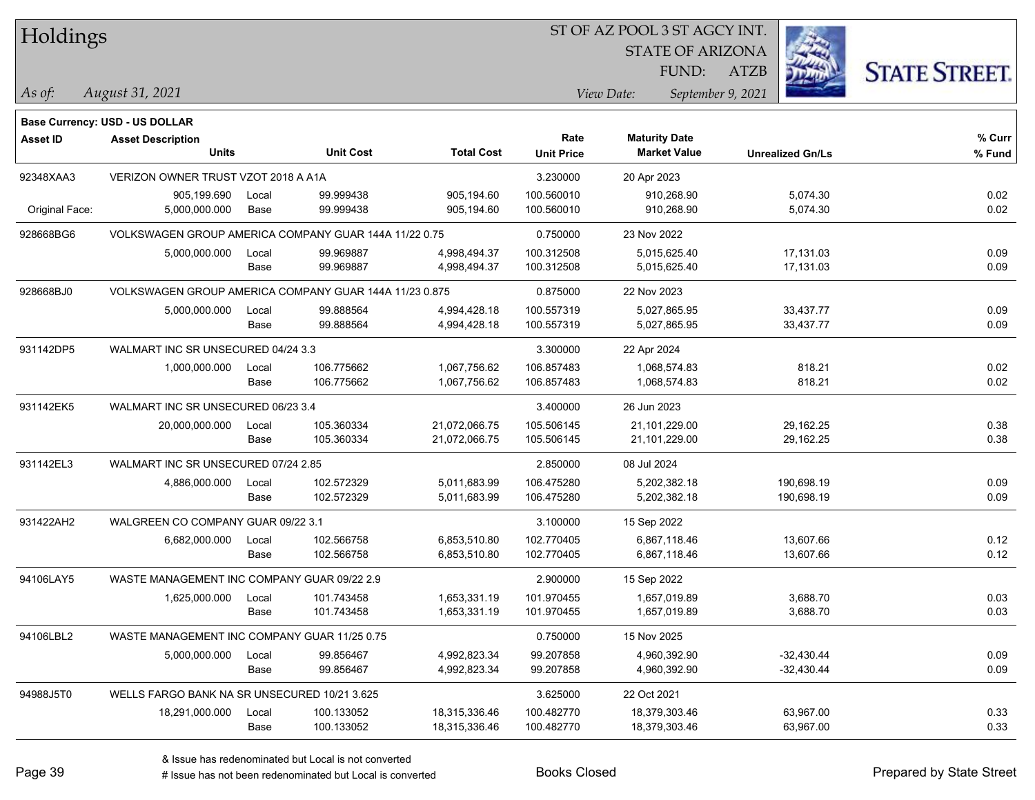| Holdings        |                                                        |       |                  |                   |                   | ST OF AZ POOL 3 ST AGCY INT. |                         |                      |  |  |
|-----------------|--------------------------------------------------------|-------|------------------|-------------------|-------------------|------------------------------|-------------------------|----------------------|--|--|
|                 |                                                        |       |                  |                   |                   | <b>STATE OF ARIZONA</b>      |                         |                      |  |  |
|                 |                                                        |       |                  |                   |                   | FUND:                        | <b>ATZB</b>             | <b>STATE STREET.</b> |  |  |
| As of:          | August 31, 2021                                        |       |                  |                   |                   | View Date:                   | September 9, 2021       |                      |  |  |
|                 | Base Currency: USD - US DOLLAR                         |       |                  |                   |                   |                              |                         |                      |  |  |
| <b>Asset ID</b> | <b>Asset Description</b>                               |       |                  |                   | Rate              | <b>Maturity Date</b>         |                         | % Curr               |  |  |
|                 | Units                                                  |       | <b>Unit Cost</b> | <b>Total Cost</b> | <b>Unit Price</b> | <b>Market Value</b>          | <b>Unrealized Gn/Ls</b> | % Fund               |  |  |
| 92348XAA3       | VERIZON OWNER TRUST VZOT 2018 A A1A                    |       |                  |                   | 3.230000          | 20 Apr 2023                  |                         |                      |  |  |
|                 | 905,199.690                                            | Local | 99.999438        | 905,194.60        | 100.560010        | 910,268.90                   | 5,074.30                | 0.02                 |  |  |
| Original Face:  | 5,000,000.000                                          | Base  | 99.999438        | 905,194.60        | 100.560010        | 910,268.90                   | 5,074.30                | 0.02                 |  |  |
| 928668BG6       | VOLKSWAGEN GROUP AMERICA COMPANY GUAR 144A 11/22 0.75  |       |                  |                   | 0.750000          | 23 Nov 2022                  |                         |                      |  |  |
|                 | 5,000,000.000                                          | Local | 99.969887        | 4,998,494.37      | 100.312508        | 5,015,625.40                 | 17,131.03               | 0.09                 |  |  |
|                 |                                                        | Base  | 99.969887        | 4,998,494.37      | 100.312508        | 5,015,625.40                 | 17,131.03               | 0.09                 |  |  |
| 928668BJ0       | VOLKSWAGEN GROUP AMERICA COMPANY GUAR 144A 11/23 0.875 |       |                  |                   | 0.875000          | 22 Nov 2023                  |                         |                      |  |  |
|                 | 5,000,000.000                                          | Local | 99.888564        | 4,994,428.18      | 100.557319        | 5,027,865.95                 | 33,437.77               | 0.09                 |  |  |
|                 |                                                        | Base  | 99.888564        | 4,994,428.18      | 100.557319        | 5,027,865.95                 | 33,437.77               | 0.09                 |  |  |
| 931142DP5       | WALMART INC SR UNSECURED 04/24 3.3                     |       |                  |                   | 3.300000          | 22 Apr 2024                  |                         |                      |  |  |
|                 | 1,000,000.000                                          | Local | 106.775662       | 1,067,756.62      | 106.857483        | 1,068,574.83                 | 818.21                  | 0.02                 |  |  |
|                 |                                                        | Base  | 106.775662       | 1,067,756.62      | 106.857483        | 1,068,574.83                 | 818.21                  | 0.02                 |  |  |
| 931142EK5       | WALMART INC SR UNSECURED 06/23 3.4                     |       |                  |                   | 3.400000          | 26 Jun 2023                  |                         |                      |  |  |
|                 | 20,000,000.000                                         | Local | 105.360334       | 21,072,066.75     | 105.506145        | 21,101,229.00                | 29,162.25               | 0.38                 |  |  |
|                 |                                                        | Base  | 105.360334       | 21,072,066.75     | 105.506145        | 21,101,229.00                | 29,162.25               | 0.38                 |  |  |
| 931142EL3       | WALMART INC SR UNSECURED 07/24 2.85                    |       |                  |                   | 2.850000          | 08 Jul 2024                  |                         |                      |  |  |
|                 | 4,886,000.000                                          | Local | 102.572329       | 5,011,683.99      | 106.475280        | 5,202,382.18                 | 190,698.19              | 0.09                 |  |  |
|                 |                                                        | Base  | 102.572329       | 5,011,683.99      | 106.475280        | 5,202,382.18                 | 190,698.19              | 0.09                 |  |  |
| 931422AH2       | WALGREEN CO COMPANY GUAR 09/22 3.1                     |       |                  |                   | 3.100000          | 15 Sep 2022                  |                         |                      |  |  |
|                 | 6,682,000.000                                          | Local | 102.566758       | 6,853,510.80      | 102.770405        | 6,867,118.46                 | 13,607.66               | 0.12                 |  |  |
|                 |                                                        | Base  | 102.566758       | 6,853,510.80      | 102.770405        | 6,867,118.46                 | 13,607.66               | 0.12                 |  |  |
| 94106LAY5       | WASTE MANAGEMENT INC COMPANY GUAR 09/22 2.9            |       |                  |                   | 2.900000          | 15 Sep 2022                  |                         |                      |  |  |
|                 | 1,625,000.000                                          | Local | 101.743458       | 1,653,331.19      | 101.970455        | 1,657,019.89                 | 3.688.70                | 0.03                 |  |  |
|                 |                                                        | Base  | 101.743458       | 1,653,331.19      | 101.970455        | 1,657,019.89                 | 3,688.70                | 0.03                 |  |  |
| 94106LBL2       | WASTE MANAGEMENT INC COMPANY GUAR 11/25 0.75           |       |                  |                   | 0.750000          | 15 Nov 2025                  |                         |                      |  |  |
|                 | 5,000,000.000                                          | Local | 99.856467        | 4,992,823.34      | 99.207858         | 4,960,392.90                 | $-32,430.44$            | 0.09                 |  |  |
|                 |                                                        | Base  | 99.856467        | 4,992,823.34      | 99.207858         | 4,960,392.90                 | $-32,430.44$            | 0.09                 |  |  |
| 94988J5T0       | WELLS FARGO BANK NA SR UNSECURED 10/21 3.625           |       |                  |                   | 3.625000          | 22 Oct 2021                  |                         |                      |  |  |
|                 | 18,291,000.000                                         | Local | 100.133052       | 18,315,336.46     | 100.482770        | 18,379,303.46                | 63,967.00               | 0.33                 |  |  |
|                 |                                                        | Base  | 100.133052       | 18,315,336.46     | 100.482770        | 18,379,303.46                | 63,967.00               | 0.33                 |  |  |

 $\overline{\phantom{0}}$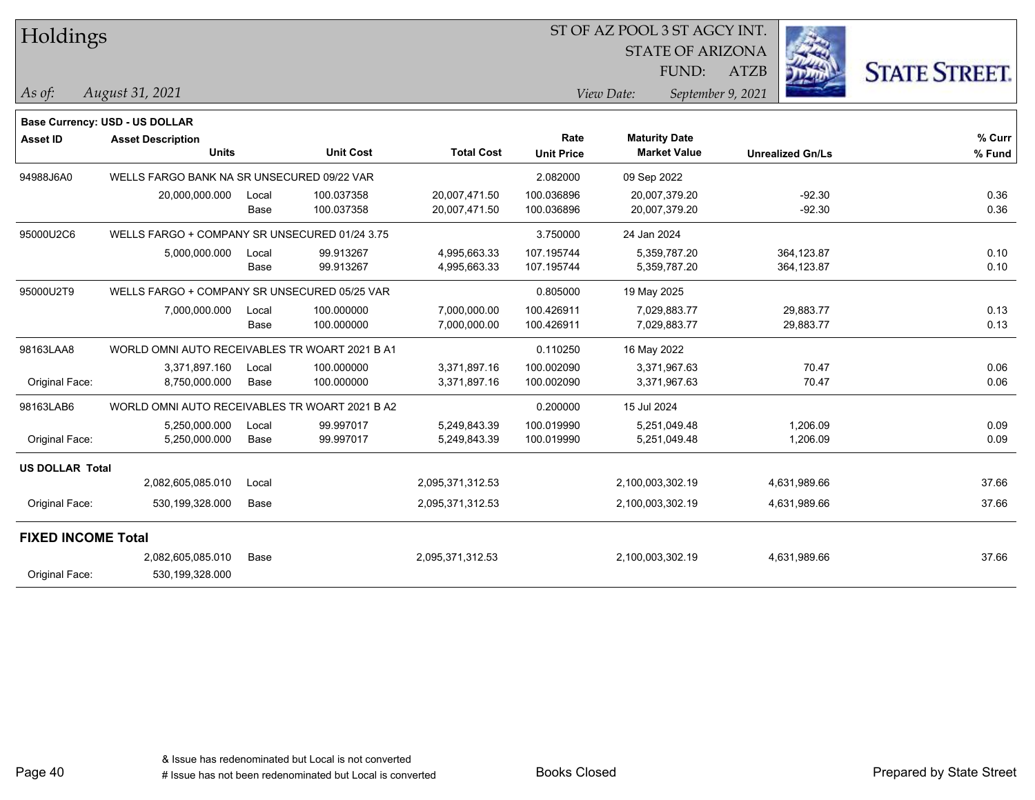| $\mathcal{L}_{\mathcal{B}}$<br><b>STATE OF ARIZONA</b><br><b>STATE STREET.</b><br>FUND:<br><b>ATZB</b><br>September 9, 2021<br><b>Maturity Date</b><br>% Curr<br><b>Market Value</b><br><b>Unrealized Gn/Ls</b><br>% Fund |
|---------------------------------------------------------------------------------------------------------------------------------------------------------------------------------------------------------------------------|
|                                                                                                                                                                                                                           |
|                                                                                                                                                                                                                           |
|                                                                                                                                                                                                                           |
|                                                                                                                                                                                                                           |
|                                                                                                                                                                                                                           |
|                                                                                                                                                                                                                           |
| 09 Sep 2022                                                                                                                                                                                                               |
| $-92.30$<br>0.36<br>20,007,379.20                                                                                                                                                                                         |
| $-92.30$<br>0.36<br>20,007,379.20                                                                                                                                                                                         |
| 24 Jan 2024                                                                                                                                                                                                               |
| 364,123.87<br>0.10<br>5,359,787.20                                                                                                                                                                                        |
| 364,123.87<br>0.10<br>5,359,787.20                                                                                                                                                                                        |
| 19 May 2025                                                                                                                                                                                                               |
| 29,883.77<br>0.13<br>7,029,883.77                                                                                                                                                                                         |
| 0.13<br>7,029,883.77<br>29,883.77                                                                                                                                                                                         |
| 16 May 2022                                                                                                                                                                                                               |
| 70.47<br>0.06<br>3,371,967.63                                                                                                                                                                                             |
| 0.06<br>3,371,967.63<br>70.47                                                                                                                                                                                             |
| 15 Jul 2024                                                                                                                                                                                                               |
| 5,251,049.48<br>1,206.09<br>0.09                                                                                                                                                                                          |
| 1,206.09<br>0.09<br>5,251,049.48                                                                                                                                                                                          |
|                                                                                                                                                                                                                           |
| 37.66<br>2,100,003,302.19<br>4,631,989.66                                                                                                                                                                                 |
| 37.66<br>4,631,989.66<br>2,100,003,302.19                                                                                                                                                                                 |
|                                                                                                                                                                                                                           |
| 37.66<br>2,100,003,302.19<br>4,631,989.66                                                                                                                                                                                 |
|                                                                                                                                                                                                                           |
|                                                                                                                                                                                                                           |

 $\overline{\text{S}}$  of  $\overline{\text{S}}$  and  $\overline{\text{S}}$  and  $\overline{\text{S}}$  and  $\overline{\text{S}}$  and  $\overline{\text{S}}$  and  $\overline{\text{S}}$ 

٦

L

 $\overline{\phantom{a}}$ 

 $\overline{\phantom{a}}$ 

 $\overline{\phantom{a}}$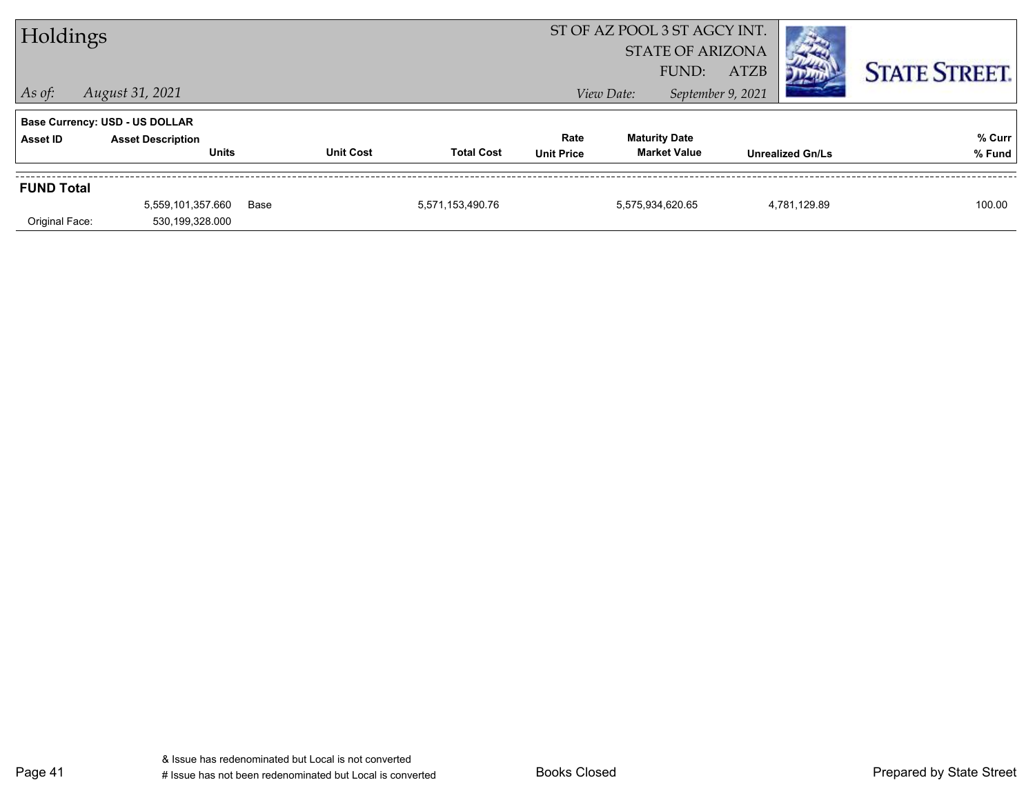| ST OF AZ POOL 3 ST AGCY INT.<br>Holdings<br><b>STATE OF ARIZONA</b><br><b>ATZB</b><br>FUND: |                                          |      |                  |                   |                           |            | <b>STATE STREET.</b>                        |                   |                         |                  |
|---------------------------------------------------------------------------------------------|------------------------------------------|------|------------------|-------------------|---------------------------|------------|---------------------------------------------|-------------------|-------------------------|------------------|
| $\vert$ As of:                                                                              | August 31, 2021                          |      |                  |                   |                           | View Date: |                                             | September 9, 2021 |                         |                  |
|                                                                                             | <b>Base Currency: USD - US DOLLAR</b>    |      |                  |                   |                           |            |                                             |                   |                         |                  |
| <b>Asset ID</b>                                                                             | <b>Asset Description</b><br><b>Units</b> |      | <b>Unit Cost</b> | <b>Total Cost</b> | Rate<br><b>Unit Price</b> |            | <b>Maturity Date</b><br><b>Market Value</b> |                   | <b>Unrealized Gn/Ls</b> | % Curr<br>% Fund |
| <b>FUND Total</b>                                                                           |                                          |      |                  |                   |                           |            |                                             |                   |                         |                  |
|                                                                                             | 5,559,101,357.660                        | Base |                  | 5,571,153,490.76  |                           |            | 5,575,934,620.65                            |                   | 4,781,129.89            | 100.00           |
| Original Face:                                                                              | 530,199,328.000                          |      |                  |                   |                           |            |                                             |                   |                         |                  |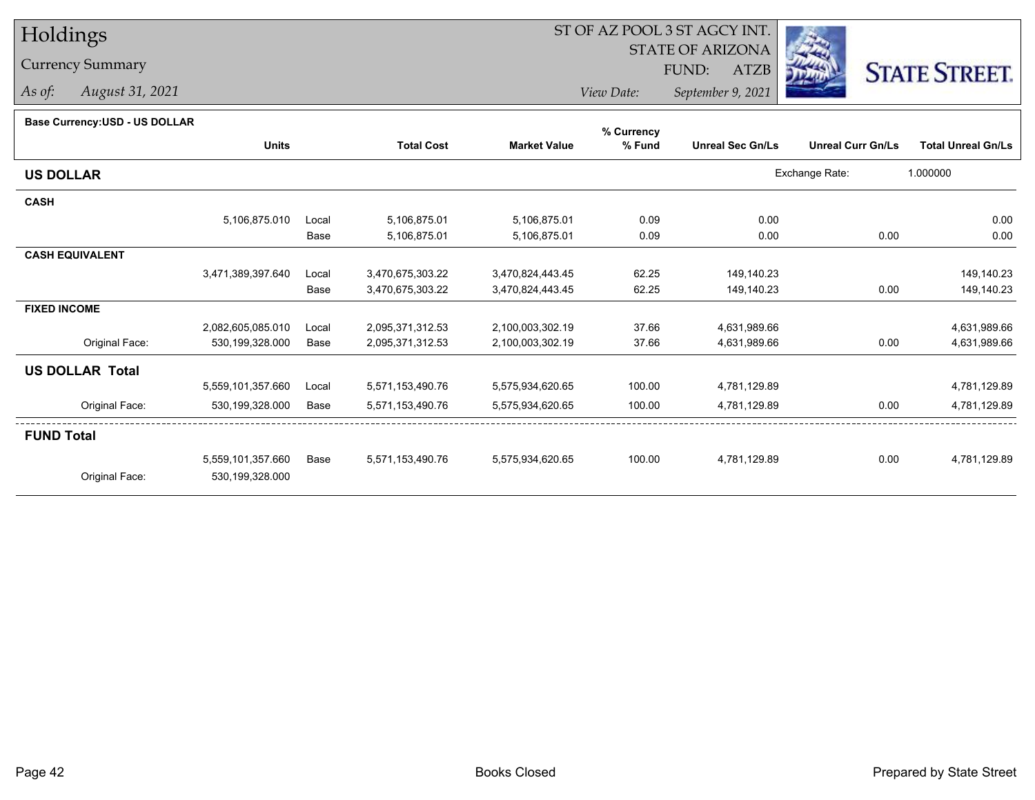# Holdings

### Currency Summary

*As of: August 31, 2021*

## ST OF AZ POOL 3 ST AGCY INT.

STATE OF ARIZONA

FUND: ATZB



*View Date:September 9, 2021*

#### **Base Currency:USD - US DOLLAR**

|                        |                   |       |                   |                     | % Currency |                         |                          |                           |
|------------------------|-------------------|-------|-------------------|---------------------|------------|-------------------------|--------------------------|---------------------------|
|                        | <b>Units</b>      |       | <b>Total Cost</b> | <b>Market Value</b> | % Fund     | <b>Unreal Sec Gn/Ls</b> | <b>Unreal Curr Gn/Ls</b> | <b>Total Unreal Gn/Ls</b> |
| <b>US DOLLAR</b>       |                   |       |                   |                     |            |                         | Exchange Rate:           | 1.000000                  |
| <b>CASH</b>            |                   |       |                   |                     |            |                         |                          |                           |
|                        | 5,106,875.010     | Local | 5,106,875.01      | 5,106,875.01        | 0.09       | 0.00                    |                          | 0.00                      |
|                        |                   | Base  | 5,106,875.01      | 5,106,875.01        | 0.09       | 0.00                    | 0.00                     | 0.00                      |
| <b>CASH EQUIVALENT</b> |                   |       |                   |                     |            |                         |                          |                           |
|                        | 3,471,389,397.640 | Local | 3,470,675,303.22  | 3,470,824,443.45    | 62.25      | 149,140.23              |                          | 149,140.23                |
|                        |                   | Base  | 3,470,675,303.22  | 3,470,824,443.45    | 62.25      | 149,140.23              | 0.00                     | 149,140.23                |
| <b>FIXED INCOME</b>    |                   |       |                   |                     |            |                         |                          |                           |
|                        | 2,082,605,085.010 | Local | 2,095,371,312.53  | 2,100,003,302.19    | 37.66      | 4,631,989.66            |                          | 4,631,989.66              |
| Original Face:         | 530,199,328.000   | Base  | 2,095,371,312.53  | 2,100,003,302.19    | 37.66      | 4,631,989.66            | 0.00                     | 4,631,989.66              |
| <b>US DOLLAR Total</b> |                   |       |                   |                     |            |                         |                          |                           |
|                        | 5,559,101,357.660 | Local | 5,571,153,490.76  | 5,575,934,620.65    | 100.00     | 4,781,129.89            |                          | 4,781,129.89              |
| Original Face:         | 530,199,328.000   | Base  | 5,571,153,490.76  | 5,575,934,620.65    | 100.00     | 4,781,129.89            | 0.00                     | 4,781,129.89              |
| <b>FUND Total</b>      |                   |       |                   |                     |            |                         |                          |                           |
|                        | 5,559,101,357.660 | Base  | 5,571,153,490.76  | 5,575,934,620.65    | 100.00     | 4,781,129.89            | 0.00                     | 4,781,129.89              |
| Original Face:         | 530,199,328.000   |       |                   |                     |            |                         |                          |                           |
|                        |                   |       |                   |                     |            |                         |                          |                           |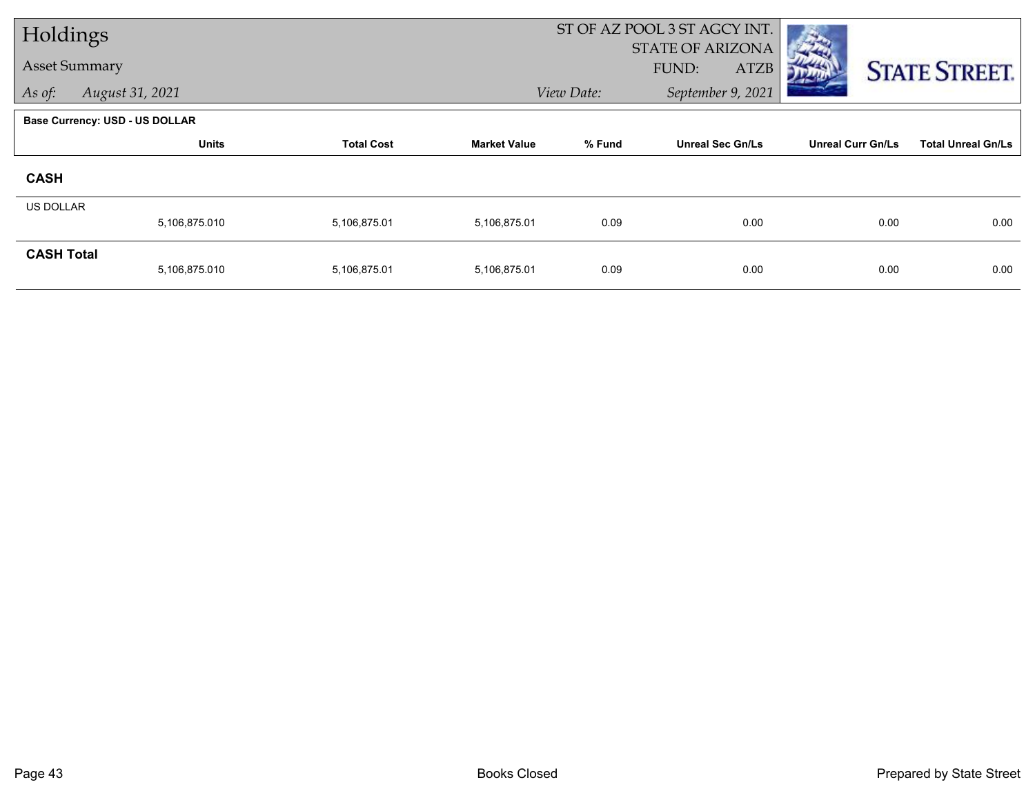| Holdings             |                                       |                   | ST OF AZ POOL 3 ST AGCY INT. |            |                         |                          |                           |
|----------------------|---------------------------------------|-------------------|------------------------------|------------|-------------------------|--------------------------|---------------------------|
| <b>Asset Summary</b> |                                       |                   |                              |            | <b>STATE OF ARIZONA</b> |                          |                           |
|                      |                                       |                   |                              |            | <b>ATZB</b><br>FUND:    |                          | <b>STATE STREET.</b>      |
| As of:               | August 31, 2021                       |                   |                              | View Date: | September 9, 2021       |                          |                           |
|                      | <b>Base Currency: USD - US DOLLAR</b> |                   |                              |            |                         |                          |                           |
|                      | <b>Units</b>                          | <b>Total Cost</b> | <b>Market Value</b>          | % Fund     | <b>Unreal Sec Gn/Ls</b> | <b>Unreal Curr Gn/Ls</b> | <b>Total Unreal Gn/Ls</b> |
| <b>CASH</b>          |                                       |                   |                              |            |                         |                          |                           |
| <b>US DOLLAR</b>     |                                       |                   |                              |            |                         |                          |                           |
|                      | 5,106,875.010                         | 5,106,875.01      | 5,106,875.01                 | 0.09       | 0.00                    | 0.00                     | 0.00                      |
| <b>CASH Total</b>    |                                       |                   |                              |            |                         |                          |                           |
|                      | 5,106,875.010                         | 5,106,875.01      | 5,106,875.01                 | 0.09       | 0.00                    | 0.00                     | 0.00                      |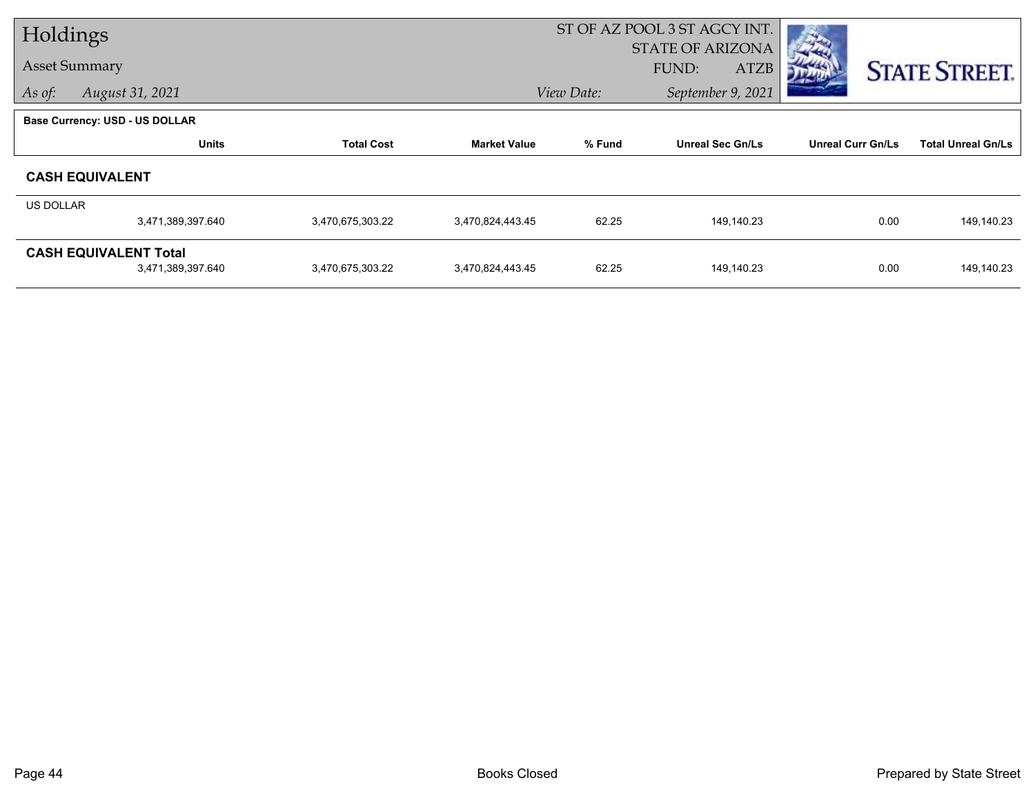| Holdings         |                                       |                   |                     |            | ST OF AZ POOL 3 ST AGCY INT. |                          |                           |  |
|------------------|---------------------------------------|-------------------|---------------------|------------|------------------------------|--------------------------|---------------------------|--|
|                  |                                       |                   |                     |            | <b>STATE OF ARIZONA</b>      |                          |                           |  |
|                  | <b>Asset Summary</b>                  |                   |                     |            | <b>ATZB</b><br>FUND:         |                          | <b>STATE STREET.</b>      |  |
| As of:           | August 31, 2021                       |                   |                     | View Date: | September 9, 2021            |                          |                           |  |
|                  | <b>Base Currency: USD - US DOLLAR</b> |                   |                     |            |                              |                          |                           |  |
|                  | <b>Units</b>                          | <b>Total Cost</b> | <b>Market Value</b> | % Fund     | <b>Unreal Sec Gn/Ls</b>      | <b>Unreal Curr Gn/Ls</b> | <b>Total Unreal Gn/Ls</b> |  |
|                  | <b>CASH EQUIVALENT</b>                |                   |                     |            |                              |                          |                           |  |
| <b>US DOLLAR</b> |                                       |                   |                     |            |                              |                          |                           |  |
|                  | 3,471,389,397.640                     | 3,470,675,303.22  | 3,470,824,443.45    | 62.25      | 149,140.23                   | 0.00                     | 149,140.23                |  |
|                  | <b>CASH EQUIVALENT Total</b>          |                   |                     |            |                              |                          |                           |  |
|                  | 3,471,389,397.640                     | 3,470,675,303.22  | 3,470,824,443.45    | 62.25      | 149,140.23                   | 0.00                     | 149,140.23                |  |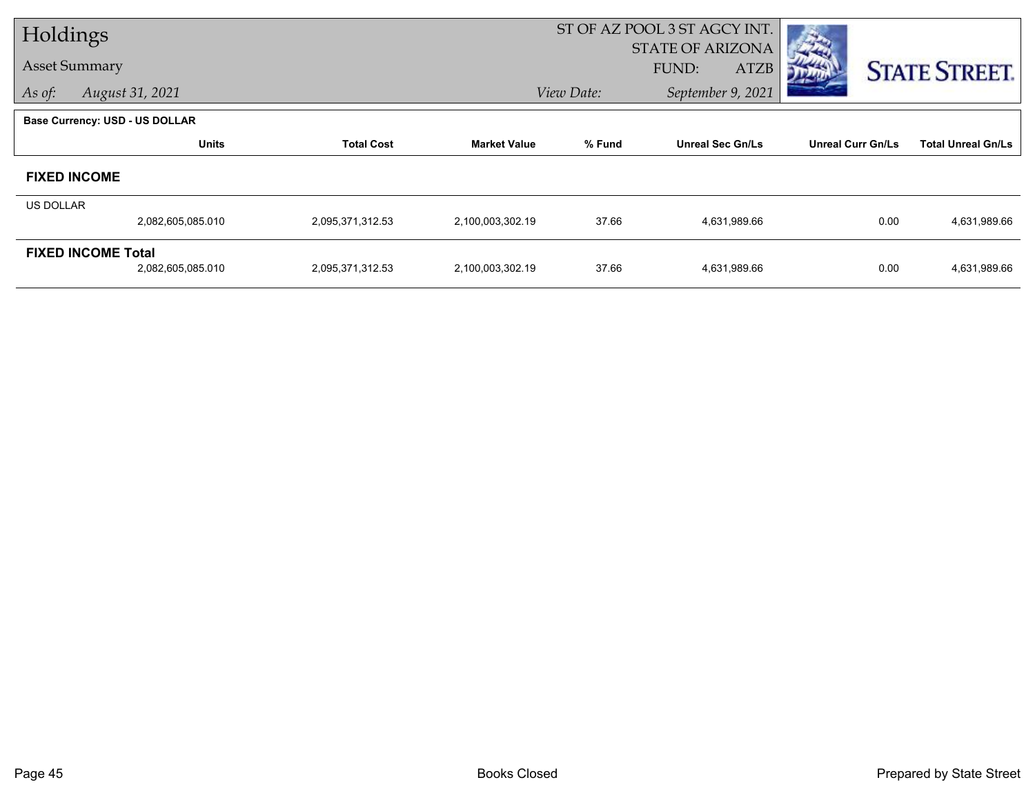| Holdings         |                                       |                   |                     | ST OF AZ POOL 3 ST AGCY INT. |                         |                          |                           |
|------------------|---------------------------------------|-------------------|---------------------|------------------------------|-------------------------|--------------------------|---------------------------|
|                  |                                       |                   |                     |                              | <b>STATE OF ARIZONA</b> |                          |                           |
|                  | <b>Asset Summary</b>                  |                   |                     |                              | FUND:<br><b>ATZB</b>    |                          | <b>STATE STREET.</b>      |
| As of:           | August 31, 2021                       |                   |                     | View Date:                   | September 9, 2021       |                          |                           |
|                  | <b>Base Currency: USD - US DOLLAR</b> |                   |                     |                              |                         |                          |                           |
|                  | <b>Units</b>                          | <b>Total Cost</b> | <b>Market Value</b> | % Fund                       | <b>Unreal Sec Gn/Ls</b> | <b>Unreal Curr Gn/Ls</b> | <b>Total Unreal Gn/Ls</b> |
|                  | <b>FIXED INCOME</b>                   |                   |                     |                              |                         |                          |                           |
| <b>US DOLLAR</b> |                                       |                   |                     |                              |                         |                          |                           |
|                  | 2,082,605,085.010                     | 2,095,371,312.53  | 2,100,003,302.19    | 37.66                        | 4,631,989.66            | 0.00                     | 4,631,989.66              |
|                  | <b>FIXED INCOME Total</b>             |                   |                     |                              |                         |                          |                           |
|                  | 2,082,605,085.010                     | 2,095,371,312.53  | 2,100,003,302.19    | 37.66                        | 4,631,989.66            | 0.00                     | 4,631,989.66              |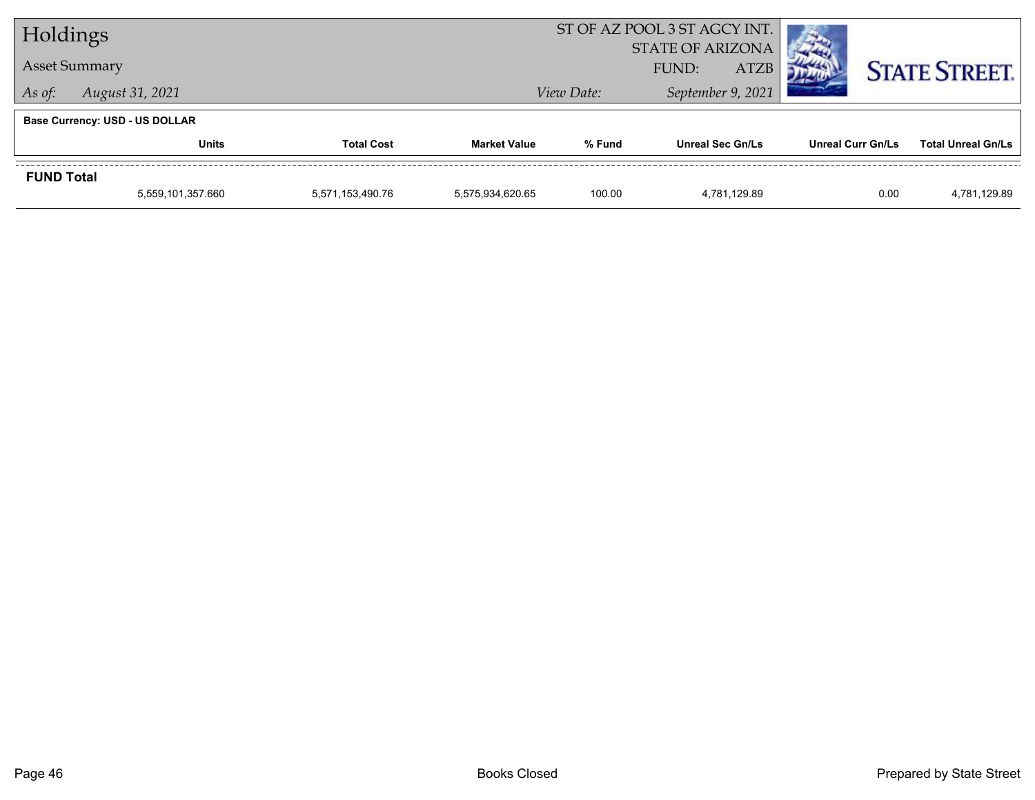| Holdings          |                                       |                                 |                     | ST OF AZ POOL 3 ST AGCY INT. |                                                 |                   |                           |
|-------------------|---------------------------------------|---------------------------------|---------------------|------------------------------|-------------------------------------------------|-------------------|---------------------------|
|                   | <b>Asset Summary</b>                  |                                 |                     |                              | <b>STATE OF ARIZONA</b><br><b>ATZB</b><br>FUND: |                   | <b>STATE STREET.</b>      |
| As of:            | August 31, 2021                       | September 9, 2021<br>View Date: |                     |                              |                                                 |                   |                           |
|                   | <b>Base Currency: USD - US DOLLAR</b> |                                 |                     |                              |                                                 |                   |                           |
|                   | <b>Units</b>                          | <b>Total Cost</b>               | <b>Market Value</b> | % Fund                       | <b>Unreal Sec Gn/Ls</b>                         | Unreal Curr Gn/Ls | <b>Total Unreal Gn/Ls</b> |
| <b>FUND Total</b> |                                       |                                 |                     |                              |                                                 |                   |                           |
|                   | 5,559,101,357.660                     | 5,571,153,490.76                | 5,575,934,620.65    | 100.00                       | 4,781,129.89                                    | 0.00              | 4,781,129.89              |